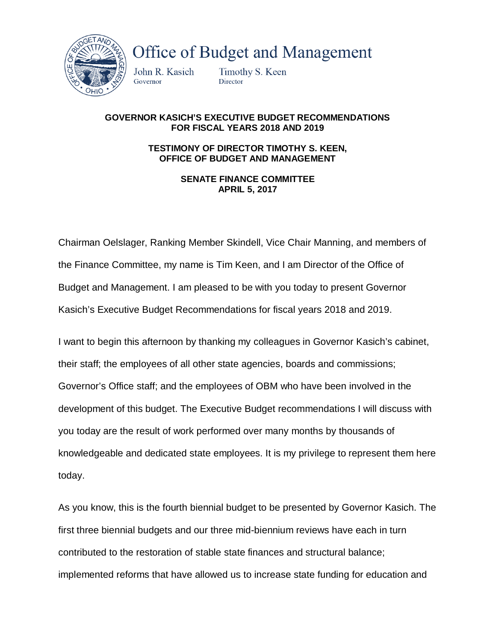

**Office of Budget and Management** 

John R. Kasich Governor

Timothy S. Keen Director

## **GOVERNOR KASICH'S EXECUTIVE BUDGET RECOMMENDATIONS FOR FISCAL YEARS 2018 AND 2019**

**TESTIMONY OF DIRECTOR TIMOTHY S. KEEN, OFFICE OF BUDGET AND MANAGEMENT**

> **SENATE FINANCE COMMITTEE APRIL 5, 2017**

Chairman Oelslager, Ranking Member Skindell, Vice Chair Manning, and members of the Finance Committee, my name is Tim Keen, and I am Director of the Office of Budget and Management. I am pleased to be with you today to present Governor Kasich's Executive Budget Recommendations for fiscal years 2018 and 2019.

I want to begin this afternoon by thanking my colleagues in Governor Kasich's cabinet, their staff; the employees of all other state agencies, boards and commissions; Governor's Office staff; and the employees of OBM who have been involved in the development of this budget. The Executive Budget recommendations I will discuss with you today are the result of work performed over many months by thousands of knowledgeable and dedicated state employees. It is my privilege to represent them here today.

As you know, this is the fourth biennial budget to be presented by Governor Kasich. The first three biennial budgets and our three mid-biennium reviews have each in turn contributed to the restoration of stable state finances and structural balance; implemented reforms that have allowed us to increase state funding for education and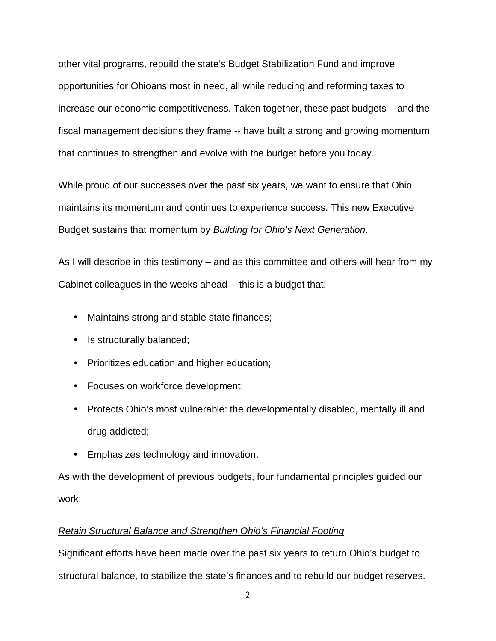other vital programs, rebuild the state's Budget Stabilization Fund and improve opportunities for Ohioans most in need, all while reducing and reforming taxes to increase our economic competitiveness. Taken together, these past budgets – and the fiscal management decisions they frame -- have built a strong and growing momentum that continues to strengthen and evolve with the budget before you today.

While proud of our successes over the past six years, we want to ensure that Ohio maintains its momentum and continues to experience success. This new Executive Budget sustains that momentum by *Building for Ohio's Next Generation*.

As I will describe in this testimony – and as this committee and others will hear from my Cabinet colleagues in the weeks ahead -- this is a budget that:

- Maintains strong and stable state finances;
- . Is structurally balanced;
- Prioritizes education and higher education;
- Focuses on workforce development;
- Protects Ohio's most vulnerable: the developmentally disabled, mentally ill and drug addicted;
- Emphasizes technology and innovation.

As with the development of previous budgets, four fundamental principles guided our work:

# *Retain Structural Balance and Strengthen Ohio's Financial Footing*

Significant efforts have been made over the past six years to return Ohio's budget to structural balance, to stabilize the state's finances and to rebuild our budget reserves.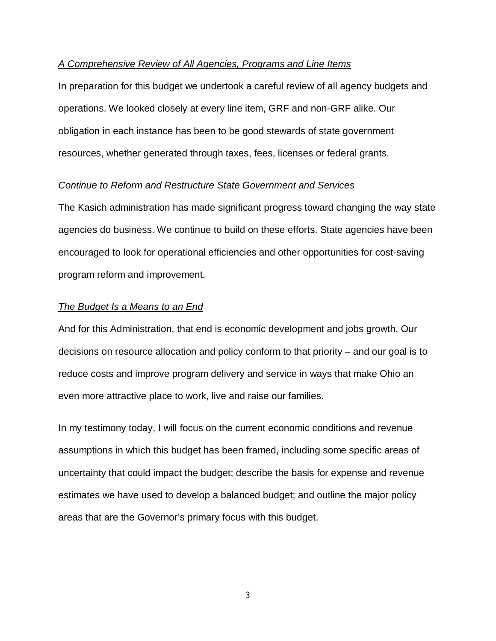## *A Comprehensive Review of All Agencies, Programs and Line Items*

In preparation for this budget we undertook a careful review of all agency budgets and operations. We looked closely at every line item, GRF and non-GRF alike. Our obligation in each instance has been to be good stewards of state government resources, whether generated through taxes, fees, licenses or federal grants.

## *Continue to Reform and Restructure State Government and Services*

The Kasich administration has made significant progress toward changing the way state agencies do business. We continue to build on these efforts. State agencies have been encouraged to look for operational efficiencies and other opportunities for cost-saving program reform and improvement.

#### *The Budget Is a Means to an End*

And for this Administration, that end is economic development and jobs growth. Our decisions on resource allocation and policy conform to that priority – and our goal is to reduce costs and improve program delivery and service in ways that make Ohio an even more attractive place to work, live and raise our families.

In my testimony today, I will focus on the current economic conditions and revenue assumptions in which this budget has been framed, including some specific areas of uncertainty that could impact the budget; describe the basis for expense and revenue estimates we have used to develop a balanced budget; and outline the major policy areas that are the Governor's primary focus with this budget.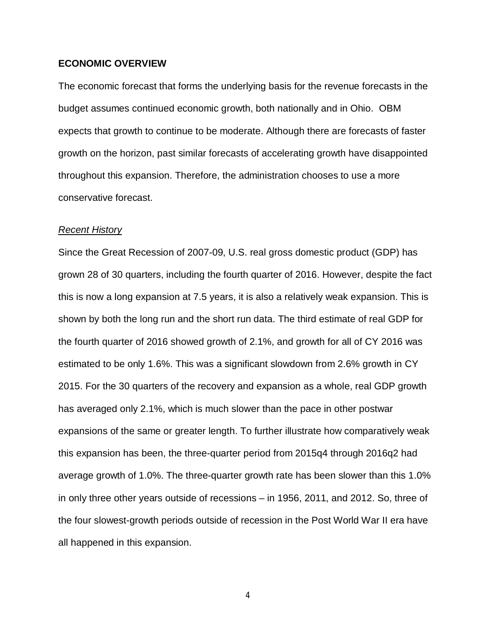## **ECONOMIC OVERVIEW**

The economic forecast that forms the underlying basis for the revenue forecasts in the budget assumes continued economic growth, both nationally and in Ohio. OBM expects that growth to continue to be moderate. Although there are forecasts of faster growth on the horizon, past similar forecasts of accelerating growth have disappointed throughout this expansion. Therefore, the administration chooses to use a more conservative forecast.

#### *Recent History*

Since the Great Recession of 2007-09, U.S. real gross domestic product (GDP) has grown 28 of 30 quarters, including the fourth quarter of 2016. However, despite the fact this is now a long expansion at 7.5 years, it is also a relatively weak expansion. This is shown by both the long run and the short run data. The third estimate of real GDP for the fourth quarter of 2016 showed growth of 2.1%, and growth for all of CY 2016 was estimated to be only 1.6%. This was a significant slowdown from 2.6% growth in CY 2015. For the 30 quarters of the recovery and expansion as a whole, real GDP growth has averaged only 2.1%, which is much slower than the pace in other postwar expansions of the same or greater length. To further illustrate how comparatively weak this expansion has been, the three-quarter period from 2015q4 through 2016q2 had average growth of 1.0%. The three-quarter growth rate has been slower than this 1.0% in only three other years outside of recessions – in 1956, 2011, and 2012. So, three of the four slowest-growth periods outside of recession in the Post World War II era have all happened in this expansion.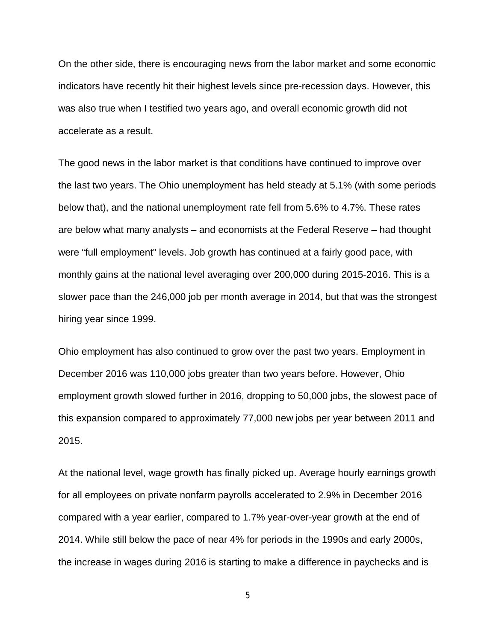On the other side, there is encouraging news from the labor market and some economic indicators have recently hit their highest levels since pre-recession days. However, this was also true when I testified two years ago, and overall economic growth did not accelerate as a result.

The good news in the labor market is that conditions have continued to improve over the last two years. The Ohio unemployment has held steady at 5.1% (with some periods below that), and the national unemployment rate fell from 5.6% to 4.7%. These rates are below what many analysts – and economists at the Federal Reserve – had thought were "full employment" levels. Job growth has continued at a fairly good pace, with monthly gains at the national level averaging over 200,000 during 2015-2016. This is a slower pace than the 246,000 job per month average in 2014, but that was the strongest hiring year since 1999.

Ohio employment has also continued to grow over the past two years. Employment in December 2016 was 110,000 jobs greater than two years before. However, Ohio employment growth slowed further in 2016, dropping to 50,000 jobs, the slowest pace of this expansion compared to approximately 77,000 new jobs per year between 2011 and 2015.

At the national level, wage growth has finally picked up. Average hourly earnings growth for all employees on private nonfarm payrolls accelerated to 2.9% in December 2016 compared with a year earlier, compared to 1.7% year-over-year growth at the end of 2014. While still below the pace of near 4% for periods in the 1990s and early 2000s, the increase in wages during 2016 is starting to make a difference in paychecks and is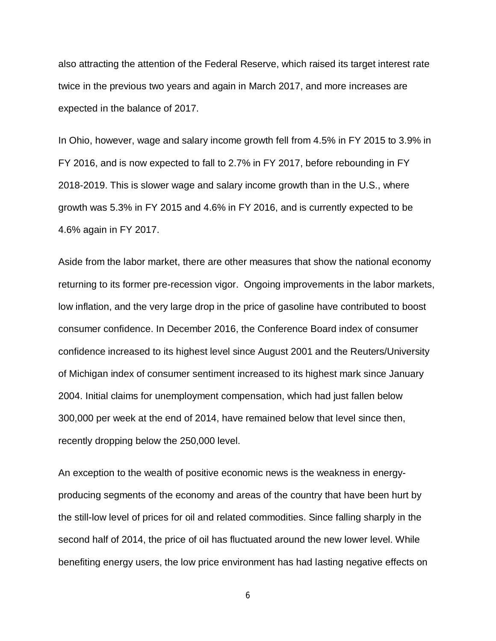also attracting the attention of the Federal Reserve, which raised its target interest rate twice in the previous two years and again in March 2017, and more increases are expected in the balance of 2017.

In Ohio, however, wage and salary income growth fell from 4.5% in FY 2015 to 3.9% in FY 2016, and is now expected to fall to 2.7% in FY 2017, before rebounding in FY 2018-2019. This is slower wage and salary income growth than in the U.S., where growth was 5.3% in FY 2015 and 4.6% in FY 2016, and is currently expected to be 4.6% again in FY 2017.

Aside from the labor market, there are other measures that show the national economy returning to its former pre-recession vigor. Ongoing improvements in the labor markets, low inflation, and the very large drop in the price of gasoline have contributed to boost consumer confidence. In December 2016, the Conference Board index of consumer confidence increased to its highest level since August 2001 and the Reuters/University of Michigan index of consumer sentiment increased to its highest mark since January 2004. Initial claims for unemployment compensation, which had just fallen below 300,000 per week at the end of 2014, have remained below that level since then, recently dropping below the 250,000 level.

An exception to the wealth of positive economic news is the weakness in energyproducing segments of the economy and areas of the country that have been hurt by the still-low level of prices for oil and related commodities. Since falling sharply in the second half of 2014, the price of oil has fluctuated around the new lower level. While benefiting energy users, the low price environment has had lasting negative effects on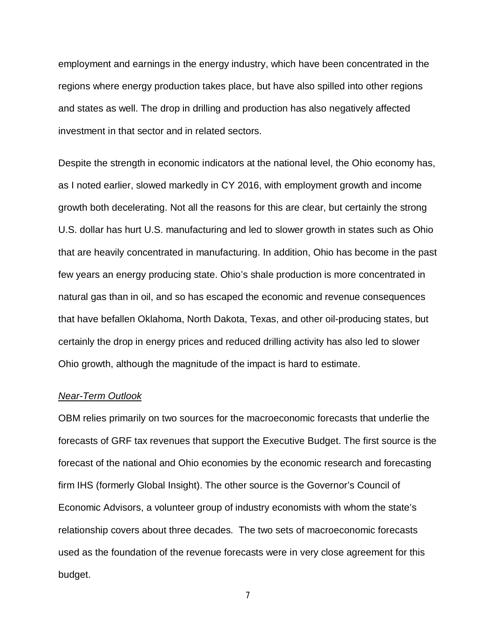employment and earnings in the energy industry, which have been concentrated in the regions where energy production takes place, but have also spilled into other regions and states as well. The drop in drilling and production has also negatively affected investment in that sector and in related sectors.

Despite the strength in economic indicators at the national level, the Ohio economy has, as I noted earlier, slowed markedly in CY 2016, with employment growth and income growth both decelerating. Not all the reasons for this are clear, but certainly the strong U.S. dollar has hurt U.S. manufacturing and led to slower growth in states such as Ohio that are heavily concentrated in manufacturing. In addition, Ohio has become in the past few years an energy producing state. Ohio's shale production is more concentrated in natural gas than in oil, and so has escaped the economic and revenue consequences that have befallen Oklahoma, North Dakota, Texas, and other oil-producing states, but certainly the drop in energy prices and reduced drilling activity has also led to slower Ohio growth, although the magnitude of the impact is hard to estimate.

#### *Near-Term Outlook*

OBM relies primarily on two sources for the macroeconomic forecasts that underlie the forecasts of GRF tax revenues that support the Executive Budget. The first source is the forecast of the national and Ohio economies by the economic research and forecasting firm IHS (formerly Global Insight). The other source is the Governor's Council of Economic Advisors, a volunteer group of industry economists with whom the state's relationship covers about three decades. The two sets of macroeconomic forecasts used as the foundation of the revenue forecasts were in very close agreement for this budget.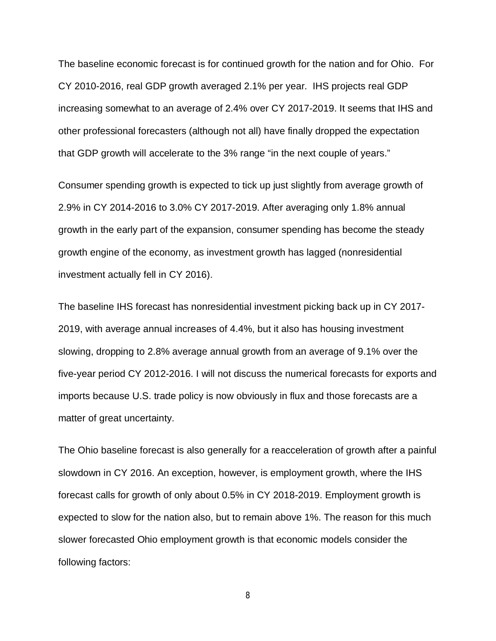The baseline economic forecast is for continued growth for the nation and for Ohio. For CY 2010-2016, real GDP growth averaged 2.1% per year. IHS projects real GDP increasing somewhat to an average of 2.4% over CY 2017-2019. It seems that IHS and other professional forecasters (although not all) have finally dropped the expectation that GDP growth will accelerate to the 3% range "in the next couple of years."

Consumer spending growth is expected to tick up just slightly from average growth of 2.9% in CY 2014-2016 to 3.0% CY 2017-2019. After averaging only 1.8% annual growth in the early part of the expansion, consumer spending has become the steady growth engine of the economy, as investment growth has lagged (nonresidential investment actually fell in CY 2016).

The baseline IHS forecast has nonresidential investment picking back up in CY 2017- 2019, with average annual increases of 4.4%, but it also has housing investment slowing, dropping to 2.8% average annual growth from an average of 9.1% over the five-year period CY 2012-2016. I will not discuss the numerical forecasts for exports and imports because U.S. trade policy is now obviously in flux and those forecasts are a matter of great uncertainty.

The Ohio baseline forecast is also generally for a reacceleration of growth after a painful slowdown in CY 2016. An exception, however, is employment growth, where the IHS forecast calls for growth of only about 0.5% in CY 2018-2019. Employment growth is expected to slow for the nation also, but to remain above 1%. The reason for this much slower forecasted Ohio employment growth is that economic models consider the following factors: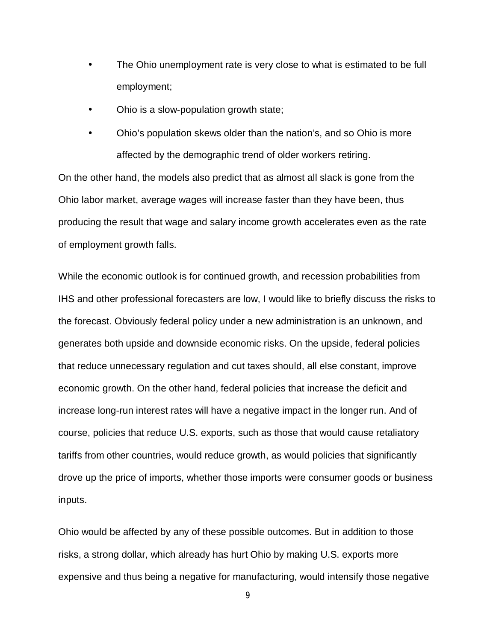- The Ohio unemployment rate is very close to what is estimated to be full employment;
- Ohio is a slow-population growth state; ä.

ä,

Ohio's population skews older than the nation's, and so Ohio is more affected by the demographic trend of older workers retiring.

On the other hand, the models also predict that as almost all slack is gone from the Ohio labor market, average wages will increase faster than they have been, thus producing the result that wage and salary income growth accelerates even as the rate of employment growth falls.

While the economic outlook is for continued growth, and recession probabilities from IHS and other professional forecasters are low, I would like to briefly discuss the risks to the forecast. Obviously federal policy under a new administration is an unknown, and generates both upside and downside economic risks. On the upside, federal policies that reduce unnecessary regulation and cut taxes should, all else constant, improve economic growth. On the other hand, federal policies that increase the deficit and increase long-run interest rates will have a negative impact in the longer run. And of course, policies that reduce U.S. exports, such as those that would cause retaliatory tariffs from other countries, would reduce growth, as would policies that significantly drove up the price of imports, whether those imports were consumer goods or business inputs.

Ohio would be affected by any of these possible outcomes. But in addition to those risks, a strong dollar, which already has hurt Ohio by making U.S. exports more expensive and thus being a negative for manufacturing, would intensify those negative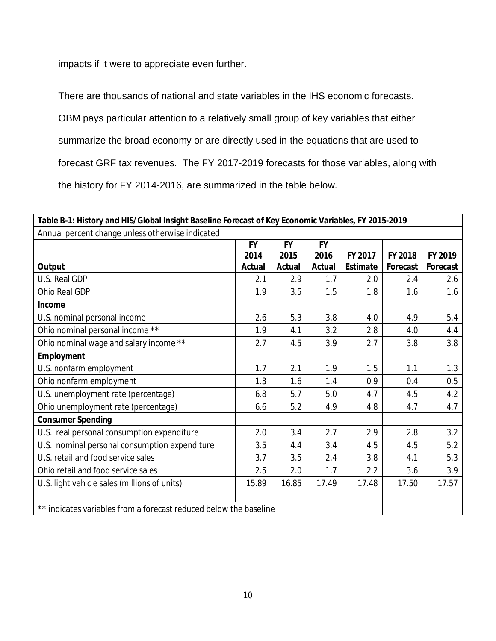impacts if it were to appreciate even further.

There are thousands of national and state variables in the IHS economic forecasts.

OBM pays particular attention to a relatively small group of key variables that either

summarize the broad economy or are directly used in the equations that are used to

forecast GRF tax revenues. The FY 2017-2019 forecasts for those variables, along with

the history for FY 2014-2016, are summarized in the table below.

| Table B-1: History and HIS/Global Insight Baseline Forecast of Key Economic Variables, FY 2015-2019 |           |           |           |          |          |          |  |  |  |  |
|-----------------------------------------------------------------------------------------------------|-----------|-----------|-----------|----------|----------|----------|--|--|--|--|
| Annual percent change unless otherwise indicated                                                    |           |           |           |          |          |          |  |  |  |  |
|                                                                                                     | <b>FY</b> | <b>FY</b> | <b>FY</b> |          |          |          |  |  |  |  |
|                                                                                                     | 2014      | 2015      | 2016      | FY 2017  | FY 2018  | FY 2019  |  |  |  |  |
| Output                                                                                              | Actual    | Actual    | Actual    | Estimate | Forecast | Forecast |  |  |  |  |
| U.S. Real GDP                                                                                       | 2.1       | 2.9       | 1.7       | 2.0      | 2.4      | 2.6      |  |  |  |  |
| Ohio Real GDP                                                                                       | 1.9       | 3.5       | 1.5       | 1.8      | 1.6      | 1.6      |  |  |  |  |
| Income                                                                                              |           |           |           |          |          |          |  |  |  |  |
| U.S. nominal personal income                                                                        | 2.6       | 5.3       | 3.8       | 4.0      | 4.9      | 5.4      |  |  |  |  |
| Ohio nominal personal income **                                                                     | 1.9       | 4.1       | 3.2       | 2.8      | 4.0      | 4.4      |  |  |  |  |
| Ohio nominal wage and salary income **                                                              | 2.7       | 4.5       | 3.9       | 2.7      | 3.8      | 3.8      |  |  |  |  |
| Employment                                                                                          |           |           |           |          |          |          |  |  |  |  |
| U.S. nonfarm employment                                                                             | 1.7       | 2.1       | 1.9       | 1.5      | 1.1      | 1.3      |  |  |  |  |
| Ohio nonfarm employment                                                                             | 1.3       | 1.6       | 1.4       | 0.9      | 0.4      | 0.5      |  |  |  |  |
| U.S. unemployment rate (percentage)                                                                 | 6.8       | 5.7       | 5.0       | 4.7      | 4.5      | 4.2      |  |  |  |  |
| Ohio unemployment rate (percentage)                                                                 | 6.6       | 5.2       | 4.9       | 4.8      | 4.7      | 4.7      |  |  |  |  |
| <b>Consumer Spending</b>                                                                            |           |           |           |          |          |          |  |  |  |  |
| U.S. real personal consumption expenditure                                                          | 2.0       | 3.4       | 2.7       | 2.9      | 2.8      | 3.2      |  |  |  |  |
| U.S. nominal personal consumption expenditure                                                       | 3.5       | 4.4       | 3.4       | 4.5      | 4.5      | 5.2      |  |  |  |  |
| U.S. retail and food service sales                                                                  | 3.7       | 3.5       | 2.4       | 3.8      | 4.1      | 5.3      |  |  |  |  |
| Ohio retail and food service sales                                                                  | 2.5       | 2.0       | 1.7       | 2.2      | 3.6      | 3.9      |  |  |  |  |
| U.S. light vehicle sales (millions of units)                                                        | 15.89     | 16.85     | 17.49     | 17.48    | 17.50    | 17.57    |  |  |  |  |
|                                                                                                     |           |           |           |          |          |          |  |  |  |  |
| ** indicates variables from a forecast reduced below the baseline                                   |           |           |           |          |          |          |  |  |  |  |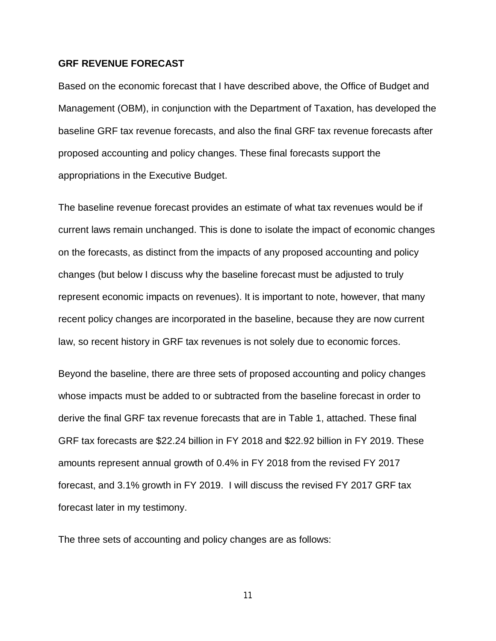## **GRF REVENUE FORECAST**

Based on the economic forecast that I have described above, the Office of Budget and Management (OBM), in conjunction with the Department of Taxation, has developed the baseline GRF tax revenue forecasts, and also the final GRF tax revenue forecasts after proposed accounting and policy changes. These final forecasts support the appropriations in the Executive Budget.

The baseline revenue forecast provides an estimate of what tax revenues would be if current laws remain unchanged. This is done to isolate the impact of economic changes on the forecasts, as distinct from the impacts of any proposed accounting and policy changes (but below I discuss why the baseline forecast must be adjusted to truly represent economic impacts on revenues). It is important to note, however, that many recent policy changes are incorporated in the baseline, because they are now current law, so recent history in GRF tax revenues is not solely due to economic forces.

Beyond the baseline, there are three sets of proposed accounting and policy changes whose impacts must be added to or subtracted from the baseline forecast in order to derive the final GRF tax revenue forecasts that are in Table 1, attached. These final GRF tax forecasts are \$22.24 billion in FY 2018 and \$22.92 billion in FY 2019. These amounts represent annual growth of 0.4% in FY 2018 from the revised FY 2017 forecast, and 3.1% growth in FY 2019. I will discuss the revised FY 2017 GRF tax forecast later in my testimony.

The three sets of accounting and policy changes are as follows: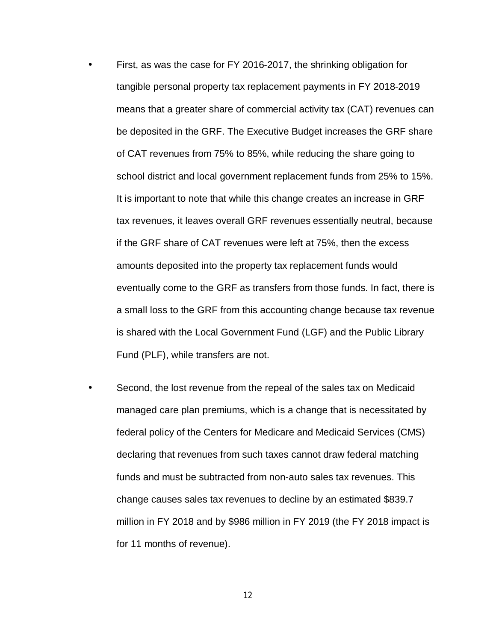First, as was the case for FY 2016-2017, the shrinking obligation for tangible personal property tax replacement payments in FY 2018-2019 means that a greater share of commercial activity tax (CAT) revenues can be deposited in the GRF. The Executive Budget increases the GRF share of CAT revenues from 75% to 85%, while reducing the share going to school district and local government replacement funds from 25% to 15%. It is important to note that while this change creates an increase in GRF tax revenues, it leaves overall GRF revenues essentially neutral, because if the GRF share of CAT revenues were left at 75%, then the excess amounts deposited into the property tax replacement funds would eventually come to the GRF as transfers from those funds. In fact, there is a small loss to the GRF from this accounting change because tax revenue is shared with the Local Government Fund (LGF) and the Public Library Fund (PLF), while transfers are not.

Second, the lost revenue from the repeal of the sales tax on Medicaid managed care plan premiums, which is a change that is necessitated by federal policy of the Centers for Medicare and Medicaid Services (CMS) declaring that revenues from such taxes cannot draw federal matching funds and must be subtracted from non-auto sales tax revenues. This change causes sales tax revenues to decline by an estimated \$839.7 million in FY 2018 and by \$986 million in FY 2019 (the FY 2018 impact is for 11 months of revenue).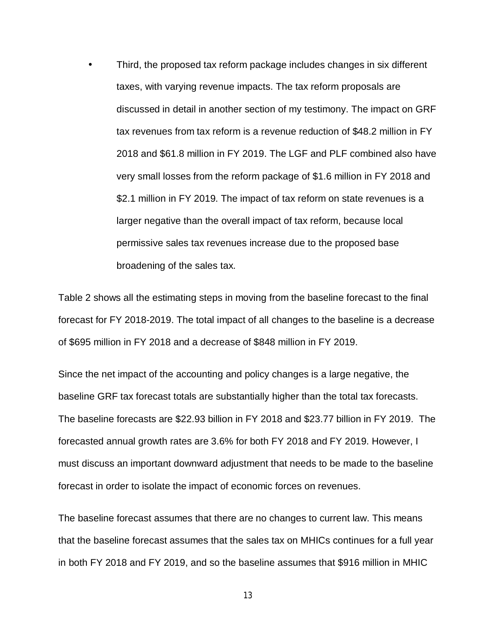Third, the proposed tax reform package includes changes in six different taxes, with varying revenue impacts. The tax reform proposals are discussed in detail in another section of my testimony. The impact on GRF tax revenues from tax reform is a revenue reduction of \$48.2 million in FY 2018 and \$61.8 million in FY 2019. The LGF and PLF combined also have very small losses from the reform package of \$1.6 million in FY 2018 and \$2.1 million in FY 2019. The impact of tax reform on state revenues is a larger negative than the overall impact of tax reform, because local permissive sales tax revenues increase due to the proposed base broadening of the sales tax.

Table 2 shows all the estimating steps in moving from the baseline forecast to the final forecast for FY 2018-2019. The total impact of all changes to the baseline is a decrease of \$695 million in FY 2018 and a decrease of \$848 million in FY 2019.

Since the net impact of the accounting and policy changes is a large negative, the baseline GRF tax forecast totals are substantially higher than the total tax forecasts. The baseline forecasts are \$22.93 billion in FY 2018 and \$23.77 billion in FY 2019. The forecasted annual growth rates are 3.6% for both FY 2018 and FY 2019. However, I must discuss an important downward adjustment that needs to be made to the baseline forecast in order to isolate the impact of economic forces on revenues.

The baseline forecast assumes that there are no changes to current law. This means that the baseline forecast assumes that the sales tax on MHICs continues for a full year in both FY 2018 and FY 2019, and so the baseline assumes that \$916 million in MHIC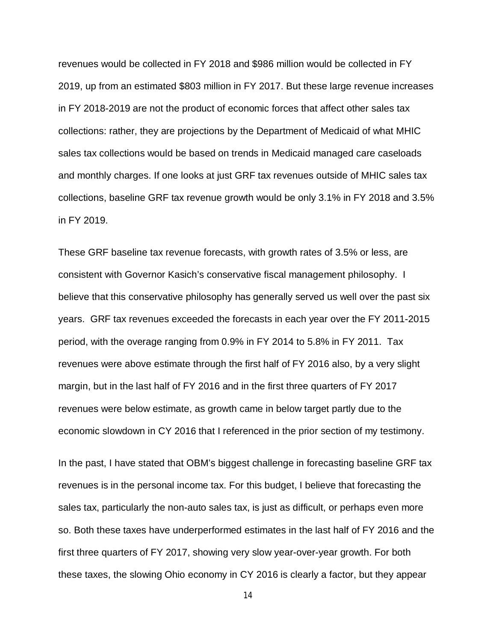revenues would be collected in FY 2018 and \$986 million would be collected in FY 2019, up from an estimated \$803 million in FY 2017. But these large revenue increases in FY 2018-2019 are not the product of economic forces that affect other sales tax collections: rather, they are projections by the Department of Medicaid of what MHIC sales tax collections would be based on trends in Medicaid managed care caseloads and monthly charges. If one looks at just GRF tax revenues outside of MHIC sales tax collections, baseline GRF tax revenue growth would be only 3.1% in FY 2018 and 3.5% in FY 2019.

These GRF baseline tax revenue forecasts, with growth rates of 3.5% or less, are consistent with Governor Kasich's conservative fiscal management philosophy. I believe that this conservative philosophy has generally served us well over the past six years. GRF tax revenues exceeded the forecasts in each year over the FY 2011-2015 period, with the overage ranging from 0.9% in FY 2014 to 5.8% in FY 2011. Tax revenues were above estimate through the first half of FY 2016 also, by a very slight margin, but in the last half of FY 2016 and in the first three quarters of FY 2017 revenues were below estimate, as growth came in below target partly due to the economic slowdown in CY 2016 that I referenced in the prior section of my testimony.

In the past, I have stated that OBM's biggest challenge in forecasting baseline GRF tax revenues is in the personal income tax. For this budget, I believe that forecasting the sales tax, particularly the non-auto sales tax, is just as difficult, or perhaps even more so. Both these taxes have underperformed estimates in the last half of FY 2016 and the first three quarters of FY 2017, showing very slow year-over-year growth. For both these taxes, the slowing Ohio economy in CY 2016 is clearly a factor, but they appear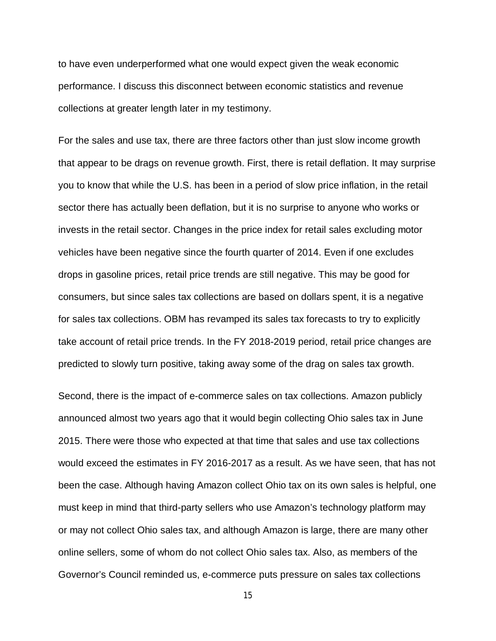to have even underperformed what one would expect given the weak economic performance. I discuss this disconnect between economic statistics and revenue collections at greater length later in my testimony.

For the sales and use tax, there are three factors other than just slow income growth that appear to be drags on revenue growth. First, there is retail deflation. It may surprise you to know that while the U.S. has been in a period of slow price inflation, in the retail sector there has actually been deflation, but it is no surprise to anyone who works or invests in the retail sector. Changes in the price index for retail sales excluding motor vehicles have been negative since the fourth quarter of 2014. Even if one excludes drops in gasoline prices, retail price trends are still negative. This may be good for consumers, but since sales tax collections are based on dollars spent, it is a negative for sales tax collections. OBM has revamped its sales tax forecasts to try to explicitly take account of retail price trends. In the FY 2018-2019 period, retail price changes are predicted to slowly turn positive, taking away some of the drag on sales tax growth.

Second, there is the impact of e-commerce sales on tax collections. Amazon publicly announced almost two years ago that it would begin collecting Ohio sales tax in June 2015. There were those who expected at that time that sales and use tax collections would exceed the estimates in FY 2016-2017 as a result. As we have seen, that has not been the case. Although having Amazon collect Ohio tax on its own sales is helpful, one must keep in mind that third-party sellers who use Amazon's technology platform may or may not collect Ohio sales tax, and although Amazon is large, there are many other online sellers, some of whom do not collect Ohio sales tax. Also, as members of the Governor's Council reminded us, e-commerce puts pressure on sales tax collections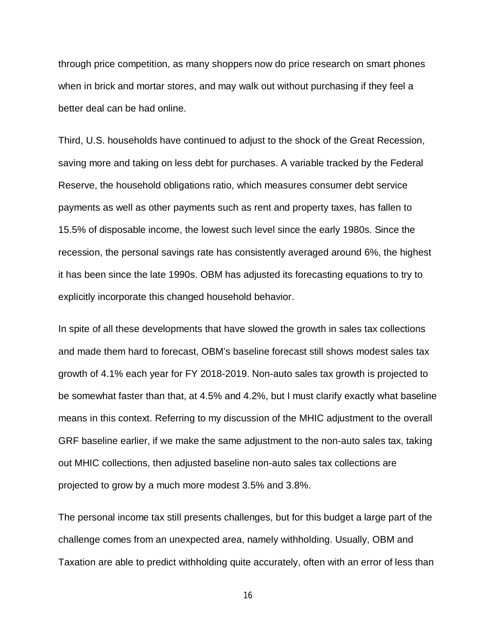through price competition, as many shoppers now do price research on smart phones when in brick and mortar stores, and may walk out without purchasing if they feel a better deal can be had online.

Third, U.S. households have continued to adjust to the shock of the Great Recession, saving more and taking on less debt for purchases. A variable tracked by the Federal Reserve, the household obligations ratio, which measures consumer debt service payments as well as other payments such as rent and property taxes, has fallen to 15.5% of disposable income, the lowest such level since the early 1980s. Since the recession, the personal savings rate has consistently averaged around 6%, the highest it has been since the late 1990s. OBM has adjusted its forecasting equations to try to explicitly incorporate this changed household behavior.

In spite of all these developments that have slowed the growth in sales tax collections and made them hard to forecast, OBM's baseline forecast still shows modest sales tax growth of 4.1% each year for FY 2018-2019. Non-auto sales tax growth is projected to be somewhat faster than that, at 4.5% and 4.2%, but I must clarify exactly what baseline means in this context. Referring to my discussion of the MHIC adjustment to the overall GRF baseline earlier, if we make the same adjustment to the non-auto sales tax, taking out MHIC collections, then adjusted baseline non-auto sales tax collections are projected to grow by a much more modest 3.5% and 3.8%.

The personal income tax still presents challenges, but for this budget a large part of the challenge comes from an unexpected area, namely withholding. Usually, OBM and Taxation are able to predict withholding quite accurately, often with an error of less than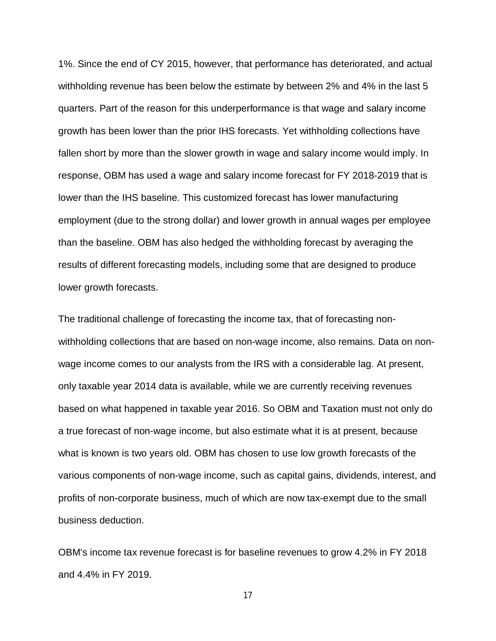1%. Since the end of CY 2015, however, that performance has deteriorated, and actual withholding revenue has been below the estimate by between 2% and 4% in the last 5 quarters. Part of the reason for this underperformance is that wage and salary income growth has been lower than the prior IHS forecasts. Yet withholding collections have fallen short by more than the slower growth in wage and salary income would imply. In response, OBM has used a wage and salary income forecast for FY 2018-2019 that is lower than the IHS baseline. This customized forecast has lower manufacturing employment (due to the strong dollar) and lower growth in annual wages per employee than the baseline. OBM has also hedged the withholding forecast by averaging the results of different forecasting models, including some that are designed to produce lower growth forecasts.

The traditional challenge of forecasting the income tax, that of forecasting nonwithholding collections that are based on non-wage income, also remains. Data on nonwage income comes to our analysts from the IRS with a considerable lag. At present, only taxable year 2014 data is available, while we are currently receiving revenues based on what happened in taxable year 2016. So OBM and Taxation must not only do a true forecast of non-wage income, but also estimate what it is at present, because what is known is two years old. OBM has chosen to use low growth forecasts of the various components of non-wage income, such as capital gains, dividends, interest, and profits of non-corporate business, much of which are now tax-exempt due to the small business deduction.

OBM's income tax revenue forecast is for baseline revenues to grow 4.2% in FY 2018 and 4.4% in FY 2019.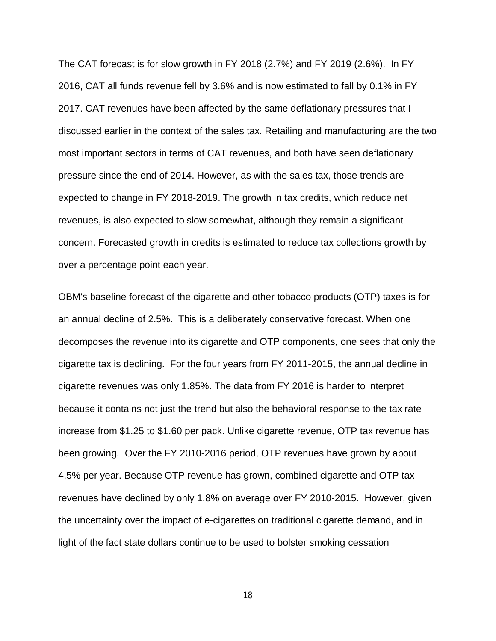The CAT forecast is for slow growth in FY 2018 (2.7%) and FY 2019 (2.6%). In FY 2016, CAT all funds revenue fell by 3.6% and is now estimated to fall by 0.1% in FY 2017. CAT revenues have been affected by the same deflationary pressures that I discussed earlier in the context of the sales tax. Retailing and manufacturing are the two most important sectors in terms of CAT revenues, and both have seen deflationary pressure since the end of 2014. However, as with the sales tax, those trends are expected to change in FY 2018-2019. The growth in tax credits, which reduce net revenues, is also expected to slow somewhat, although they remain a significant concern. Forecasted growth in credits is estimated to reduce tax collections growth by over a percentage point each year.

OBM's baseline forecast of the cigarette and other tobacco products (OTP) taxes is for an annual decline of 2.5%. This is a deliberately conservative forecast. When one decomposes the revenue into its cigarette and OTP components, one sees that only the cigarette tax is declining. For the four years from FY 2011-2015, the annual decline in cigarette revenues was only 1.85%. The data from FY 2016 is harder to interpret because it contains not just the trend but also the behavioral response to the tax rate increase from \$1.25 to \$1.60 per pack. Unlike cigarette revenue, OTP tax revenue has been growing. Over the FY 2010-2016 period, OTP revenues have grown by about 4.5% per year. Because OTP revenue has grown, combined cigarette and OTP tax revenues have declined by only 1.8% on average over FY 2010-2015. However, given the uncertainty over the impact of e-cigarettes on traditional cigarette demand, and in light of the fact state dollars continue to be used to bolster smoking cessation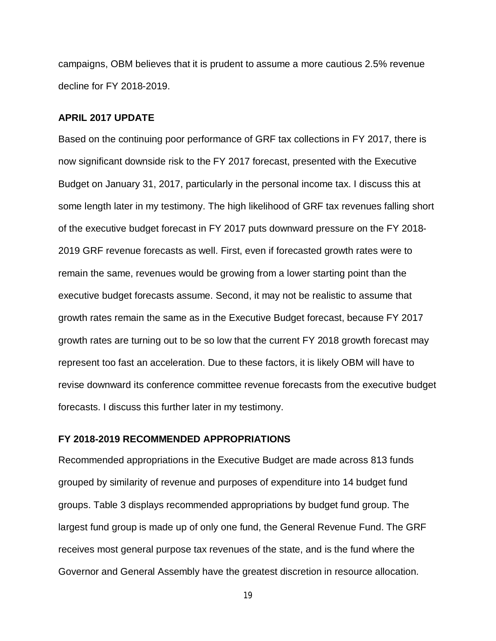campaigns, OBM believes that it is prudent to assume a more cautious 2.5% revenue decline for FY 2018-2019.

## **APRIL 2017 UPDATE**

Based on the continuing poor performance of GRF tax collections in FY 2017, there is now significant downside risk to the FY 2017 forecast, presented with the Executive Budget on January 31, 2017, particularly in the personal income tax. I discuss this at some length later in my testimony. The high likelihood of GRF tax revenues falling short of the executive budget forecast in FY 2017 puts downward pressure on the FY 2018- 2019 GRF revenue forecasts as well. First, even if forecasted growth rates were to remain the same, revenues would be growing from a lower starting point than the executive budget forecasts assume. Second, it may not be realistic to assume that growth rates remain the same as in the Executive Budget forecast, because FY 2017 growth rates are turning out to be so low that the current FY 2018 growth forecast may represent too fast an acceleration. Due to these factors, it is likely OBM will have to revise downward its conference committee revenue forecasts from the executive budget forecasts. I discuss this further later in my testimony.

## **FY 2018-2019 RECOMMENDED APPROPRIATIONS**

Recommended appropriations in the Executive Budget are made across 813 funds grouped by similarity of revenue and purposes of expenditure into 14 budget fund groups. Table 3 displays recommended appropriations by budget fund group. The largest fund group is made up of only one fund, the General Revenue Fund. The GRF receives most general purpose tax revenues of the state, and is the fund where the Governor and General Assembly have the greatest discretion in resource allocation.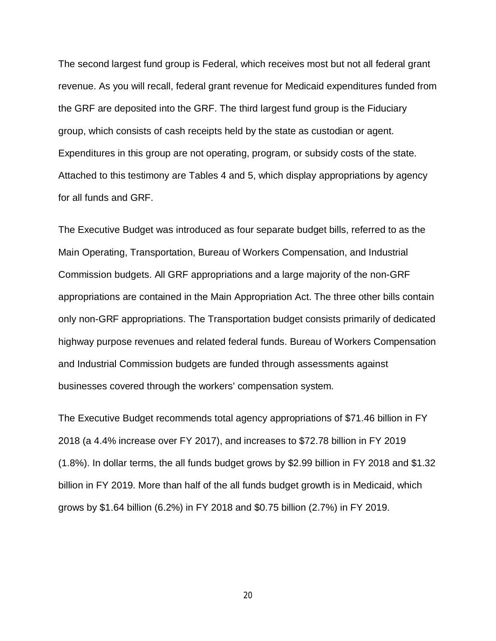The second largest fund group is Federal, which receives most but not all federal grant revenue. As you will recall, federal grant revenue for Medicaid expenditures funded from the GRF are deposited into the GRF. The third largest fund group is the Fiduciary group, which consists of cash receipts held by the state as custodian or agent. Expenditures in this group are not operating, program, or subsidy costs of the state. Attached to this testimony are Tables 4 and 5, which display appropriations by agency for all funds and GRF.

The Executive Budget was introduced as four separate budget bills, referred to as the Main Operating, Transportation, Bureau of Workers Compensation, and Industrial Commission budgets. All GRF appropriations and a large majority of the non-GRF appropriations are contained in the Main Appropriation Act. The three other bills contain only non-GRF appropriations. The Transportation budget consists primarily of dedicated highway purpose revenues and related federal funds. Bureau of Workers Compensation and Industrial Commission budgets are funded through assessments against businesses covered through the workers' compensation system.

The Executive Budget recommends total agency appropriations of \$71.46 billion in FY 2018 (a 4.4% increase over FY 2017), and increases to \$72.78 billion in FY 2019 (1.8%). In dollar terms, the all funds budget grows by \$2.99 billion in FY 2018 and \$1.32 billion in FY 2019. More than half of the all funds budget growth is in Medicaid, which grows by \$1.64 billion (6.2%) in FY 2018 and \$0.75 billion (2.7%) in FY 2019.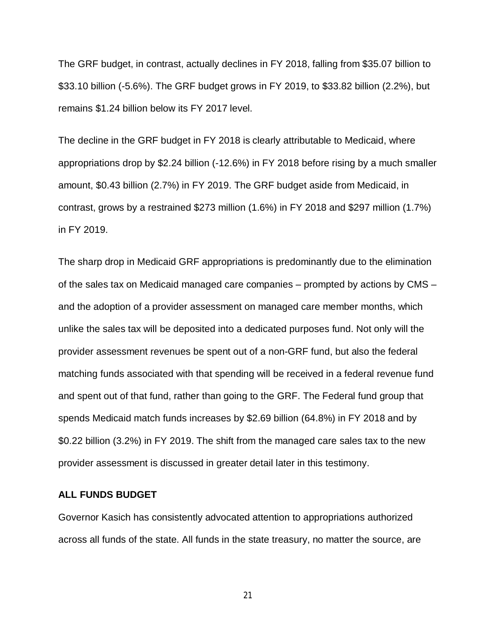The GRF budget, in contrast, actually declines in FY 2018, falling from \$35.07 billion to \$33.10 billion (-5.6%). The GRF budget grows in FY 2019, to \$33.82 billion (2.2%), but remains \$1.24 billion below its FY 2017 level.

The decline in the GRF budget in FY 2018 is clearly attributable to Medicaid, where appropriations drop by \$2.24 billion (-12.6%) in FY 2018 before rising by a much smaller amount, \$0.43 billion (2.7%) in FY 2019. The GRF budget aside from Medicaid, in contrast, grows by a restrained \$273 million (1.6%) in FY 2018 and \$297 million (1.7%) in FY 2019.

The sharp drop in Medicaid GRF appropriations is predominantly due to the elimination of the sales tax on Medicaid managed care companies – prompted by actions by CMS – and the adoption of a provider assessment on managed care member months, which unlike the sales tax will be deposited into a dedicated purposes fund. Not only will the provider assessment revenues be spent out of a non-GRF fund, but also the federal matching funds associated with that spending will be received in a federal revenue fund and spent out of that fund, rather than going to the GRF. The Federal fund group that spends Medicaid match funds increases by \$2.69 billion (64.8%) in FY 2018 and by \$0.22 billion (3.2%) in FY 2019. The shift from the managed care sales tax to the new provider assessment is discussed in greater detail later in this testimony.

### **ALL FUNDS BUDGET**

Governor Kasich has consistently advocated attention to appropriations authorized across all funds of the state. All funds in the state treasury, no matter the source, are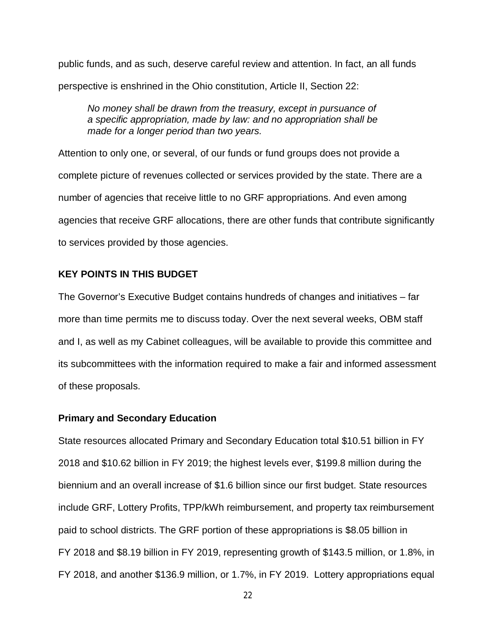public funds, and as such, deserve careful review and attention. In fact, an all funds perspective is enshrined in the Ohio constitution, Article II, Section 22:

*No money shall be drawn from the treasury, except in pursuance of a specific appropriation, made by law: and no appropriation shall be made for a longer period than two years.*

Attention to only one, or several, of our funds or fund groups does not provide a complete picture of revenues collected or services provided by the state. There are a number of agencies that receive little to no GRF appropriations. And even among agencies that receive GRF allocations, there are other funds that contribute significantly to services provided by those agencies.

## **KEY POINTS IN THIS BUDGET**

The Governor's Executive Budget contains hundreds of changes and initiatives – far more than time permits me to discuss today. Over the next several weeks, OBM staff and I, as well as my Cabinet colleagues, will be available to provide this committee and its subcommittees with the information required to make a fair and informed assessment of these proposals.

## **Primary and Secondary Education**

State resources allocated Primary and Secondary Education total \$10.51 billion in FY 2018 and \$10.62 billion in FY 2019; the highest levels ever, \$199.8 million during the biennium and an overall increase of \$1.6 billion since our first budget. State resources include GRF, Lottery Profits, TPP/kWh reimbursement, and property tax reimbursement paid to school districts. The GRF portion of these appropriations is \$8.05 billion in FY 2018 and \$8.19 billion in FY 2019, representing growth of \$143.5 million, or 1.8%, in FY 2018, and another \$136.9 million, or 1.7%, in FY 2019. Lottery appropriations equal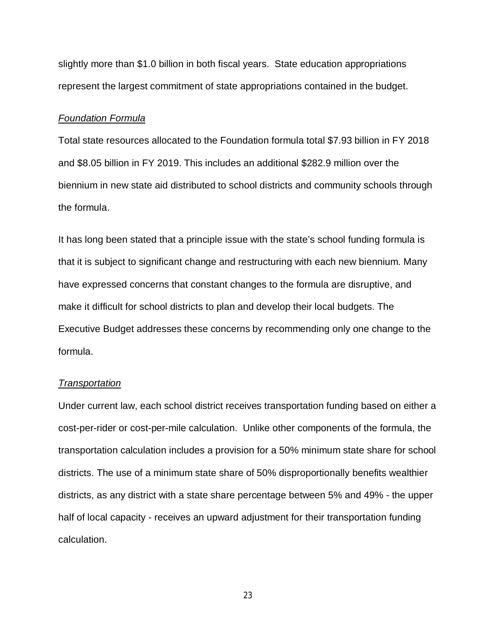slightly more than \$1.0 billion in both fiscal years. State education appropriations represent the largest commitment of state appropriations contained in the budget.

#### *Foundation Formula*

Total state resources allocated to the Foundation formula total \$7.93 billion in FY 2018 and \$8.05 billion in FY 2019. This includes an additional \$282.9 million over the biennium in new state aid distributed to school districts and community schools through the formula.

It has long been stated that a principle issue with the state's school funding formula is that it is subject to significant change and restructuring with each new biennium. Many have expressed concerns that constant changes to the formula are disruptive, and make it difficult for school districts to plan and develop their local budgets. The Executive Budget addresses these concerns by recommending only one change to the formula.

#### *Transportation*

Under current law, each school district receives transportation funding based on either a cost-per-rider or cost-per-mile calculation. Unlike other components of the formula, the transportation calculation includes a provision for a 50% minimum state share for school districts. The use of a minimum state share of 50% disproportionally benefits wealthier districts, as any district with a state share percentage between 5% and 49% - the upper half of local capacity - receives an upward adjustment for their transportation funding calculation.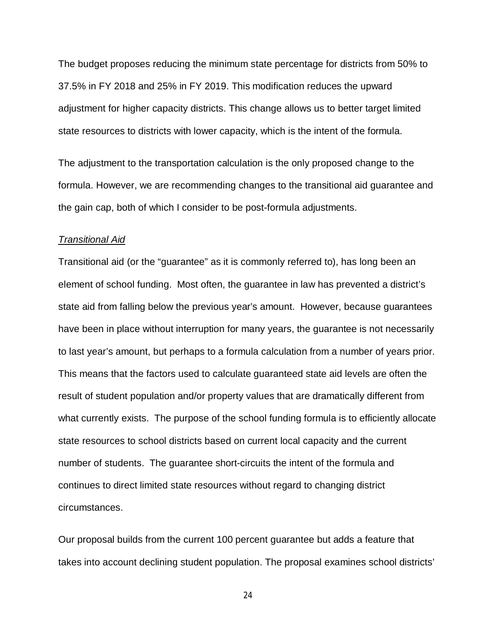The budget proposes reducing the minimum state percentage for districts from 50% to 37.5% in FY 2018 and 25% in FY 2019. This modification reduces the upward adjustment for higher capacity districts. This change allows us to better target limited state resources to districts with lower capacity, which is the intent of the formula.

The adjustment to the transportation calculation is the only proposed change to the formula. However, we are recommending changes to the transitional aid guarantee and the gain cap, both of which I consider to be post-formula adjustments.

## *Transitional Aid*

Transitional aid (or the "guarantee" as it is commonly referred to), has long been an element of school funding. Most often, the guarantee in law has prevented a district's state aid from falling below the previous year's amount. However, because guarantees have been in place without interruption for many years, the guarantee is not necessarily to last year's amount, but perhaps to a formula calculation from a number of years prior. This means that the factors used to calculate guaranteed state aid levels are often the result of student population and/or property values that are dramatically different from what currently exists. The purpose of the school funding formula is to efficiently allocate state resources to school districts based on current local capacity and the current number of students. The guarantee short-circuits the intent of the formula and continues to direct limited state resources without regard to changing district circumstances.

Our proposal builds from the current 100 percent guarantee but adds a feature that takes into account declining student population. The proposal examines school districts'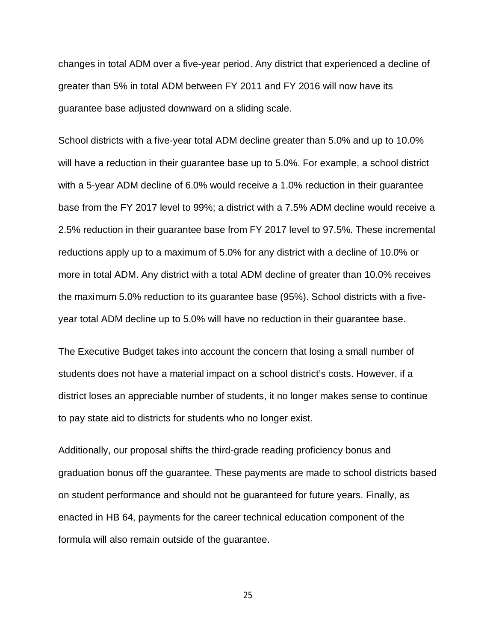changes in total ADM over a five-year period. Any district that experienced a decline of greater than 5% in total ADM between FY 2011 and FY 2016 will now have its guarantee base adjusted downward on a sliding scale.

School districts with a five-year total ADM decline greater than 5.0% and up to 10.0% will have a reduction in their guarantee base up to 5.0%. For example, a school district with a 5-year ADM decline of 6.0% would receive a 1.0% reduction in their guarantee base from the FY 2017 level to 99%; a district with a 7.5% ADM decline would receive a 2.5% reduction in their guarantee base from FY 2017 level to 97.5%. These incremental reductions apply up to a maximum of 5.0% for any district with a decline of 10.0% or more in total ADM. Any district with a total ADM decline of greater than 10.0% receives the maximum 5.0% reduction to its guarantee base (95%). School districts with a fiveyear total ADM decline up to 5.0% will have no reduction in their guarantee base.

The Executive Budget takes into account the concern that losing a small number of students does not have a material impact on a school district's costs. However, if a district loses an appreciable number of students, it no longer makes sense to continue to pay state aid to districts for students who no longer exist.

Additionally, our proposal shifts the third-grade reading proficiency bonus and graduation bonus off the guarantee. These payments are made to school districts based on student performance and should not be guaranteed for future years. Finally, as enacted in HB 64, payments for the career technical education component of the formula will also remain outside of the guarantee.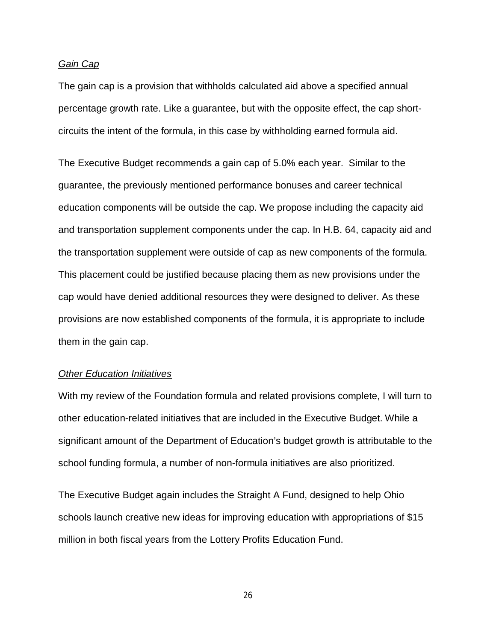## *Gain Cap*

The gain cap is a provision that withholds calculated aid above a specified annual percentage growth rate. Like a guarantee, but with the opposite effect, the cap shortcircuits the intent of the formula, in this case by withholding earned formula aid.

The Executive Budget recommends a gain cap of 5.0% each year. Similar to the guarantee, the previously mentioned performance bonuses and career technical education components will be outside the cap. We propose including the capacity aid and transportation supplement components under the cap. In H.B. 64, capacity aid and the transportation supplement were outside of cap as new components of the formula. This placement could be justified because placing them as new provisions under the cap would have denied additional resources they were designed to deliver. As these provisions are now established components of the formula, it is appropriate to include them in the gain cap.

#### *Other Education Initiatives*

With my review of the Foundation formula and related provisions complete, I will turn to other education-related initiatives that are included in the Executive Budget. While a significant amount of the Department of Education's budget growth is attributable to the school funding formula, a number of non-formula initiatives are also prioritized.

The Executive Budget again includes the Straight A Fund, designed to help Ohio schools launch creative new ideas for improving education with appropriations of \$15 million in both fiscal years from the Lottery Profits Education Fund.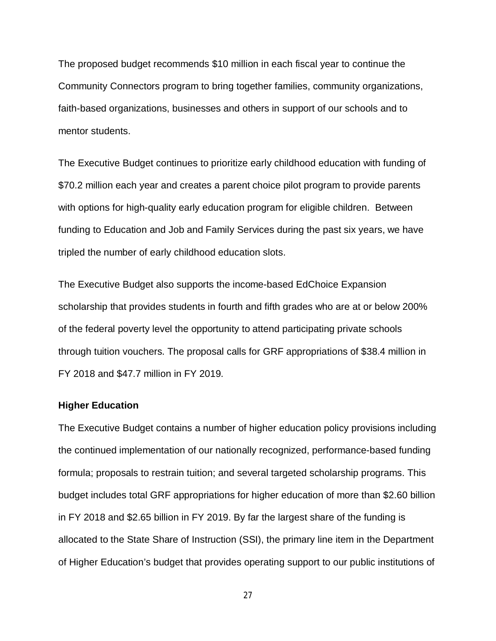The proposed budget recommends \$10 million in each fiscal year to continue the Community Connectors program to bring together families, community organizations, faith-based organizations, businesses and others in support of our schools and to mentor students.

The Executive Budget continues to prioritize early childhood education with funding of \$70.2 million each year and creates a parent choice pilot program to provide parents with options for high-quality early education program for eligible children. Between funding to Education and Job and Family Services during the past six years, we have tripled the number of early childhood education slots.

The Executive Budget also supports the income-based EdChoice Expansion scholarship that provides students in fourth and fifth grades who are at or below 200% of the federal poverty level the opportunity to attend participating private schools through tuition vouchers. The proposal calls for GRF appropriations of \$38.4 million in FY 2018 and \$47.7 million in FY 2019.

## **Higher Education**

The Executive Budget contains a number of higher education policy provisions including the continued implementation of our nationally recognized, performance-based funding formula; proposals to restrain tuition; and several targeted scholarship programs. This budget includes total GRF appropriations for higher education of more than \$2.60 billion in FY 2018 and \$2.65 billion in FY 2019. By far the largest share of the funding is allocated to the State Share of Instruction (SSI), the primary line item in the Department of Higher Education's budget that provides operating support to our public institutions of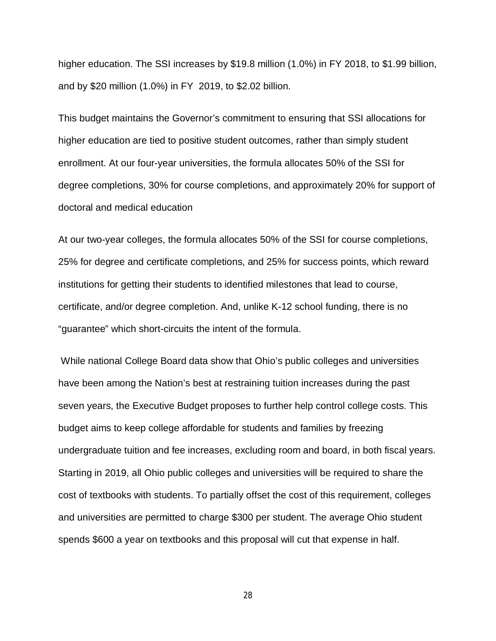higher education. The SSI increases by \$19.8 million (1.0%) in FY 2018, to \$1.99 billion, and by \$20 million (1.0%) in FY 2019, to \$2.02 billion.

This budget maintains the Governor's commitment to ensuring that SSI allocations for higher education are tied to positive student outcomes, rather than simply student enrollment. At our four-year universities, the formula allocates 50% of the SSI for degree completions, 30% for course completions, and approximately 20% for support of doctoral and medical education

At our two-year colleges, the formula allocates 50% of the SSI for course completions, 25% for degree and certificate completions, and 25% for success points, which reward institutions for getting their students to identified milestones that lead to course, certificate, and/or degree completion. And, unlike K-12 school funding, there is no "guarantee" which short-circuits the intent of the formula.

 While national College Board data show that Ohio's public colleges and universities have been among the Nation's best at restraining tuition increases during the past seven years, the Executive Budget proposes to further help control college costs. This budget aims to keep college affordable for students and families by freezing undergraduate tuition and fee increases, excluding room and board, in both fiscal years. Starting in 2019, all Ohio public colleges and universities will be required to share the cost of textbooks with students. To partially offset the cost of this requirement, colleges and universities are permitted to charge \$300 per student. The average Ohio student spends \$600 a year on textbooks and this proposal will cut that expense in half.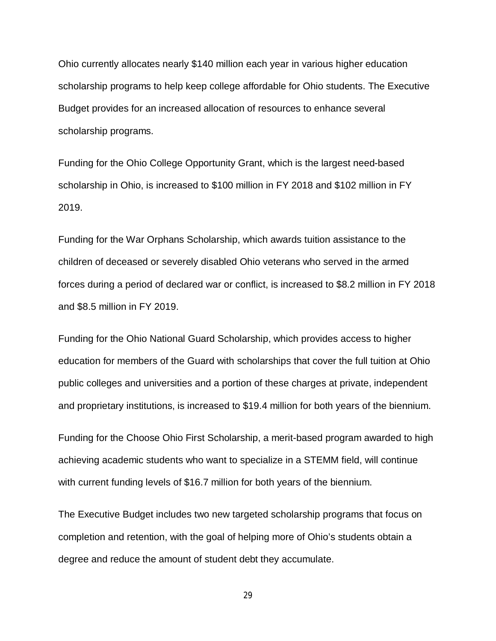Ohio currently allocates nearly \$140 million each year in various higher education scholarship programs to help keep college affordable for Ohio students. The Executive Budget provides for an increased allocation of resources to enhance several scholarship programs.

Funding for the Ohio College Opportunity Grant, which is the largest need-based scholarship in Ohio, is increased to \$100 million in FY 2018 and \$102 million in FY 2019.

Funding for the War Orphans Scholarship, which awards tuition assistance to the children of deceased or severely disabled Ohio veterans who served in the armed forces during a period of declared war or conflict, is increased to \$8.2 million in FY 2018 and \$8.5 million in FY 2019.

Funding for the Ohio National Guard Scholarship, which provides access to higher education for members of the Guard with scholarships that cover the full tuition at Ohio public colleges and universities and a portion of these charges at private, independent and proprietary institutions, is increased to \$19.4 million for both years of the biennium.

Funding for the Choose Ohio First Scholarship, a merit-based program awarded to high achieving academic students who want to specialize in a STEMM field, will continue with current funding levels of \$16.7 million for both years of the biennium.

The Executive Budget includes two new targeted scholarship programs that focus on completion and retention, with the goal of helping more of Ohio's students obtain a degree and reduce the amount of student debt they accumulate.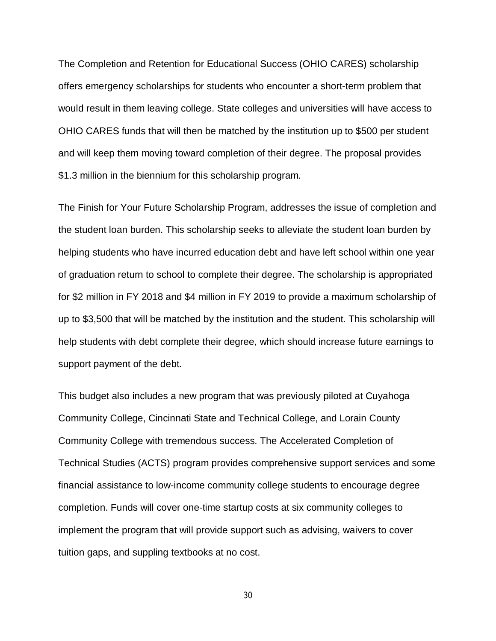The Completion and Retention for Educational Success (OHIO CARES) scholarship offers emergency scholarships for students who encounter a short-term problem that would result in them leaving college. State colleges and universities will have access to OHIO CARES funds that will then be matched by the institution up to \$500 per student and will keep them moving toward completion of their degree. The proposal provides \$1.3 million in the biennium for this scholarship program.

The Finish for Your Future Scholarship Program, addresses the issue of completion and the student loan burden. This scholarship seeks to alleviate the student loan burden by helping students who have incurred education debt and have left school within one year of graduation return to school to complete their degree. The scholarship is appropriated for \$2 million in FY 2018 and \$4 million in FY 2019 to provide a maximum scholarship of up to \$3,500 that will be matched by the institution and the student. This scholarship will help students with debt complete their degree, which should increase future earnings to support payment of the debt.

This budget also includes a new program that was previously piloted at Cuyahoga Community College, Cincinnati State and Technical College, and Lorain County Community College with tremendous success. The Accelerated Completion of Technical Studies (ACTS) program provides comprehensive support services and some financial assistance to low-income community college students to encourage degree completion. Funds will cover one-time startup costs at six community colleges to implement the program that will provide support such as advising, waivers to cover tuition gaps, and suppling textbooks at no cost.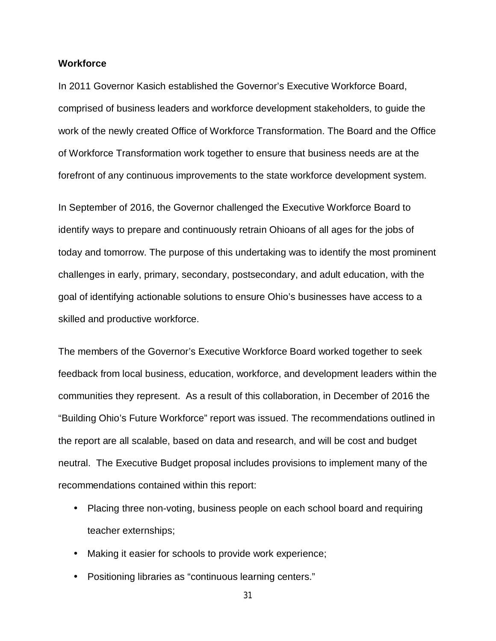## **Workforce**

In 2011 Governor Kasich established the Governor's Executive Workforce Board, comprised of business leaders and workforce development stakeholders, to guide the work of the newly created Office of Workforce Transformation. The Board and the Office of Workforce Transformation work together to ensure that business needs are at the forefront of any continuous improvements to the state workforce development system.

In September of 2016, the Governor challenged the Executive Workforce Board to identify ways to prepare and continuously retrain Ohioans of all ages for the jobs of today and tomorrow. The purpose of this undertaking was to identify the most prominent challenges in early, primary, secondary, postsecondary, and adult education, with the goal of identifying actionable solutions to ensure Ohio's businesses have access to a skilled and productive workforce.

The members of the Governor's Executive Workforce Board worked together to seek feedback from local business, education, workforce, and development leaders within the communities they represent. As a result of this collaboration, in December of 2016 the "Building Ohio's Future Workforce" report was issued. The recommendations outlined in the report are all scalable, based on data and research, and will be cost and budget neutral. The Executive Budget proposal includes provisions to implement many of the recommendations contained within this report:

- Placing three non-voting, business people on each school board and requiring teacher externships;
- Making it easier for schools to provide work experience;
- Positioning libraries as "continuous learning centers."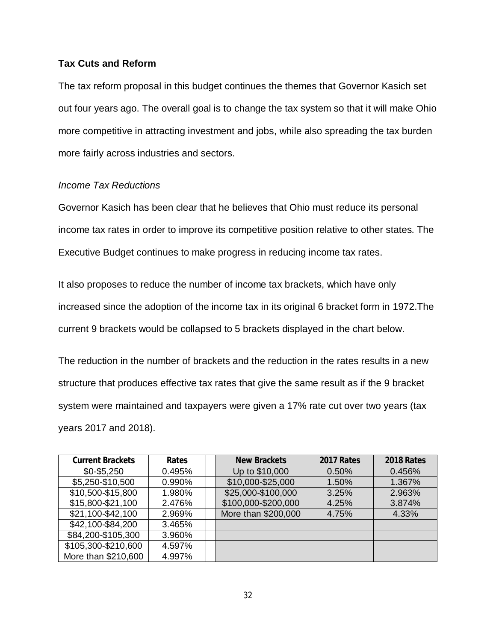## **Tax Cuts and Reform**

The tax reform proposal in this budget continues the themes that Governor Kasich set out four years ago. The overall goal is to change the tax system so that it will make Ohio more competitive in attracting investment and jobs, while also spreading the tax burden more fairly across industries and sectors.

## *Income Tax Reductions*

Governor Kasich has been clear that he believes that Ohio must reduce its personal income tax rates in order to improve its competitive position relative to other states. The Executive Budget continues to make progress in reducing income tax rates.

It also proposes to reduce the number of income tax brackets, which have only increased since the adoption of the income tax in its original 6 bracket form in 1972.The current 9 brackets would be collapsed to 5 brackets displayed in the chart below.

The reduction in the number of brackets and the reduction in the rates results in a new structure that produces effective tax rates that give the same result as if the 9 bracket system were maintained and taxpayers were given a 17% rate cut over two years (tax years 2017 and 2018).

| <b>Current Brackets</b> | Rates  | <b>New Brackets</b> | 2017 Rates | 2018 Rates |
|-------------------------|--------|---------------------|------------|------------|
| $$0 - $5,250$           | 0.495% | Up to \$10,000      | 0.50%      | 0.456%     |
| \$5,250-\$10,500        | 0.990% | \$10,000-\$25,000   | 1.50%      | 1.367%     |
| \$10,500-\$15,800       | 1.980% | \$25,000-\$100,000  | 3.25%      | 2.963%     |
| \$15,800-\$21,100       | 2.476% | \$100,000-\$200,000 | 4.25%      | 3.874%     |
| \$21,100-\$42,100       | 2.969% | More than \$200,000 | 4.75%      | 4.33%      |
| \$42,100-\$84,200       | 3.465% |                     |            |            |
| \$84,200-\$105,300      | 3.960% |                     |            |            |
| \$105,300-\$210,600     | 4.597% |                     |            |            |
| More than \$210,600     | 4.997% |                     |            |            |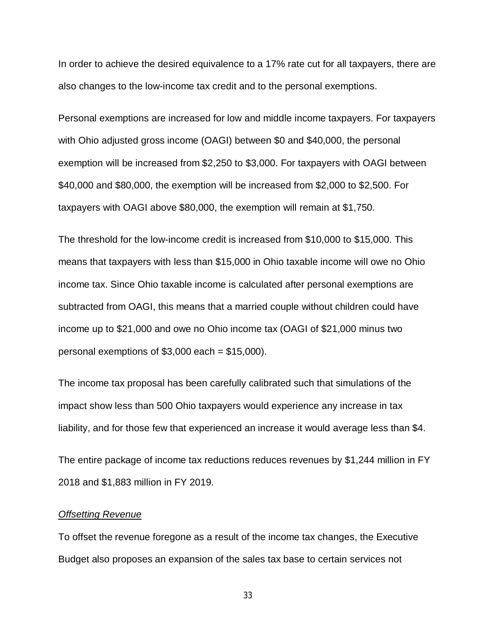In order to achieve the desired equivalence to a 17% rate cut for all taxpayers, there are also changes to the low-income tax credit and to the personal exemptions.

Personal exemptions are increased for low and middle income taxpayers. For taxpayers with Ohio adjusted gross income (OAGI) between \$0 and \$40,000, the personal exemption will be increased from \$2,250 to \$3,000. For taxpayers with OAGI between \$40,000 and \$80,000, the exemption will be increased from \$2,000 to \$2,500. For taxpayers with OAGI above \$80,000, the exemption will remain at \$1,750.

The threshold for the low-income credit is increased from \$10,000 to \$15,000. This means that taxpayers with less than \$15,000 in Ohio taxable income will owe no Ohio income tax. Since Ohio taxable income is calculated after personal exemptions are subtracted from OAGI, this means that a married couple without children could have income up to \$21,000 and owe no Ohio income tax (OAGI of \$21,000 minus two personal exemptions of  $$3,000$  each =  $$15,000$ ).

The income tax proposal has been carefully calibrated such that simulations of the impact show less than 500 Ohio taxpayers would experience any increase in tax liability, and for those few that experienced an increase it would average less than \$4.

The entire package of income tax reductions reduces revenues by \$1,244 million in FY 2018 and \$1,883 million in FY 2019.

#### *Offsetting Revenue*

To offset the revenue foregone as a result of the income tax changes, the Executive Budget also proposes an expansion of the sales tax base to certain services not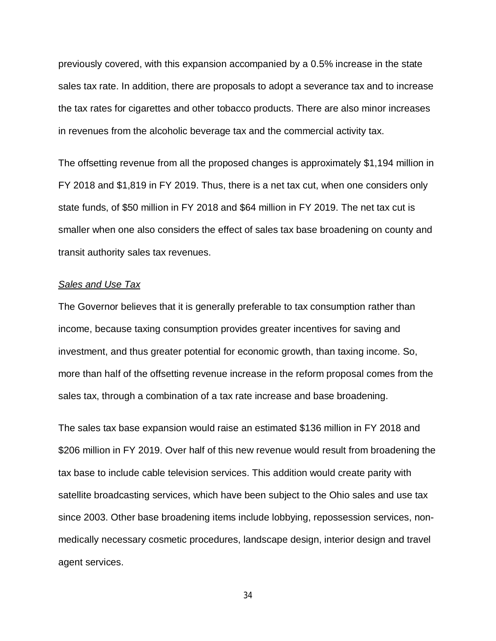previously covered, with this expansion accompanied by a 0.5% increase in the state sales tax rate. In addition, there are proposals to adopt a severance tax and to increase the tax rates for cigarettes and other tobacco products. There are also minor increases in revenues from the alcoholic beverage tax and the commercial activity tax.

The offsetting revenue from all the proposed changes is approximately \$1,194 million in FY 2018 and \$1,819 in FY 2019. Thus, there is a net tax cut, when one considers only state funds, of \$50 million in FY 2018 and \$64 million in FY 2019. The net tax cut is smaller when one also considers the effect of sales tax base broadening on county and transit authority sales tax revenues.

## *Sales and Use Tax*

The Governor believes that it is generally preferable to tax consumption rather than income, because taxing consumption provides greater incentives for saving and investment, and thus greater potential for economic growth, than taxing income. So, more than half of the offsetting revenue increase in the reform proposal comes from the sales tax, through a combination of a tax rate increase and base broadening.

The sales tax base expansion would raise an estimated \$136 million in FY 2018 and \$206 million in FY 2019. Over half of this new revenue would result from broadening the tax base to include cable television services. This addition would create parity with satellite broadcasting services, which have been subject to the Ohio sales and use tax since 2003. Other base broadening items include lobbying, repossession services, nonmedically necessary cosmetic procedures, landscape design, interior design and travel agent services.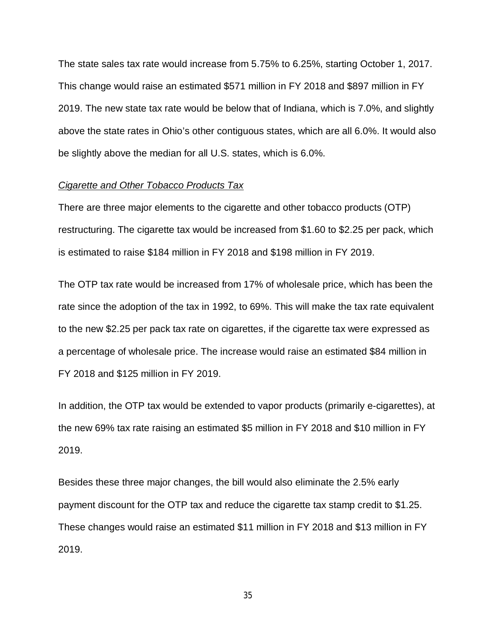The state sales tax rate would increase from 5.75% to 6.25%, starting October 1, 2017. This change would raise an estimated \$571 million in FY 2018 and \$897 million in FY 2019. The new state tax rate would be below that of Indiana, which is 7.0%, and slightly above the state rates in Ohio's other contiguous states, which are all 6.0%. It would also be slightly above the median for all U.S. states, which is 6.0%.

#### *Cigarette and Other Tobacco Products Tax*

There are three major elements to the cigarette and other tobacco products (OTP) restructuring. The cigarette tax would be increased from \$1.60 to \$2.25 per pack, which is estimated to raise \$184 million in FY 2018 and \$198 million in FY 2019.

The OTP tax rate would be increased from 17% of wholesale price, which has been the rate since the adoption of the tax in 1992, to 69%. This will make the tax rate equivalent to the new \$2.25 per pack tax rate on cigarettes, if the cigarette tax were expressed as a percentage of wholesale price. The increase would raise an estimated \$84 million in FY 2018 and \$125 million in FY 2019.

In addition, the OTP tax would be extended to vapor products (primarily e-cigarettes), at the new 69% tax rate raising an estimated \$5 million in FY 2018 and \$10 million in FY 2019.

Besides these three major changes, the bill would also eliminate the 2.5% early payment discount for the OTP tax and reduce the cigarette tax stamp credit to \$1.25. These changes would raise an estimated \$11 million in FY 2018 and \$13 million in FY 2019.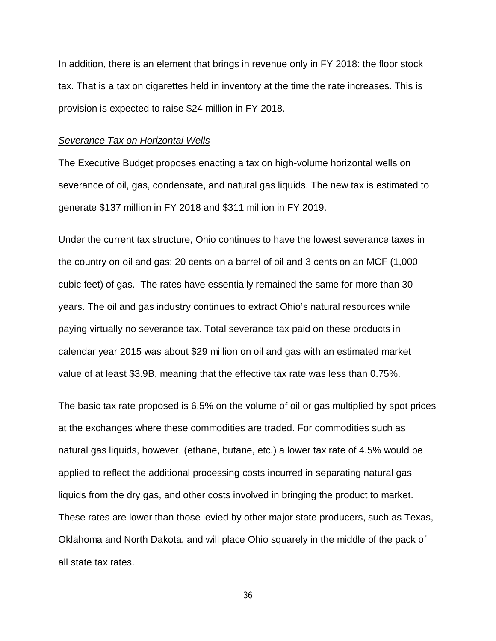In addition, there is an element that brings in revenue only in FY 2018: the floor stock tax. That is a tax on cigarettes held in inventory at the time the rate increases. This is provision is expected to raise \$24 million in FY 2018.

#### *Severance Tax on Horizontal Wells*

The Executive Budget proposes enacting a tax on high-volume horizontal wells on severance of oil, gas, condensate, and natural gas liquids. The new tax is estimated to generate \$137 million in FY 2018 and \$311 million in FY 2019.

Under the current tax structure, Ohio continues to have the lowest severance taxes in the country on oil and gas; 20 cents on a barrel of oil and 3 cents on an MCF (1,000 cubic feet) of gas. The rates have essentially remained the same for more than 30 years. The oil and gas industry continues to extract Ohio's natural resources while paying virtually no severance tax. Total severance tax paid on these products in calendar year 2015 was about \$29 million on oil and gas with an estimated market value of at least \$3.9B, meaning that the effective tax rate was less than 0.75%.

The basic tax rate proposed is 6.5% on the volume of oil or gas multiplied by spot prices at the exchanges where these commodities are traded. For commodities such as natural gas liquids, however, (ethane, butane, etc.) a lower tax rate of 4.5% would be applied to reflect the additional processing costs incurred in separating natural gas liquids from the dry gas, and other costs involved in bringing the product to market. These rates are lower than those levied by other major state producers, such as Texas, Oklahoma and North Dakota, and will place Ohio squarely in the middle of the pack of all state tax rates.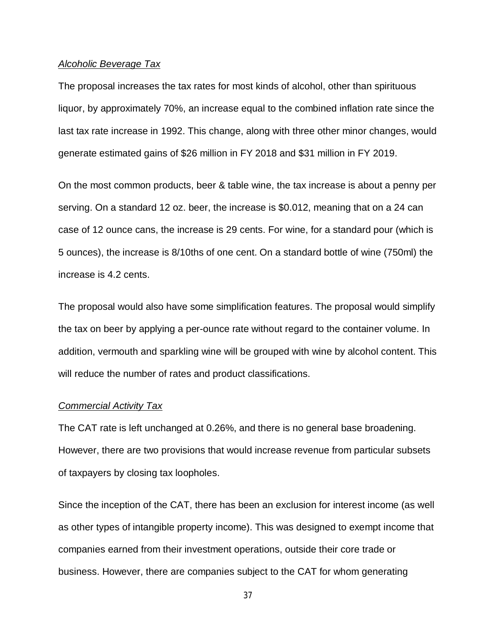### *Alcoholic Beverage Tax*

The proposal increases the tax rates for most kinds of alcohol, other than spirituous liquor, by approximately 70%, an increase equal to the combined inflation rate since the last tax rate increase in 1992. This change, along with three other minor changes, would generate estimated gains of \$26 million in FY 2018 and \$31 million in FY 2019.

On the most common products, beer & table wine, the tax increase is about a penny per serving. On a standard 12 oz. beer, the increase is \$0.012, meaning that on a 24 can case of 12 ounce cans, the increase is 29 cents. For wine, for a standard pour (which is 5 ounces), the increase is 8/10ths of one cent. On a standard bottle of wine (750ml) the increase is 4.2 cents.

The proposal would also have some simplification features. The proposal would simplify the tax on beer by applying a per-ounce rate without regard to the container volume. In addition, vermouth and sparkling wine will be grouped with wine by alcohol content. This will reduce the number of rates and product classifications.

#### *Commercial Activity Tax*

The CAT rate is left unchanged at 0.26%, and there is no general base broadening. However, there are two provisions that would increase revenue from particular subsets of taxpayers by closing tax loopholes.

Since the inception of the CAT, there has been an exclusion for interest income (as well as other types of intangible property income). This was designed to exempt income that companies earned from their investment operations, outside their core trade or business. However, there are companies subject to the CAT for whom generating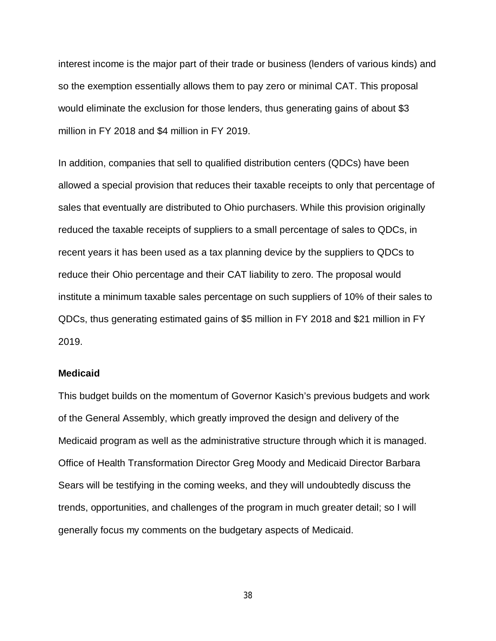interest income is the major part of their trade or business (lenders of various kinds) and so the exemption essentially allows them to pay zero or minimal CAT. This proposal would eliminate the exclusion for those lenders, thus generating gains of about \$3 million in FY 2018 and \$4 million in FY 2019.

In addition, companies that sell to qualified distribution centers (QDCs) have been allowed a special provision that reduces their taxable receipts to only that percentage of sales that eventually are distributed to Ohio purchasers. While this provision originally reduced the taxable receipts of suppliers to a small percentage of sales to QDCs, in recent years it has been used as a tax planning device by the suppliers to QDCs to reduce their Ohio percentage and their CAT liability to zero. The proposal would institute a minimum taxable sales percentage on such suppliers of 10% of their sales to QDCs, thus generating estimated gains of \$5 million in FY 2018 and \$21 million in FY 2019.

## **Medicaid**

This budget builds on the momentum of Governor Kasich's previous budgets and work of the General Assembly, which greatly improved the design and delivery of the Medicaid program as well as the administrative structure through which it is managed. Office of Health Transformation Director Greg Moody and Medicaid Director Barbara Sears will be testifying in the coming weeks, and they will undoubtedly discuss the trends, opportunities, and challenges of the program in much greater detail; so I will generally focus my comments on the budgetary aspects of Medicaid.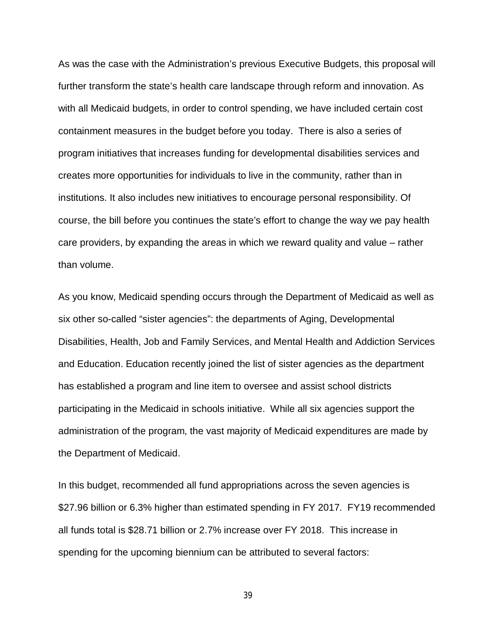As was the case with the Administration's previous Executive Budgets, this proposal will further transform the state's health care landscape through reform and innovation. As with all Medicaid budgets, in order to control spending, we have included certain cost containment measures in the budget before you today. There is also a series of program initiatives that increases funding for developmental disabilities services and creates more opportunities for individuals to live in the community, rather than in institutions. It also includes new initiatives to encourage personal responsibility. Of course, the bill before you continues the state's effort to change the way we pay health care providers, by expanding the areas in which we reward quality and value – rather than volume.

As you know, Medicaid spending occurs through the Department of Medicaid as well as six other so-called "sister agencies": the departments of Aging, Developmental Disabilities, Health, Job and Family Services, and Mental Health and Addiction Services and Education. Education recently joined the list of sister agencies as the department has established a program and line item to oversee and assist school districts participating in the Medicaid in schools initiative. While all six agencies support the administration of the program, the vast majority of Medicaid expenditures are made by the Department of Medicaid.

In this budget, recommended all fund appropriations across the seven agencies is \$27.96 billion or 6.3% higher than estimated spending in FY 2017. FY19 recommended all funds total is \$28.71 billion or 2.7% increase over FY 2018. This increase in spending for the upcoming biennium can be attributed to several factors: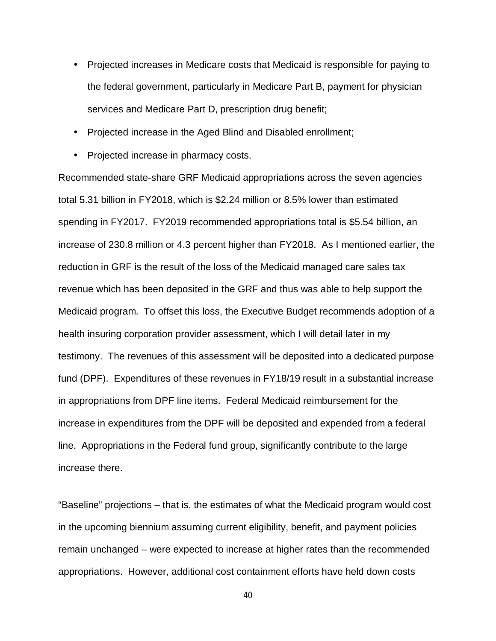- Projected increases in Medicare costs that Medicaid is responsible for paying to the federal government, particularly in Medicare Part B, payment for physician services and Medicare Part D, prescription drug benefit;
- Projected increase in the Aged Blind and Disabled enrollment;
- Projected increase in pharmacy costs.

Recommended state-share GRF Medicaid appropriations across the seven agencies total 5.31 billion in FY2018, which is \$2.24 million or 8.5% lower than estimated spending in FY2017. FY2019 recommended appropriations total is \$5.54 billion, an increase of 230.8 million or 4.3 percent higher than FY2018. As I mentioned earlier, the reduction in GRF is the result of the loss of the Medicaid managed care sales tax revenue which has been deposited in the GRF and thus was able to help support the Medicaid program. To offset this loss, the Executive Budget recommends adoption of a health insuring corporation provider assessment, which I will detail later in my testimony. The revenues of this assessment will be deposited into a dedicated purpose fund (DPF). Expenditures of these revenues in FY18/19 result in a substantial increase in appropriations from DPF line items. Federal Medicaid reimbursement for the increase in expenditures from the DPF will be deposited and expended from a federal line. Appropriations in the Federal fund group, significantly contribute to the large increase there.

"Baseline" projections – that is, the estimates of what the Medicaid program would cost in the upcoming biennium assuming current eligibility, benefit, and payment policies remain unchanged – were expected to increase at higher rates than the recommended appropriations. However, additional cost containment efforts have held down costs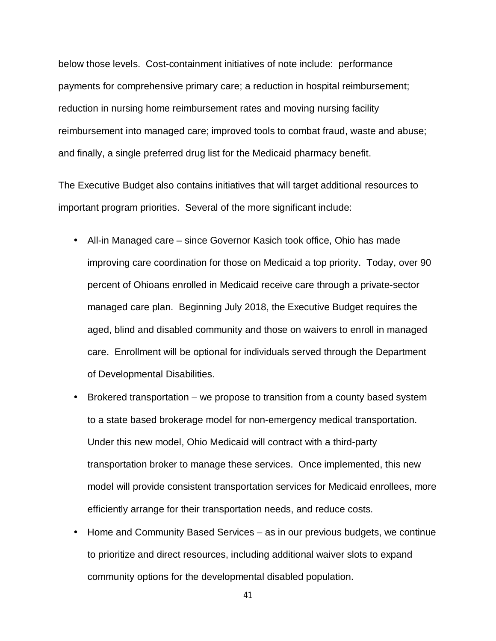below those levels. Cost-containment initiatives of note include: performance payments for comprehensive primary care; a reduction in hospital reimbursement; reduction in nursing home reimbursement rates and moving nursing facility reimbursement into managed care; improved tools to combat fraud, waste and abuse; and finally, a single preferred drug list for the Medicaid pharmacy benefit.

The Executive Budget also contains initiatives that will target additional resources to important program priorities. Several of the more significant include:

- All-in Managed care since Governor Kasich took office, Ohio has made improving care coordination for those on Medicaid a top priority. Today, over 90 percent of Ohioans enrolled in Medicaid receive care through a private-sector managed care plan. Beginning July 2018, the Executive Budget requires the aged, blind and disabled community and those on waivers to enroll in managed care. Enrollment will be optional for individuals served through the Department of Developmental Disabilities.
- Brokered transportation we propose to transition from a county based system to a state based brokerage model for non-emergency medical transportation. Under this new model, Ohio Medicaid will contract with a third-party transportation broker to manage these services. Once implemented, this new model will provide consistent transportation services for Medicaid enrollees, more efficiently arrange for their transportation needs, and reduce costs.
- Home and Community Based Services as in our previous budgets, we continue to prioritize and direct resources, including additional waiver slots to expand community options for the developmental disabled population.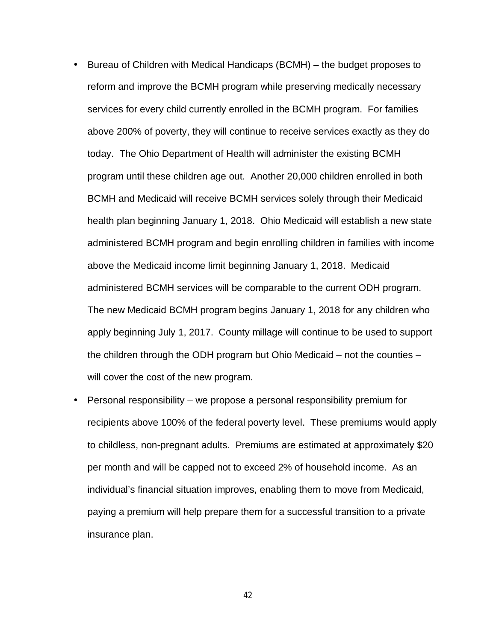Bureau of Children with Medical Handicaps (BCMH) – the budget proposes to reform and improve the BCMH program while preserving medically necessary services for every child currently enrolled in the BCMH program. For families above 200% of poverty, they will continue to receive services exactly as they do today. The Ohio Department of Health will administer the existing BCMH program until these children age out. Another 20,000 children enrolled in both BCMH and Medicaid will receive BCMH services solely through their Medicaid health plan beginning January 1, 2018. Ohio Medicaid will establish a new state administered BCMH program and begin enrolling children in families with income above the Medicaid income limit beginning January 1, 2018. Medicaid administered BCMH services will be comparable to the current ODH program. The new Medicaid BCMH program begins January 1, 2018 for any children who apply beginning July 1, 2017. County millage will continue to be used to support the children through the ODH program but Ohio Medicaid – not the counties – will cover the cost of the new program.

 Personal responsibility – we propose a personal responsibility premium for recipients above 100% of the federal poverty level. These premiums would apply to childless, non-pregnant adults. Premiums are estimated at approximately \$20 per month and will be capped not to exceed 2% of household income. As an individual's financial situation improves, enabling them to move from Medicaid, paying a premium will help prepare them for a successful transition to a private insurance plan.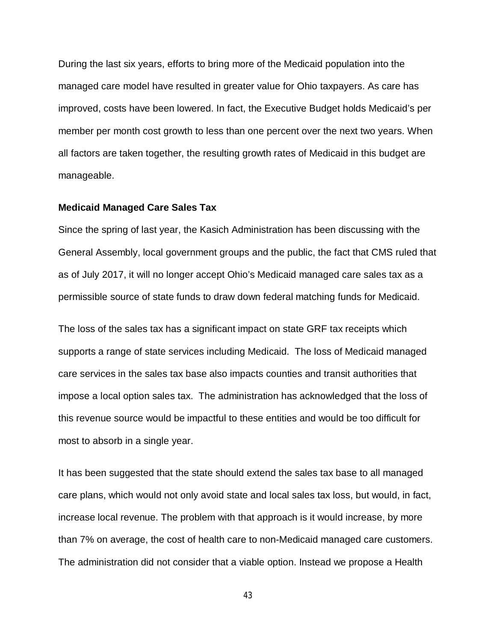During the last six years, efforts to bring more of the Medicaid population into the managed care model have resulted in greater value for Ohio taxpayers. As care has improved, costs have been lowered. In fact, the Executive Budget holds Medicaid's per member per month cost growth to less than one percent over the next two years. When all factors are taken together, the resulting growth rates of Medicaid in this budget are manageable.

#### **Medicaid Managed Care Sales Tax**

Since the spring of last year, the Kasich Administration has been discussing with the General Assembly, local government groups and the public, the fact that CMS ruled that as of July 2017, it will no longer accept Ohio's Medicaid managed care sales tax as a permissible source of state funds to draw down federal matching funds for Medicaid.

The loss of the sales tax has a significant impact on state GRF tax receipts which supports a range of state services including Medicaid. The loss of Medicaid managed care services in the sales tax base also impacts counties and transit authorities that impose a local option sales tax. The administration has acknowledged that the loss of this revenue source would be impactful to these entities and would be too difficult for most to absorb in a single year.

It has been suggested that the state should extend the sales tax base to all managed care plans, which would not only avoid state and local sales tax loss, but would, in fact, increase local revenue. The problem with that approach is it would increase, by more than 7% on average, the cost of health care to non-Medicaid managed care customers. The administration did not consider that a viable option. Instead we propose a Health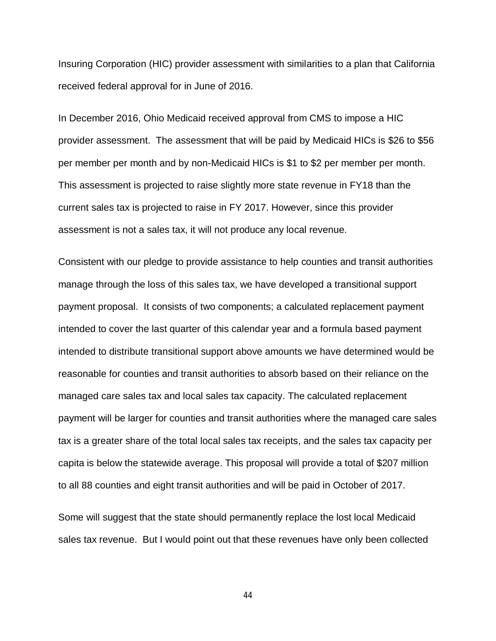Insuring Corporation (HIC) provider assessment with similarities to a plan that California received federal approval for in June of 2016.

In December 2016, Ohio Medicaid received approval from CMS to impose a HIC provider assessment. The assessment that will be paid by Medicaid HICs is \$26 to \$56 per member per month and by non-Medicaid HICs is \$1 to \$2 per member per month. This assessment is projected to raise slightly more state revenue in FY18 than the current sales tax is projected to raise in FY 2017. However, since this provider assessment is not a sales tax, it will not produce any local revenue.

Consistent with our pledge to provide assistance to help counties and transit authorities manage through the loss of this sales tax, we have developed a transitional support payment proposal. It consists of two components; a calculated replacement payment intended to cover the last quarter of this calendar year and a formula based payment intended to distribute transitional support above amounts we have determined would be reasonable for counties and transit authorities to absorb based on their reliance on the managed care sales tax and local sales tax capacity. The calculated replacement payment will be larger for counties and transit authorities where the managed care sales tax is a greater share of the total local sales tax receipts, and the sales tax capacity per capita is below the statewide average. This proposal will provide a total of \$207 million to all 88 counties and eight transit authorities and will be paid in October of 2017.

Some will suggest that the state should permanently replace the lost local Medicaid sales tax revenue. But I would point out that these revenues have only been collected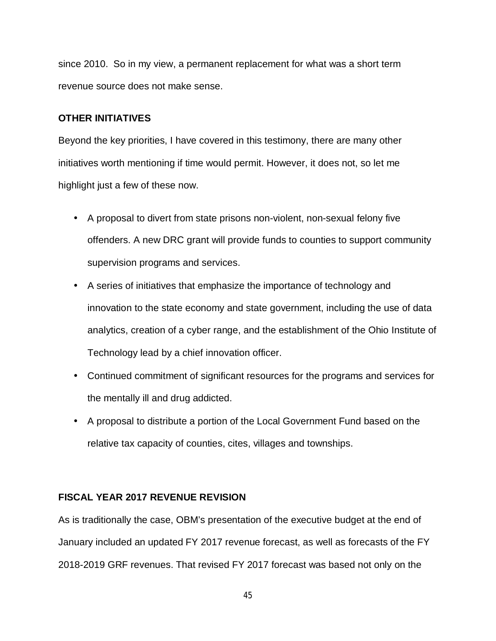since 2010. So in my view, a permanent replacement for what was a short term revenue source does not make sense.

## **OTHER INITIATIVES**

Beyond the key priorities, I have covered in this testimony, there are many other initiatives worth mentioning if time would permit. However, it does not, so let me highlight just a few of these now.

- A proposal to divert from state prisons non-violent, non-sexual felony five offenders. A new DRC grant will provide funds to counties to support community supervision programs and services.
- A series of initiatives that emphasize the importance of technology and innovation to the state economy and state government, including the use of data analytics, creation of a cyber range, and the establishment of the Ohio Institute of Technology lead by a chief innovation officer.
- Continued commitment of significant resources for the programs and services for the mentally ill and drug addicted.
- A proposal to distribute a portion of the Local Government Fund based on the relative tax capacity of counties, cites, villages and townships.

## **FISCAL YEAR 2017 REVENUE REVISION**

As is traditionally the case, OBM's presentation of the executive budget at the end of January included an updated FY 2017 revenue forecast, as well as forecasts of the FY 2018-2019 GRF revenues. That revised FY 2017 forecast was based not only on the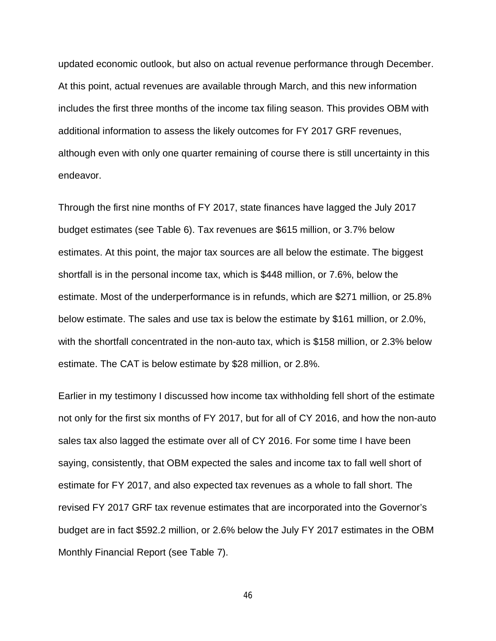updated economic outlook, but also on actual revenue performance through December. At this point, actual revenues are available through March, and this new information includes the first three months of the income tax filing season. This provides OBM with additional information to assess the likely outcomes for FY 2017 GRF revenues, although even with only one quarter remaining of course there is still uncertainty in this endeavor.

Through the first nine months of FY 2017, state finances have lagged the July 2017 budget estimates (see Table 6). Tax revenues are \$615 million, or 3.7% below estimates. At this point, the major tax sources are all below the estimate. The biggest shortfall is in the personal income tax, which is \$448 million, or 7.6%, below the estimate. Most of the underperformance is in refunds, which are \$271 million, or 25.8% below estimate. The sales and use tax is below the estimate by \$161 million, or 2.0%, with the shortfall concentrated in the non-auto tax, which is \$158 million, or 2.3% below estimate. The CAT is below estimate by \$28 million, or 2.8%.

Earlier in my testimony I discussed how income tax withholding fell short of the estimate not only for the first six months of FY 2017, but for all of CY 2016, and how the non-auto sales tax also lagged the estimate over all of CY 2016. For some time I have been saying, consistently, that OBM expected the sales and income tax to fall well short of estimate for FY 2017, and also expected tax revenues as a whole to fall short. The revised FY 2017 GRF tax revenue estimates that are incorporated into the Governor's budget are in fact \$592.2 million, or 2.6% below the July FY 2017 estimates in the OBM Monthly Financial Report (see Table 7).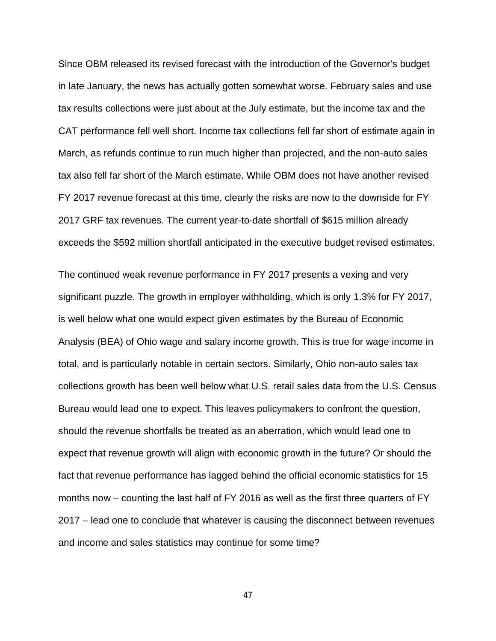Since OBM released its revised forecast with the introduction of the Governor's budget in late January, the news has actually gotten somewhat worse. February sales and use tax results collections were just about at the July estimate, but the income tax and the CAT performance fell well short. Income tax collections fell far short of estimate again in March, as refunds continue to run much higher than projected, and the non-auto sales tax also fell far short of the March estimate. While OBM does not have another revised FY 2017 revenue forecast at this time, clearly the risks are now to the downside for FY 2017 GRF tax revenues. The current year-to-date shortfall of \$615 million already exceeds the \$592 million shortfall anticipated in the executive budget revised estimates.

The continued weak revenue performance in FY 2017 presents a vexing and very significant puzzle. The growth in employer withholding, which is only 1.3% for FY 2017, is well below what one would expect given estimates by the Bureau of Economic Analysis (BEA) of Ohio wage and salary income growth. This is true for wage income in total, and is particularly notable in certain sectors. Similarly, Ohio non-auto sales tax collections growth has been well below what U.S. retail sales data from the U.S. Census Bureau would lead one to expect. This leaves policymakers to confront the question, should the revenue shortfalls be treated as an aberration, which would lead one to expect that revenue growth will align with economic growth in the future? Or should the fact that revenue performance has lagged behind the official economic statistics for 15 months now – counting the last half of FY 2016 as well as the first three quarters of FY 2017 – lead one to conclude that whatever is causing the disconnect between revenues and income and sales statistics may continue for some time?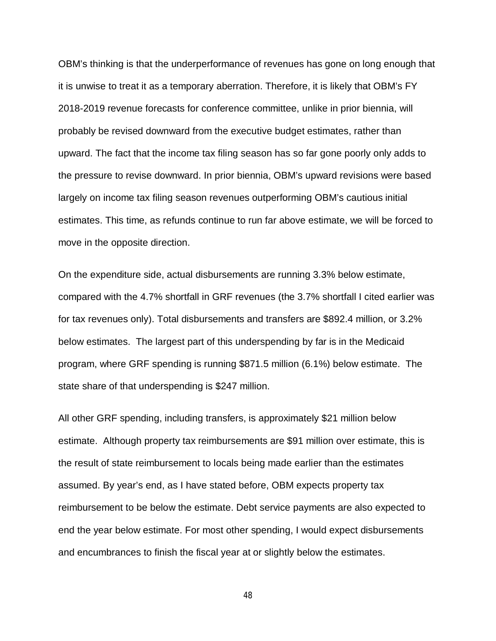OBM's thinking is that the underperformance of revenues has gone on long enough that it is unwise to treat it as a temporary aberration. Therefore, it is likely that OBM's FY 2018-2019 revenue forecasts for conference committee, unlike in prior biennia, will probably be revised downward from the executive budget estimates, rather than upward. The fact that the income tax filing season has so far gone poorly only adds to the pressure to revise downward. In prior biennia, OBM's upward revisions were based largely on income tax filing season revenues outperforming OBM's cautious initial estimates. This time, as refunds continue to run far above estimate, we will be forced to move in the opposite direction.

On the expenditure side, actual disbursements are running 3.3% below estimate, compared with the 4.7% shortfall in GRF revenues (the 3.7% shortfall I cited earlier was for tax revenues only). Total disbursements and transfers are \$892.4 million, or 3.2% below estimates. The largest part of this underspending by far is in the Medicaid program, where GRF spending is running \$871.5 million (6.1%) below estimate. The state share of that underspending is \$247 million.

All other GRF spending, including transfers, is approximately \$21 million below estimate. Although property tax reimbursements are \$91 million over estimate, this is the result of state reimbursement to locals being made earlier than the estimates assumed. By year's end, as I have stated before, OBM expects property tax reimbursement to be below the estimate. Debt service payments are also expected to end the year below estimate. For most other spending, I would expect disbursements and encumbrances to finish the fiscal year at or slightly below the estimates.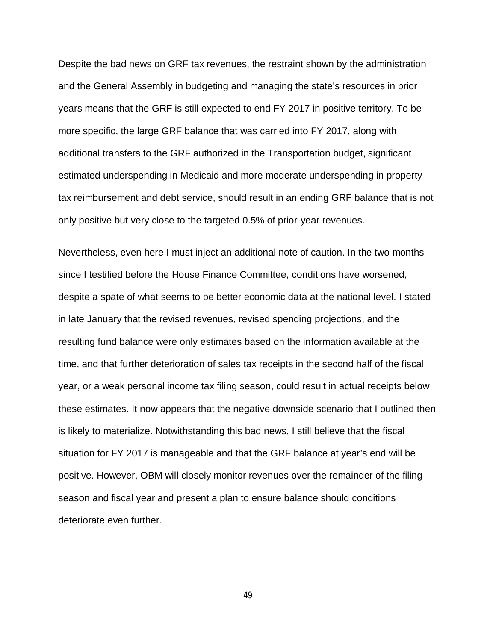Despite the bad news on GRF tax revenues, the restraint shown by the administration and the General Assembly in budgeting and managing the state's resources in prior years means that the GRF is still expected to end FY 2017 in positive territory. To be more specific, the large GRF balance that was carried into FY 2017, along with additional transfers to the GRF authorized in the Transportation budget, significant estimated underspending in Medicaid and more moderate underspending in property tax reimbursement and debt service, should result in an ending GRF balance that is not only positive but very close to the targeted 0.5% of prior-year revenues.

Nevertheless, even here I must inject an additional note of caution. In the two months since I testified before the House Finance Committee, conditions have worsened, despite a spate of what seems to be better economic data at the national level. I stated in late January that the revised revenues, revised spending projections, and the resulting fund balance were only estimates based on the information available at the time, and that further deterioration of sales tax receipts in the second half of the fiscal year, or a weak personal income tax filing season, could result in actual receipts below these estimates. It now appears that the negative downside scenario that I outlined then is likely to materialize. Notwithstanding this bad news, I still believe that the fiscal situation for FY 2017 is manageable and that the GRF balance at year's end will be positive. However, OBM will closely monitor revenues over the remainder of the filing season and fiscal year and present a plan to ensure balance should conditions deteriorate even further.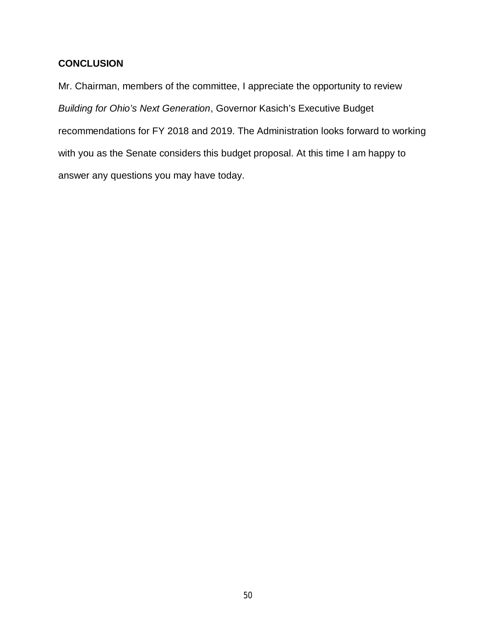## **CONCLUSION**

Mr. Chairman, members of the committee, I appreciate the opportunity to review *Building for Ohio's Next Generation*, Governor Kasich's Executive Budget recommendations for FY 2018 and 2019. The Administration looks forward to working with you as the Senate considers this budget proposal. At this time I am happy to answer any questions you may have today.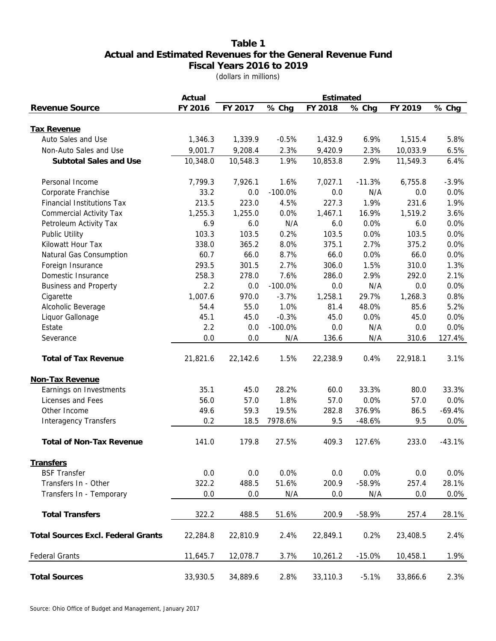## **Table 1 Actual and Estimated Revenues for the General Revenue Fund Fiscal Years 2016 to 2019** (dollars in millions)

|                                           | Actual   | Estimated |           |          |          |          |          |  |  |  |  |  |
|-------------------------------------------|----------|-----------|-----------|----------|----------|----------|----------|--|--|--|--|--|
| <b>Revenue Source</b>                     | FY 2016  | FY 2017   | % Chg     | FY 2018  | % Chg    | FY 2019  | % Chg    |  |  |  |  |  |
|                                           |          |           |           |          |          |          |          |  |  |  |  |  |
| <b>Tax Revenue</b><br>Auto Sales and Use  | 1,346.3  | 1,339.9   | $-0.5%$   | 1,432.9  | 6.9%     | 1,515.4  | 5.8%     |  |  |  |  |  |
| Non-Auto Sales and Use                    | 9,001.7  | 9,208.4   | 2.3%      | 9,420.9  | 2.3%     | 10,033.9 | 6.5%     |  |  |  |  |  |
| Subtotal Sales and Use                    | 10,348.0 | 10,548.3  | 1.9%      | 10,853.8 | 2.9%     | 11,549.3 | 6.4%     |  |  |  |  |  |
|                                           |          |           |           |          |          |          |          |  |  |  |  |  |
| Personal Income                           | 7,799.3  | 7,926.1   | 1.6%      | 7,027.1  | $-11.3%$ | 6,755.8  | $-3.9%$  |  |  |  |  |  |
| Corporate Franchise                       | 33.2     | 0.0       | $-100.0%$ | 0.0      | N/A      | 0.0      | 0.0%     |  |  |  |  |  |
| <b>Financial Institutions Tax</b>         | 213.5    | 223.0     | 4.5%      | 227.3    | 1.9%     | 231.6    | 1.9%     |  |  |  |  |  |
| <b>Commercial Activity Tax</b>            | 1,255.3  | 1,255.0   | 0.0%      | 1,467.1  | 16.9%    | 1,519.2  | 3.6%     |  |  |  |  |  |
| Petroleum Activity Tax                    | 6.9      | 6.0       | N/A       | 6.0      | 0.0%     | 6.0      | 0.0%     |  |  |  |  |  |
| Public Utility                            | 103.3    | 103.5     | 0.2%      | 103.5    | 0.0%     | 103.5    | 0.0%     |  |  |  |  |  |
| Kilowatt Hour Tax                         | 338.0    | 365.2     | 8.0%      | 375.1    | 2.7%     | 375.2    | 0.0%     |  |  |  |  |  |
| Natural Gas Consumption                   | 60.7     | 66.0      | 8.7%      | 66.0     | 0.0%     | 66.0     | 0.0%     |  |  |  |  |  |
| Foreign Insurance                         | 293.5    | 301.5     | 2.7%      | 306.0    | 1.5%     | 310.0    | 1.3%     |  |  |  |  |  |
| Domestic Insurance                        | 258.3    | 278.0     | 7.6%      | 286.0    | 2.9%     | 292.0    | 2.1%     |  |  |  |  |  |
| <b>Business and Property</b>              | 2.2      | $0.0\,$   | $-100.0%$ | 0.0      | N/A      | 0.0      | 0.0%     |  |  |  |  |  |
| Cigarette                                 | 1,007.6  | 970.0     | $-3.7%$   | 1,258.1  | 29.7%    | 1,268.3  | 0.8%     |  |  |  |  |  |
| Alcoholic Beverage                        | 54.4     | 55.0      | 1.0%      | 81.4     | 48.0%    | 85.6     | 5.2%     |  |  |  |  |  |
| Liquor Gallonage                          | 45.1     | 45.0      | $-0.3%$   | 45.0     | 0.0%     | 45.0     | 0.0%     |  |  |  |  |  |
| Estate                                    | 2.2      | 0.0       | $-100.0%$ | 0.0      | N/A      | 0.0      | 0.0%     |  |  |  |  |  |
| Severance                                 | 0.0      | 0.0       | N/A       | 136.6    | N/A      | 310.6    | 127.4%   |  |  |  |  |  |
| <b>Total of Tax Revenue</b>               | 21,821.6 | 22,142.6  | 1.5%      | 22,238.9 | 0.4%     | 22,918.1 | 3.1%     |  |  |  |  |  |
| Non-Tax Revenue                           |          |           |           |          |          |          |          |  |  |  |  |  |
| Earnings on Investments                   | 35.1     | 45.0      | 28.2%     | 60.0     | 33.3%    | 80.0     | 33.3%    |  |  |  |  |  |
| Licenses and Fees                         | 56.0     | 57.0      | 1.8%      | 57.0     | 0.0%     | 57.0     | 0.0%     |  |  |  |  |  |
| Other Income                              | 49.6     | 59.3      | 19.5%     | 282.8    | 376.9%   | 86.5     | $-69.4%$ |  |  |  |  |  |
| <b>Interagency Transfers</b>              | 0.2      | 18.5      | 7978.6%   | 9.5      | $-48.6%$ | 9.5      | 0.0%     |  |  |  |  |  |
|                                           |          |           |           |          |          |          |          |  |  |  |  |  |
| <b>Total of Non-Tax Revenue</b>           | 141.0    | 179.8     | 27.5%     | 409.3    | 127.6%   | 233.0    | $-43.1%$ |  |  |  |  |  |
| <b>Transfers</b>                          |          |           |           |          |          |          |          |  |  |  |  |  |
| <b>BSF Transfer</b>                       | 0.0      | 0.0       | 0.0%      | 0.0      | 0.0%     | 0.0      | 0.0%     |  |  |  |  |  |
| Transfers In - Other                      | 322.2    | 488.5     | 51.6%     | 200.9    | $-58.9%$ | 257.4    | 28.1%    |  |  |  |  |  |
| Transfers In - Temporary                  | 0.0      | 0.0       | N/A       | 0.0      | N/A      | 0.0      | 0.0%     |  |  |  |  |  |
|                                           |          |           |           |          |          |          |          |  |  |  |  |  |
| <b>Total Transfers</b>                    | 322.2    | 488.5     | 51.6%     | 200.9    | $-58.9%$ | 257.4    | 28.1%    |  |  |  |  |  |
| <b>Total Sources Excl. Federal Grants</b> | 22,284.8 | 22,810.9  | 2.4%      | 22,849.1 | 0.2%     | 23,408.5 | 2.4%     |  |  |  |  |  |
| <b>Federal Grants</b>                     | 11,645.7 | 12,078.7  | 3.7%      | 10,261.2 | $-15.0%$ | 10,458.1 | 1.9%     |  |  |  |  |  |
| <b>Total Sources</b>                      | 33,930.5 | 34,889.6  | 2.8%      | 33,110.3 | $-5.1%$  | 33,866.6 | 2.3%     |  |  |  |  |  |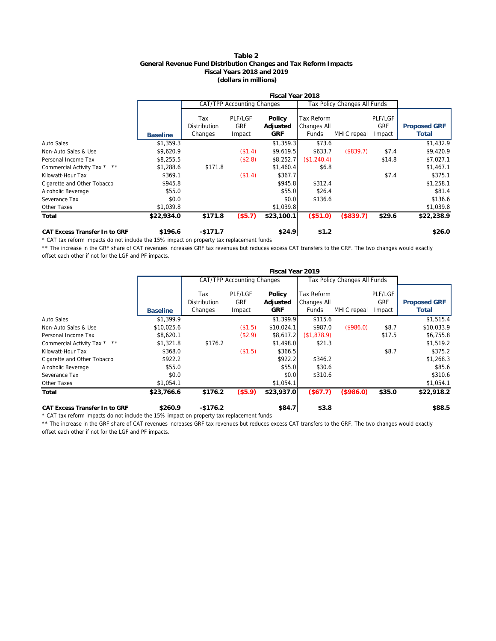#### **Table 2 General Revenue Fund Distribution Changes and Tax Reform Impacts Fiscal Years 2018 and 2019 (dollars in millions)**

|                               |                 |                                       |                                 | Fiscal Year 2018                 |                                    |                              |                                 |                              |
|-------------------------------|-----------------|---------------------------------------|---------------------------------|----------------------------------|------------------------------------|------------------------------|---------------------------------|------------------------------|
|                               |                 |                                       | CAT/TPP Accounting Changes      |                                  |                                    | Tax Policy Changes All Funds |                                 |                              |
|                               | <b>Baseline</b> | Tax<br><b>Distribution</b><br>Changes | PLF/LGF<br><b>GRF</b><br>Impact | Policy<br>Adjusted<br><b>GRF</b> | Tax Reform<br>Changes All<br>Funds | MHIC repeal                  | PLF/LGF<br><b>GRF</b><br>Impact | <b>Proposed GRF</b><br>Total |
| <b>Auto Sales</b>             | \$1,359.3       |                                       |                                 | \$1,359.3                        | \$73.6                             |                              |                                 | \$1,432.9                    |
| Non-Auto Sales & Use          | \$9,620.9       |                                       | (\$1.4)                         | \$9,619.5                        | \$633.7                            | (\$839.7)                    | \$7.4                           | \$9,420.9                    |
| Personal Income Tax           | \$8,255.5       |                                       | (\$2.8)                         | \$8,252.7                        | (\$1,240.4)                        |                              | \$14.8                          | \$7,027.1                    |
| Commercial Activity Tax * **  | \$1,288.6       | \$171.8                               |                                 | \$1,460.4                        | \$6.8                              |                              |                                 | \$1,467.1                    |
| Kilowatt-Hour Tax             | \$369.1         |                                       | (\$1.4)                         | \$367.7                          |                                    |                              | \$7.4                           | \$375.1                      |
| Cigarette and Other Tobacco   | \$945.8         |                                       |                                 | \$945.8                          | \$312.4                            |                              |                                 | \$1,258.1                    |
| Alcoholic Beverage            | \$55.0          |                                       |                                 | \$55.0                           | \$26.4                             |                              |                                 | \$81.4                       |
| Severance Tax                 | \$0.0           |                                       |                                 | \$0.0                            | \$136.6                            |                              |                                 | \$136.6                      |
| Other Taxes                   | \$1,039.8       |                                       |                                 | \$1,039.8                        |                                    |                              |                                 | \$1,039.8                    |
| Total                         | \$22,934.0      | \$171.8                               | (\$5.7)                         | \$23,100.1                       | (\$51.0)                           | (\$839.7)                    | \$29.6                          | \$22,238.9                   |
| CAT Excess Transfer In to GRF | \$196.6         | $-$171.7$                             |                                 | \$24.9                           | \$1.2                              |                              |                                 | \$26.0                       |

\* CAT tax reform impacts do not include the 15% impact on property tax replacement funds

\*\* The increase in the GRF share of CAT revenues increases GRF tax revenues but reduces excess CAT transfers to the GRF. The two changes would exactly offset each other if not for the LGF and PF impacts.

|                                   |                 |                                       |                                        | Fiscal Year 2019          |                                           |                              |                                 |                              |
|-----------------------------------|-----------------|---------------------------------------|----------------------------------------|---------------------------|-------------------------------------------|------------------------------|---------------------------------|------------------------------|
|                                   |                 |                                       | CAT/TPP Accounting Changes             |                           |                                           | Tax Policy Changes All Funds |                                 |                              |
|                                   | <b>Baseline</b> | Tax<br><b>Distribution</b><br>Changes | <b>PLF/LGF</b><br><b>GRF</b><br>Impact | Policy<br>Adjusted<br>GRF | Tax Reform<br><b>Changes All</b><br>Funds | MHIC repeal                  | PLF/LGF<br><b>GRF</b><br>Impact | <b>Proposed GRF</b><br>Total |
| Auto Sales                        | \$1,399.9       |                                       |                                        | \$1,399.9                 | \$115.6                                   |                              |                                 | \$1,515.4                    |
| Non-Auto Sales & Use              | \$10,025.6      |                                       | (\$1.5)                                | \$10,024.1                | \$987.0                                   | (\$986.0)                    | \$8.7                           | \$10,033.9                   |
| Personal Income Tax               | \$8,620.1       |                                       | (\$2.9)                                | \$8,617.2                 | \$1,878.9                                 |                              | \$17.5                          | \$6,755.8                    |
| $**$<br>Commercial Activity Tax * | \$1,321.8       | \$176.2                               |                                        | \$1,498.0                 | \$21.3                                    |                              |                                 | \$1,519.2                    |
| Kilowatt-Hour Tax                 | \$368.0         |                                       | (\$1.5)                                | \$366.5                   |                                           |                              | \$8.7                           | \$375.2                      |
| Cigarette and Other Tobacco       | \$922.2         |                                       |                                        | \$922.2                   | \$346.2                                   |                              |                                 | \$1,268.3                    |
| Alcoholic Beverage                | \$55.0          |                                       |                                        | \$55.0                    | \$30.6                                    |                              |                                 | \$85.6                       |
| Severance Tax                     | \$0.0           |                                       |                                        | \$0.0                     | \$310.6                                   |                              |                                 | \$310.6                      |
| Other Taxes                       | \$1,054.1       |                                       |                                        | \$1,054.1                 |                                           |                              |                                 | \$1,054.1                    |
| Total                             | \$23,766.6      | \$176.2                               | (\$5.9)                                | \$23,937.0                | (\$67.7)                                  | (\$986.0)                    | \$35.0                          | \$22,918.2                   |
| CAT Excess Transfer In to GRF     | \$260.9         | $-$ \$176.2                           |                                        | \$84.7                    | \$3.8                                     |                              |                                 | \$88.5                       |

\* CAT tax reform impacts do not include the 15% impact on property tax replacement funds

\*\* The increase in the GRF share of CAT revenues increases GRF tax revenues but reduces excess CAT transfers to the GRF. The two changes would exactly offset each other if not for the LGF and PF impacts.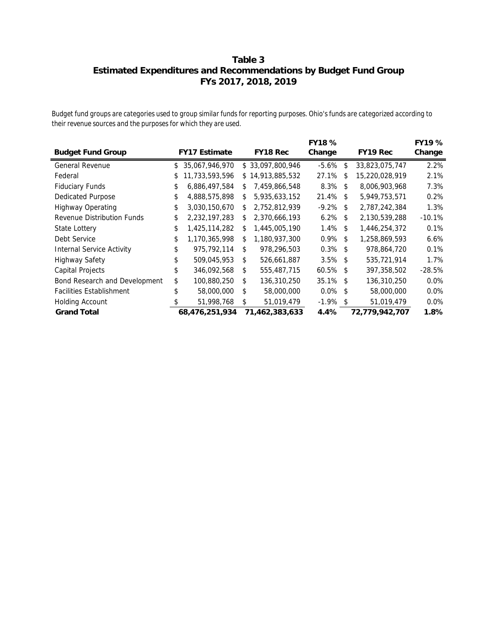## **Estimated Expenditures and Recommendations by Budget Fund Group FYs 2017, 2018, 2019 Table 3**

*Budget fund groups are categories used to group similar funds for reporting purposes. Ohio's funds are categorized according to their revenue sources and the purposes for which they are used.*

|                                  |                      |     |                  | FY18 %      |                | FY19 %   |
|----------------------------------|----------------------|-----|------------------|-------------|----------------|----------|
| <b>Budget Fund Group</b>         | <b>FY17 Estimate</b> |     | FY18 Rec         | Change      | FY19 Rec       | Change   |
| <b>General Revenue</b>           | \$<br>35,067,946,970 |     | \$33,097,800,946 | $-5.6\%$ \$ | 33,823,075,747 | 2.2%     |
| Federal                          | \$<br>11,733,593,596 |     | \$14,913,885,532 | 27.1% \$    | 15,220,028,919 | 2.1%     |
| <b>Fiduciary Funds</b>           | \$<br>6,886,497,584  | \$  | 7,459,866,548    | $8.3\%$ \$  | 8,006,903,968  | 7.3%     |
| <b>Dedicated Purpose</b>         | \$<br>4,888,575,898  | \$  | 5,935,633,152    | 21.4% \$    | 5,949,753,571  | 0.2%     |
| <b>Highway Operating</b>         | \$<br>3,030,150,670  | \$  | 2,752,812,939    | $-9.2\%$ \$ | 2,787,242,384  | 1.3%     |
| Revenue Distribution Funds       | 2,232,197,283        | \$  | 2,370,666,193    | $6.2\%$ \$  | 2,130,539,288  | $-10.1%$ |
| State Lottery                    | \$<br>1,425,114,282  | \$  | 1,445,005,190    | $1.4\%$ \$  | 1,446,254,372  | 0.1%     |
| Debt Service                     | \$<br>1,170,365,998  | \$  | 1,180,937,300    | $0.9\%$ \$  | 1,258,869,593  | 6.6%     |
| <b>Internal Service Activity</b> | \$<br>975,792,114    | \$. | 978,296,503      | $0.3\%$ \$  | 978,864,720    | 0.1%     |
| <b>Highway Safety</b>            | 509,045,953          | \$. | 526,661,887      | $3.5\%$ \$  | 535.721.914    | 1.7%     |
| Capital Projects                 | \$<br>346,092,568    | \$  | 555,487,715      | $60.5\%$ \$ | 397,358,502    | $-28.5%$ |
| Bond Research and Development    | \$<br>100,880,250    | \$  | 136,310,250      | 35.1% \$    | 136,310,250    | $0.0\%$  |
| <b>Facilities Establishment</b>  | \$<br>58,000,000     | \$  | 58,000,000       | $0.0\%$ \$  | 58,000,000     | $0.0\%$  |
| <b>Holding Account</b>           | 51,998,768           | \$  | 51,019,479       | $-1.9\%$ \$ | 51,019,479     | $0.0\%$  |
| <b>Grand Total</b>               | 68,476,251,934       |     | 71,462,383,633   | 4.4%        | 72,779,942,707 | 1.8%     |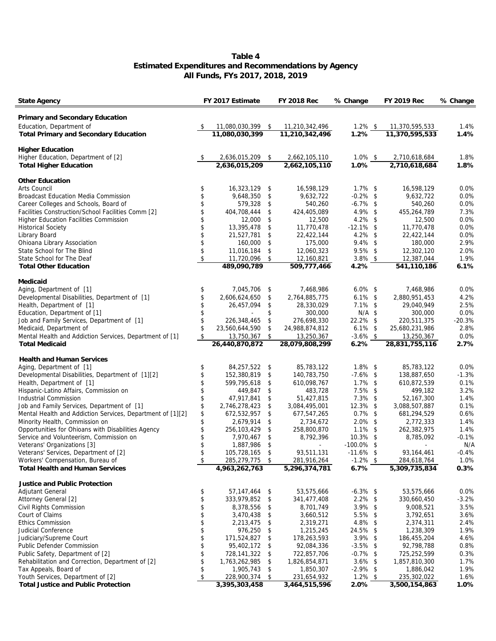#### **Table 4 Estimated Expenditures and Recommendations by Agency All Funds, FYs 2017, 2018, 2019**

| Primary and Secondary Education<br>Education, Department of<br>$1.2\%$ \$<br>1.4%<br>11,080,030,399 \$<br>11,210,342,496<br>11,370,595,533<br>- \$<br>11,080,030,399<br>11,210,342,496<br>11,370,595,533<br>1.4%<br>Total Primary and Secondary Education<br>1.2%<br><b>Higher Education</b><br>Higher Education, Department of [2]<br>2,662,105,110<br>$1.0\%$ \$<br>1.8%<br>2,636,015,209<br>\$<br>2,710,618,684<br>2,636,015,209<br>2,662,105,110<br>1.0%<br>2,710,618,684<br>1.8%<br><b>Total Higher Education</b><br>Other Education<br>Arts Council<br>16,323,129<br>16,598,129<br>$1.7\%$ \$<br>16,598,129<br>0.0%<br>\$<br>\$<br>$-0.2\%$ \$<br>Broadcast Education Media Commission<br>\$<br>9,648,350<br>\$<br>9,632,722<br>9,632,722<br>0.0%<br>\$<br>$-6.7\%$ \$<br>0.0%<br>Career Colleges and Schools, Board of<br>579,328<br>540,260<br>540,260<br>\$<br>\$<br>$4.9\%$ \$<br>7.3%<br>Facilities Construction/School Facilities Comm [2]<br>404,708,444<br>\$<br>424,405,089<br>455,264,789<br>\$<br>$4.2\%$ \$<br>0.0%<br>\$<br><b>Higher Education Facilities Commission</b><br>12,000<br>12,500<br>12,500<br>\$<br>0.0%<br><b>Historical Society</b><br>\$<br>11,770,478<br>$-12.1\%$ \$<br>11,770,478<br>13,395,478<br>\$<br>Library Board<br>\$<br>22,422,144<br>$4.2\%$ \$<br>22,422,144<br>0.0%<br>21,527,781<br>\$<br>$9.4\%$ \$<br>2.9%<br>Ohioana Library Association<br>160,000<br>175,000<br>180,000<br>\$<br>\$<br>$9.5\%$ \$<br>2.0%<br>State School for The Blind<br>11,016,184<br>\$<br>12,060,323<br>12,302,120<br>\$<br>$3.8\%$ \$<br>1.9%<br>State School for The Deaf<br>11,720,096<br>\$<br>12,160,821<br>12,387,044<br>489.090.789<br>509,777,466<br><b>Total Other Education</b><br>4.2%<br>541,110,186<br>6.1%<br>Medicaid<br>Aging, Department of [1]<br>7,045,706<br>7,468,986<br>$6.0\%$ \$<br>7,468,986<br>0.0%<br>\$<br>\$<br>\$<br>4.2%<br>Developmental Disabilities, Department of [1]<br>2,606,624,650<br>\$<br>2,764,885,775<br>$6.1\%$ \$<br>2,880,951,453<br>2.5%<br>Health, Department of [1]<br>\$<br>\$<br>28,330,029<br>$7.1\%$ \$<br>29,040,949<br>26,457,094<br>\$<br>\$<br>Education, Department of [1]<br>300,000<br>$N/A$ \$<br>300,000<br>0.0%<br>\$<br>Job and Family Services, Department of [1]<br>22.2% \$<br>276,698,330<br>220,511,375<br>$-20.3%$<br>226,348,465<br>\$<br>\$<br>Medicaid, Department of<br>23,560,644,590<br>\$<br>24,988,874,812<br>$6.1\%$ \$<br>25,680,231,986<br>2.8%<br>\$<br>$-3.6\%$ \$<br>0.0%<br>Mental Health and Addiction Services, Department of [1]<br>\$<br>13,750,367<br>13,250,367<br>13,250,367<br>26,440,870,872<br>28,079,808,299<br>28,831,755,116<br><b>Total Medicaid</b><br>6.2%<br>2.7%<br><b>Health and Human Services</b><br>Aging, Department of [1]<br>84,257,522<br>85,783,122<br>$1.8\%$ \$<br>85,783,122<br>0.0%<br>\$<br>\$<br>\$<br>$-7.6\%$ \$<br>Developmental Disabilities, Department of [1][2]<br>152,380,819<br>\$<br>140,783,750<br>$-1.3%$<br>138,887,650<br>\$<br>Health, Department of [1]<br>599,795,618<br>\$<br>610,098,767<br>$1.7\%$ \$<br>610,872,539<br>0.1%<br>\$<br>7.5% \$<br>Hispanic-Latino Affairs, Commission on<br>449,847<br>\$<br>483,728<br>3.2%<br>499,182<br><b>Industrial Commission</b><br>\$<br>$7.3\%$ \$<br>1.4%<br>47,917,841<br>\$<br>51,427,815<br>52, 167, 300<br>\$<br>12.3% \$<br>0.1%<br>Job and Family Services, Department of [1]<br>2,746,278,423<br>\$<br>3,084,495,001<br>3,088,507,887<br>\$<br>$0.7\%$ \$<br>Mental Health and Addiction Services, Department of [1][2]<br>\$<br>677,547,265<br>0.6%<br>672,532,957<br>681,294,529<br>\$<br>Minority Health, Commission on<br>2,679,914<br>\$<br>$2.0\%$ \$<br>2,772,333<br>1.4%<br>2,734,672<br>\$<br>Opportunities for Ohioans with Disabilities Agency<br>256,103,429<br>\$<br>258,800,870<br>$1.1\%$ \$<br>262,382,975<br>1.4%<br>\$<br>Service and Volunteerism, Commission on<br>7,970,467<br>8,792,396<br>$10.3\%$ \$<br>8,785,092<br>$-0.1%$<br>\$<br>\$<br>Veterans' Organizations [3]<br>1,887,986<br>\$<br>$-100.0\%$ \$<br>N/A<br>\$<br>Veterans' Services, Department of [2]<br>\$<br>93,511,131<br>$-11.6\%$ \$<br>$-0.4%$<br>105,728,165<br>93,164,461<br>Workers' Compensation, Bureau of<br>\$<br>285,279,775<br>\$<br>281,916,264<br>$-1.2\%$ \$<br>284,618,764<br>1.0%<br>5,296,374,781<br>5,309,735,834<br><b>Total Health and Human Services</b><br>4,963,262,763<br>6.7%<br>0.3%<br>Justice and Public Protection<br>$-6.3\%$ \$<br>\$<br>53,575,666<br>0.0%<br><b>Adjutant General</b><br>57,147,464<br>\$<br>53,575,666<br>\$<br>$2.2\%$ \$<br>Attorney General [2]<br>333,979,852<br>\$<br>$-3.2%$<br>341,477,408<br>330,660,450<br>\$<br>Civil Rights Commission<br>$3.9\%$ \$<br>3.5%<br>8,378,556<br>\$<br>8,701,749<br>9,008,521<br>\$<br>Court of Claims<br>3,470,438<br>$5.5\%$ \$<br>3.6%<br>3,660,512<br>3,792,651<br>\$<br>\$<br>4.8% \$<br><b>Ethics Commission</b><br>2,319,271<br>2.4%<br>2,213,475<br>\$<br>2,374,311<br>\$<br>24.5% \$<br>1.9%<br>976,250<br>Judicial Conference<br>\$<br>1,215,245<br>1,238,309<br>\$<br>Judiciary/Supreme Court<br>171,524,827<br>178,263,593<br>$3.9\%$ \$<br>186,455,204<br>4.6%<br>\$<br>\$<br>$-3.5\%$ \$<br>92,798,788<br>0.8%<br>Public Defender Commission<br>95,402,172<br>\$<br>92,084,336<br>\$<br>$-0.7\%$ \$<br>0.3%<br>Public Safety, Department of [2]<br>728,141,322<br>\$<br>722,857,706<br>725,252,599<br>\$<br>Rehabilitation and Correction, Department of [2]<br>$3.6\%$ \$<br>1.7%<br>1,763,262,985<br>\$<br>1,826,854,871<br>1,857,810,300<br>\$<br>$-2.9\%$ \$<br>1,905,743<br>1.9%<br>Tax Appeals, Board of<br>\$<br>1,850,307<br>1,886,042<br>Youth Services, Department of [2]<br>\$<br>228,900,374<br>$1.2\%$ \$<br>235,302,022<br>1.6%<br>\$<br>231,654,932<br>Total Justice and Public Protection<br>3,395,303,458<br>3,464,515,596<br>2.0%<br>3,500,154,863<br>1.0% | State Agency | FY 2017 Estimate | FY 2018 Rec | % Change | FY 2019 Rec | % Change |
|--------------------------------------------------------------------------------------------------------------------------------------------------------------------------------------------------------------------------------------------------------------------------------------------------------------------------------------------------------------------------------------------------------------------------------------------------------------------------------------------------------------------------------------------------------------------------------------------------------------------------------------------------------------------------------------------------------------------------------------------------------------------------------------------------------------------------------------------------------------------------------------------------------------------------------------------------------------------------------------------------------------------------------------------------------------------------------------------------------------------------------------------------------------------------------------------------------------------------------------------------------------------------------------------------------------------------------------------------------------------------------------------------------------------------------------------------------------------------------------------------------------------------------------------------------------------------------------------------------------------------------------------------------------------------------------------------------------------------------------------------------------------------------------------------------------------------------------------------------------------------------------------------------------------------------------------------------------------------------------------------------------------------------------------------------------------------------------------------------------------------------------------------------------------------------------------------------------------------------------------------------------------------------------------------------------------------------------------------------------------------------------------------------------------------------------------------------------------------------------------------------------------------------------------------------------------------------------------------------------------------------------------------------------------------------------------------------------------------------------------------------------------------------------------------------------------------------------------------------------------------------------------------------------------------------------------------------------------------------------------------------------------------------------------------------------------------------------------------------------------------------------------------------------------------------------------------------------------------------------------------------------------------------------------------------------------------------------------------------------------------------------------------------------------------------------------------------------------------------------------------------------------------------------------------------------------------------------------------------------------------------------------------------------------------------------------------------------------------------------------------------------------------------------------------------------------------------------------------------------------------------------------------------------------------------------------------------------------------------------------------------------------------------------------------------------------------------------------------------------------------------------------------------------------------------------------------------------------------------------------------------------------------------------------------------------------------------------------------------------------------------------------------------------------------------------------------------------------------------------------------------------------------------------------------------------------------------------------------------------------------------------------------------------------------------------------------------------------------------------------------------------------------------------------------------------------------------------------------------------------------------------------------------------------------------------------------------------------------------------------------------------------------------------------------------------------------------------------------------------------------------------------------------------------------------------------------------------------------------------------------------------------------------------------------------------------------------------------------------------------------------------------------------------------------------------------------------------------------------------------------------------------------------------------------------------------------------------------------------------------------------------------------------------------------------------------------------------------------------------------------------------------------------------------------------------------------------------------------------------------------------------------------|--------------|------------------|-------------|----------|-------------|----------|
|                                                                                                                                                                                                                                                                                                                                                                                                                                                                                                                                                                                                                                                                                                                                                                                                                                                                                                                                                                                                                                                                                                                                                                                                                                                                                                                                                                                                                                                                                                                                                                                                                                                                                                                                                                                                                                                                                                                                                                                                                                                                                                                                                                                                                                                                                                                                                                                                                                                                                                                                                                                                                                                                                                                                                                                                                                                                                                                                                                                                                                                                                                                                                                                                                                                                                                                                                                                                                                                                                                                                                                                                                                                                                                                                                                                                                                                                                                                                                                                                                                                                                                                                                                                                                                                                                                                                                                                                                                                                                                                                                                                                                                                                                                                                                                                                                                                                                                                                                                                                                                                                                                                                                                                                                                                                                                                                                                                                                                                                                                                                                                                                                                                                                                                                                                                                                                                                                                  |              |                  |             |          |             |          |
|                                                                                                                                                                                                                                                                                                                                                                                                                                                                                                                                                                                                                                                                                                                                                                                                                                                                                                                                                                                                                                                                                                                                                                                                                                                                                                                                                                                                                                                                                                                                                                                                                                                                                                                                                                                                                                                                                                                                                                                                                                                                                                                                                                                                                                                                                                                                                                                                                                                                                                                                                                                                                                                                                                                                                                                                                                                                                                                                                                                                                                                                                                                                                                                                                                                                                                                                                                                                                                                                                                                                                                                                                                                                                                                                                                                                                                                                                                                                                                                                                                                                                                                                                                                                                                                                                                                                                                                                                                                                                                                                                                                                                                                                                                                                                                                                                                                                                                                                                                                                                                                                                                                                                                                                                                                                                                                                                                                                                                                                                                                                                                                                                                                                                                                                                                                                                                                                                                  |              |                  |             |          |             |          |
|                                                                                                                                                                                                                                                                                                                                                                                                                                                                                                                                                                                                                                                                                                                                                                                                                                                                                                                                                                                                                                                                                                                                                                                                                                                                                                                                                                                                                                                                                                                                                                                                                                                                                                                                                                                                                                                                                                                                                                                                                                                                                                                                                                                                                                                                                                                                                                                                                                                                                                                                                                                                                                                                                                                                                                                                                                                                                                                                                                                                                                                                                                                                                                                                                                                                                                                                                                                                                                                                                                                                                                                                                                                                                                                                                                                                                                                                                                                                                                                                                                                                                                                                                                                                                                                                                                                                                                                                                                                                                                                                                                                                                                                                                                                                                                                                                                                                                                                                                                                                                                                                                                                                                                                                                                                                                                                                                                                                                                                                                                                                                                                                                                                                                                                                                                                                                                                                                                  |              |                  |             |          |             |          |
|                                                                                                                                                                                                                                                                                                                                                                                                                                                                                                                                                                                                                                                                                                                                                                                                                                                                                                                                                                                                                                                                                                                                                                                                                                                                                                                                                                                                                                                                                                                                                                                                                                                                                                                                                                                                                                                                                                                                                                                                                                                                                                                                                                                                                                                                                                                                                                                                                                                                                                                                                                                                                                                                                                                                                                                                                                                                                                                                                                                                                                                                                                                                                                                                                                                                                                                                                                                                                                                                                                                                                                                                                                                                                                                                                                                                                                                                                                                                                                                                                                                                                                                                                                                                                                                                                                                                                                                                                                                                                                                                                                                                                                                                                                                                                                                                                                                                                                                                                                                                                                                                                                                                                                                                                                                                                                                                                                                                                                                                                                                                                                                                                                                                                                                                                                                                                                                                                                  |              |                  |             |          |             |          |
|                                                                                                                                                                                                                                                                                                                                                                                                                                                                                                                                                                                                                                                                                                                                                                                                                                                                                                                                                                                                                                                                                                                                                                                                                                                                                                                                                                                                                                                                                                                                                                                                                                                                                                                                                                                                                                                                                                                                                                                                                                                                                                                                                                                                                                                                                                                                                                                                                                                                                                                                                                                                                                                                                                                                                                                                                                                                                                                                                                                                                                                                                                                                                                                                                                                                                                                                                                                                                                                                                                                                                                                                                                                                                                                                                                                                                                                                                                                                                                                                                                                                                                                                                                                                                                                                                                                                                                                                                                                                                                                                                                                                                                                                                                                                                                                                                                                                                                                                                                                                                                                                                                                                                                                                                                                                                                                                                                                                                                                                                                                                                                                                                                                                                                                                                                                                                                                                                                  |              |                  |             |          |             |          |
|                                                                                                                                                                                                                                                                                                                                                                                                                                                                                                                                                                                                                                                                                                                                                                                                                                                                                                                                                                                                                                                                                                                                                                                                                                                                                                                                                                                                                                                                                                                                                                                                                                                                                                                                                                                                                                                                                                                                                                                                                                                                                                                                                                                                                                                                                                                                                                                                                                                                                                                                                                                                                                                                                                                                                                                                                                                                                                                                                                                                                                                                                                                                                                                                                                                                                                                                                                                                                                                                                                                                                                                                                                                                                                                                                                                                                                                                                                                                                                                                                                                                                                                                                                                                                                                                                                                                                                                                                                                                                                                                                                                                                                                                                                                                                                                                                                                                                                                                                                                                                                                                                                                                                                                                                                                                                                                                                                                                                                                                                                                                                                                                                                                                                                                                                                                                                                                                                                  |              |                  |             |          |             |          |
|                                                                                                                                                                                                                                                                                                                                                                                                                                                                                                                                                                                                                                                                                                                                                                                                                                                                                                                                                                                                                                                                                                                                                                                                                                                                                                                                                                                                                                                                                                                                                                                                                                                                                                                                                                                                                                                                                                                                                                                                                                                                                                                                                                                                                                                                                                                                                                                                                                                                                                                                                                                                                                                                                                                                                                                                                                                                                                                                                                                                                                                                                                                                                                                                                                                                                                                                                                                                                                                                                                                                                                                                                                                                                                                                                                                                                                                                                                                                                                                                                                                                                                                                                                                                                                                                                                                                                                                                                                                                                                                                                                                                                                                                                                                                                                                                                                                                                                                                                                                                                                                                                                                                                                                                                                                                                                                                                                                                                                                                                                                                                                                                                                                                                                                                                                                                                                                                                                  |              |                  |             |          |             |          |
|                                                                                                                                                                                                                                                                                                                                                                                                                                                                                                                                                                                                                                                                                                                                                                                                                                                                                                                                                                                                                                                                                                                                                                                                                                                                                                                                                                                                                                                                                                                                                                                                                                                                                                                                                                                                                                                                                                                                                                                                                                                                                                                                                                                                                                                                                                                                                                                                                                                                                                                                                                                                                                                                                                                                                                                                                                                                                                                                                                                                                                                                                                                                                                                                                                                                                                                                                                                                                                                                                                                                                                                                                                                                                                                                                                                                                                                                                                                                                                                                                                                                                                                                                                                                                                                                                                                                                                                                                                                                                                                                                                                                                                                                                                                                                                                                                                                                                                                                                                                                                                                                                                                                                                                                                                                                                                                                                                                                                                                                                                                                                                                                                                                                                                                                                                                                                                                                                                  |              |                  |             |          |             |          |
|                                                                                                                                                                                                                                                                                                                                                                                                                                                                                                                                                                                                                                                                                                                                                                                                                                                                                                                                                                                                                                                                                                                                                                                                                                                                                                                                                                                                                                                                                                                                                                                                                                                                                                                                                                                                                                                                                                                                                                                                                                                                                                                                                                                                                                                                                                                                                                                                                                                                                                                                                                                                                                                                                                                                                                                                                                                                                                                                                                                                                                                                                                                                                                                                                                                                                                                                                                                                                                                                                                                                                                                                                                                                                                                                                                                                                                                                                                                                                                                                                                                                                                                                                                                                                                                                                                                                                                                                                                                                                                                                                                                                                                                                                                                                                                                                                                                                                                                                                                                                                                                                                                                                                                                                                                                                                                                                                                                                                                                                                                                                                                                                                                                                                                                                                                                                                                                                                                  |              |                  |             |          |             |          |
|                                                                                                                                                                                                                                                                                                                                                                                                                                                                                                                                                                                                                                                                                                                                                                                                                                                                                                                                                                                                                                                                                                                                                                                                                                                                                                                                                                                                                                                                                                                                                                                                                                                                                                                                                                                                                                                                                                                                                                                                                                                                                                                                                                                                                                                                                                                                                                                                                                                                                                                                                                                                                                                                                                                                                                                                                                                                                                                                                                                                                                                                                                                                                                                                                                                                                                                                                                                                                                                                                                                                                                                                                                                                                                                                                                                                                                                                                                                                                                                                                                                                                                                                                                                                                                                                                                                                                                                                                                                                                                                                                                                                                                                                                                                                                                                                                                                                                                                                                                                                                                                                                                                                                                                                                                                                                                                                                                                                                                                                                                                                                                                                                                                                                                                                                                                                                                                                                                  |              |                  |             |          |             |          |
|                                                                                                                                                                                                                                                                                                                                                                                                                                                                                                                                                                                                                                                                                                                                                                                                                                                                                                                                                                                                                                                                                                                                                                                                                                                                                                                                                                                                                                                                                                                                                                                                                                                                                                                                                                                                                                                                                                                                                                                                                                                                                                                                                                                                                                                                                                                                                                                                                                                                                                                                                                                                                                                                                                                                                                                                                                                                                                                                                                                                                                                                                                                                                                                                                                                                                                                                                                                                                                                                                                                                                                                                                                                                                                                                                                                                                                                                                                                                                                                                                                                                                                                                                                                                                                                                                                                                                                                                                                                                                                                                                                                                                                                                                                                                                                                                                                                                                                                                                                                                                                                                                                                                                                                                                                                                                                                                                                                                                                                                                                                                                                                                                                                                                                                                                                                                                                                                                                  |              |                  |             |          |             |          |
|                                                                                                                                                                                                                                                                                                                                                                                                                                                                                                                                                                                                                                                                                                                                                                                                                                                                                                                                                                                                                                                                                                                                                                                                                                                                                                                                                                                                                                                                                                                                                                                                                                                                                                                                                                                                                                                                                                                                                                                                                                                                                                                                                                                                                                                                                                                                                                                                                                                                                                                                                                                                                                                                                                                                                                                                                                                                                                                                                                                                                                                                                                                                                                                                                                                                                                                                                                                                                                                                                                                                                                                                                                                                                                                                                                                                                                                                                                                                                                                                                                                                                                                                                                                                                                                                                                                                                                                                                                                                                                                                                                                                                                                                                                                                                                                                                                                                                                                                                                                                                                                                                                                                                                                                                                                                                                                                                                                                                                                                                                                                                                                                                                                                                                                                                                                                                                                                                                  |              |                  |             |          |             |          |
|                                                                                                                                                                                                                                                                                                                                                                                                                                                                                                                                                                                                                                                                                                                                                                                                                                                                                                                                                                                                                                                                                                                                                                                                                                                                                                                                                                                                                                                                                                                                                                                                                                                                                                                                                                                                                                                                                                                                                                                                                                                                                                                                                                                                                                                                                                                                                                                                                                                                                                                                                                                                                                                                                                                                                                                                                                                                                                                                                                                                                                                                                                                                                                                                                                                                                                                                                                                                                                                                                                                                                                                                                                                                                                                                                                                                                                                                                                                                                                                                                                                                                                                                                                                                                                                                                                                                                                                                                                                                                                                                                                                                                                                                                                                                                                                                                                                                                                                                                                                                                                                                                                                                                                                                                                                                                                                                                                                                                                                                                                                                                                                                                                                                                                                                                                                                                                                                                                  |              |                  |             |          |             |          |
|                                                                                                                                                                                                                                                                                                                                                                                                                                                                                                                                                                                                                                                                                                                                                                                                                                                                                                                                                                                                                                                                                                                                                                                                                                                                                                                                                                                                                                                                                                                                                                                                                                                                                                                                                                                                                                                                                                                                                                                                                                                                                                                                                                                                                                                                                                                                                                                                                                                                                                                                                                                                                                                                                                                                                                                                                                                                                                                                                                                                                                                                                                                                                                                                                                                                                                                                                                                                                                                                                                                                                                                                                                                                                                                                                                                                                                                                                                                                                                                                                                                                                                                                                                                                                                                                                                                                                                                                                                                                                                                                                                                                                                                                                                                                                                                                                                                                                                                                                                                                                                                                                                                                                                                                                                                                                                                                                                                                                                                                                                                                                                                                                                                                                                                                                                                                                                                                                                  |              |                  |             |          |             |          |
|                                                                                                                                                                                                                                                                                                                                                                                                                                                                                                                                                                                                                                                                                                                                                                                                                                                                                                                                                                                                                                                                                                                                                                                                                                                                                                                                                                                                                                                                                                                                                                                                                                                                                                                                                                                                                                                                                                                                                                                                                                                                                                                                                                                                                                                                                                                                                                                                                                                                                                                                                                                                                                                                                                                                                                                                                                                                                                                                                                                                                                                                                                                                                                                                                                                                                                                                                                                                                                                                                                                                                                                                                                                                                                                                                                                                                                                                                                                                                                                                                                                                                                                                                                                                                                                                                                                                                                                                                                                                                                                                                                                                                                                                                                                                                                                                                                                                                                                                                                                                                                                                                                                                                                                                                                                                                                                                                                                                                                                                                                                                                                                                                                                                                                                                                                                                                                                                                                  |              |                  |             |          |             |          |
|                                                                                                                                                                                                                                                                                                                                                                                                                                                                                                                                                                                                                                                                                                                                                                                                                                                                                                                                                                                                                                                                                                                                                                                                                                                                                                                                                                                                                                                                                                                                                                                                                                                                                                                                                                                                                                                                                                                                                                                                                                                                                                                                                                                                                                                                                                                                                                                                                                                                                                                                                                                                                                                                                                                                                                                                                                                                                                                                                                                                                                                                                                                                                                                                                                                                                                                                                                                                                                                                                                                                                                                                                                                                                                                                                                                                                                                                                                                                                                                                                                                                                                                                                                                                                                                                                                                                                                                                                                                                                                                                                                                                                                                                                                                                                                                                                                                                                                                                                                                                                                                                                                                                                                                                                                                                                                                                                                                                                                                                                                                                                                                                                                                                                                                                                                                                                                                                                                  |              |                  |             |          |             |          |
|                                                                                                                                                                                                                                                                                                                                                                                                                                                                                                                                                                                                                                                                                                                                                                                                                                                                                                                                                                                                                                                                                                                                                                                                                                                                                                                                                                                                                                                                                                                                                                                                                                                                                                                                                                                                                                                                                                                                                                                                                                                                                                                                                                                                                                                                                                                                                                                                                                                                                                                                                                                                                                                                                                                                                                                                                                                                                                                                                                                                                                                                                                                                                                                                                                                                                                                                                                                                                                                                                                                                                                                                                                                                                                                                                                                                                                                                                                                                                                                                                                                                                                                                                                                                                                                                                                                                                                                                                                                                                                                                                                                                                                                                                                                                                                                                                                                                                                                                                                                                                                                                                                                                                                                                                                                                                                                                                                                                                                                                                                                                                                                                                                                                                                                                                                                                                                                                                                  |              |                  |             |          |             |          |
|                                                                                                                                                                                                                                                                                                                                                                                                                                                                                                                                                                                                                                                                                                                                                                                                                                                                                                                                                                                                                                                                                                                                                                                                                                                                                                                                                                                                                                                                                                                                                                                                                                                                                                                                                                                                                                                                                                                                                                                                                                                                                                                                                                                                                                                                                                                                                                                                                                                                                                                                                                                                                                                                                                                                                                                                                                                                                                                                                                                                                                                                                                                                                                                                                                                                                                                                                                                                                                                                                                                                                                                                                                                                                                                                                                                                                                                                                                                                                                                                                                                                                                                                                                                                                                                                                                                                                                                                                                                                                                                                                                                                                                                                                                                                                                                                                                                                                                                                                                                                                                                                                                                                                                                                                                                                                                                                                                                                                                                                                                                                                                                                                                                                                                                                                                                                                                                                                                  |              |                  |             |          |             |          |
|                                                                                                                                                                                                                                                                                                                                                                                                                                                                                                                                                                                                                                                                                                                                                                                                                                                                                                                                                                                                                                                                                                                                                                                                                                                                                                                                                                                                                                                                                                                                                                                                                                                                                                                                                                                                                                                                                                                                                                                                                                                                                                                                                                                                                                                                                                                                                                                                                                                                                                                                                                                                                                                                                                                                                                                                                                                                                                                                                                                                                                                                                                                                                                                                                                                                                                                                                                                                                                                                                                                                                                                                                                                                                                                                                                                                                                                                                                                                                                                                                                                                                                                                                                                                                                                                                                                                                                                                                                                                                                                                                                                                                                                                                                                                                                                                                                                                                                                                                                                                                                                                                                                                                                                                                                                                                                                                                                                                                                                                                                                                                                                                                                                                                                                                                                                                                                                                                                  |              |                  |             |          |             |          |
|                                                                                                                                                                                                                                                                                                                                                                                                                                                                                                                                                                                                                                                                                                                                                                                                                                                                                                                                                                                                                                                                                                                                                                                                                                                                                                                                                                                                                                                                                                                                                                                                                                                                                                                                                                                                                                                                                                                                                                                                                                                                                                                                                                                                                                                                                                                                                                                                                                                                                                                                                                                                                                                                                                                                                                                                                                                                                                                                                                                                                                                                                                                                                                                                                                                                                                                                                                                                                                                                                                                                                                                                                                                                                                                                                                                                                                                                                                                                                                                                                                                                                                                                                                                                                                                                                                                                                                                                                                                                                                                                                                                                                                                                                                                                                                                                                                                                                                                                                                                                                                                                                                                                                                                                                                                                                                                                                                                                                                                                                                                                                                                                                                                                                                                                                                                                                                                                                                  |              |                  |             |          |             |          |
|                                                                                                                                                                                                                                                                                                                                                                                                                                                                                                                                                                                                                                                                                                                                                                                                                                                                                                                                                                                                                                                                                                                                                                                                                                                                                                                                                                                                                                                                                                                                                                                                                                                                                                                                                                                                                                                                                                                                                                                                                                                                                                                                                                                                                                                                                                                                                                                                                                                                                                                                                                                                                                                                                                                                                                                                                                                                                                                                                                                                                                                                                                                                                                                                                                                                                                                                                                                                                                                                                                                                                                                                                                                                                                                                                                                                                                                                                                                                                                                                                                                                                                                                                                                                                                                                                                                                                                                                                                                                                                                                                                                                                                                                                                                                                                                                                                                                                                                                                                                                                                                                                                                                                                                                                                                                                                                                                                                                                                                                                                                                                                                                                                                                                                                                                                                                                                                                                                  |              |                  |             |          |             |          |
|                                                                                                                                                                                                                                                                                                                                                                                                                                                                                                                                                                                                                                                                                                                                                                                                                                                                                                                                                                                                                                                                                                                                                                                                                                                                                                                                                                                                                                                                                                                                                                                                                                                                                                                                                                                                                                                                                                                                                                                                                                                                                                                                                                                                                                                                                                                                                                                                                                                                                                                                                                                                                                                                                                                                                                                                                                                                                                                                                                                                                                                                                                                                                                                                                                                                                                                                                                                                                                                                                                                                                                                                                                                                                                                                                                                                                                                                                                                                                                                                                                                                                                                                                                                                                                                                                                                                                                                                                                                                                                                                                                                                                                                                                                                                                                                                                                                                                                                                                                                                                                                                                                                                                                                                                                                                                                                                                                                                                                                                                                                                                                                                                                                                                                                                                                                                                                                                                                  |              |                  |             |          |             |          |
|                                                                                                                                                                                                                                                                                                                                                                                                                                                                                                                                                                                                                                                                                                                                                                                                                                                                                                                                                                                                                                                                                                                                                                                                                                                                                                                                                                                                                                                                                                                                                                                                                                                                                                                                                                                                                                                                                                                                                                                                                                                                                                                                                                                                                                                                                                                                                                                                                                                                                                                                                                                                                                                                                                                                                                                                                                                                                                                                                                                                                                                                                                                                                                                                                                                                                                                                                                                                                                                                                                                                                                                                                                                                                                                                                                                                                                                                                                                                                                                                                                                                                                                                                                                                                                                                                                                                                                                                                                                                                                                                                                                                                                                                                                                                                                                                                                                                                                                                                                                                                                                                                                                                                                                                                                                                                                                                                                                                                                                                                                                                                                                                                                                                                                                                                                                                                                                                                                  |              |                  |             |          |             |          |
|                                                                                                                                                                                                                                                                                                                                                                                                                                                                                                                                                                                                                                                                                                                                                                                                                                                                                                                                                                                                                                                                                                                                                                                                                                                                                                                                                                                                                                                                                                                                                                                                                                                                                                                                                                                                                                                                                                                                                                                                                                                                                                                                                                                                                                                                                                                                                                                                                                                                                                                                                                                                                                                                                                                                                                                                                                                                                                                                                                                                                                                                                                                                                                                                                                                                                                                                                                                                                                                                                                                                                                                                                                                                                                                                                                                                                                                                                                                                                                                                                                                                                                                                                                                                                                                                                                                                                                                                                                                                                                                                                                                                                                                                                                                                                                                                                                                                                                                                                                                                                                                                                                                                                                                                                                                                                                                                                                                                                                                                                                                                                                                                                                                                                                                                                                                                                                                                                                  |              |                  |             |          |             |          |
|                                                                                                                                                                                                                                                                                                                                                                                                                                                                                                                                                                                                                                                                                                                                                                                                                                                                                                                                                                                                                                                                                                                                                                                                                                                                                                                                                                                                                                                                                                                                                                                                                                                                                                                                                                                                                                                                                                                                                                                                                                                                                                                                                                                                                                                                                                                                                                                                                                                                                                                                                                                                                                                                                                                                                                                                                                                                                                                                                                                                                                                                                                                                                                                                                                                                                                                                                                                                                                                                                                                                                                                                                                                                                                                                                                                                                                                                                                                                                                                                                                                                                                                                                                                                                                                                                                                                                                                                                                                                                                                                                                                                                                                                                                                                                                                                                                                                                                                                                                                                                                                                                                                                                                                                                                                                                                                                                                                                                                                                                                                                                                                                                                                                                                                                                                                                                                                                                                  |              |                  |             |          |             |          |
|                                                                                                                                                                                                                                                                                                                                                                                                                                                                                                                                                                                                                                                                                                                                                                                                                                                                                                                                                                                                                                                                                                                                                                                                                                                                                                                                                                                                                                                                                                                                                                                                                                                                                                                                                                                                                                                                                                                                                                                                                                                                                                                                                                                                                                                                                                                                                                                                                                                                                                                                                                                                                                                                                                                                                                                                                                                                                                                                                                                                                                                                                                                                                                                                                                                                                                                                                                                                                                                                                                                                                                                                                                                                                                                                                                                                                                                                                                                                                                                                                                                                                                                                                                                                                                                                                                                                                                                                                                                                                                                                                                                                                                                                                                                                                                                                                                                                                                                                                                                                                                                                                                                                                                                                                                                                                                                                                                                                                                                                                                                                                                                                                                                                                                                                                                                                                                                                                                  |              |                  |             |          |             |          |
|                                                                                                                                                                                                                                                                                                                                                                                                                                                                                                                                                                                                                                                                                                                                                                                                                                                                                                                                                                                                                                                                                                                                                                                                                                                                                                                                                                                                                                                                                                                                                                                                                                                                                                                                                                                                                                                                                                                                                                                                                                                                                                                                                                                                                                                                                                                                                                                                                                                                                                                                                                                                                                                                                                                                                                                                                                                                                                                                                                                                                                                                                                                                                                                                                                                                                                                                                                                                                                                                                                                                                                                                                                                                                                                                                                                                                                                                                                                                                                                                                                                                                                                                                                                                                                                                                                                                                                                                                                                                                                                                                                                                                                                                                                                                                                                                                                                                                                                                                                                                                                                                                                                                                                                                                                                                                                                                                                                                                                                                                                                                                                                                                                                                                                                                                                                                                                                                                                  |              |                  |             |          |             |          |
|                                                                                                                                                                                                                                                                                                                                                                                                                                                                                                                                                                                                                                                                                                                                                                                                                                                                                                                                                                                                                                                                                                                                                                                                                                                                                                                                                                                                                                                                                                                                                                                                                                                                                                                                                                                                                                                                                                                                                                                                                                                                                                                                                                                                                                                                                                                                                                                                                                                                                                                                                                                                                                                                                                                                                                                                                                                                                                                                                                                                                                                                                                                                                                                                                                                                                                                                                                                                                                                                                                                                                                                                                                                                                                                                                                                                                                                                                                                                                                                                                                                                                                                                                                                                                                                                                                                                                                                                                                                                                                                                                                                                                                                                                                                                                                                                                                                                                                                                                                                                                                                                                                                                                                                                                                                                                                                                                                                                                                                                                                                                                                                                                                                                                                                                                                                                                                                                                                  |              |                  |             |          |             |          |
|                                                                                                                                                                                                                                                                                                                                                                                                                                                                                                                                                                                                                                                                                                                                                                                                                                                                                                                                                                                                                                                                                                                                                                                                                                                                                                                                                                                                                                                                                                                                                                                                                                                                                                                                                                                                                                                                                                                                                                                                                                                                                                                                                                                                                                                                                                                                                                                                                                                                                                                                                                                                                                                                                                                                                                                                                                                                                                                                                                                                                                                                                                                                                                                                                                                                                                                                                                                                                                                                                                                                                                                                                                                                                                                                                                                                                                                                                                                                                                                                                                                                                                                                                                                                                                                                                                                                                                                                                                                                                                                                                                                                                                                                                                                                                                                                                                                                                                                                                                                                                                                                                                                                                                                                                                                                                                                                                                                                                                                                                                                                                                                                                                                                                                                                                                                                                                                                                                  |              |                  |             |          |             |          |
|                                                                                                                                                                                                                                                                                                                                                                                                                                                                                                                                                                                                                                                                                                                                                                                                                                                                                                                                                                                                                                                                                                                                                                                                                                                                                                                                                                                                                                                                                                                                                                                                                                                                                                                                                                                                                                                                                                                                                                                                                                                                                                                                                                                                                                                                                                                                                                                                                                                                                                                                                                                                                                                                                                                                                                                                                                                                                                                                                                                                                                                                                                                                                                                                                                                                                                                                                                                                                                                                                                                                                                                                                                                                                                                                                                                                                                                                                                                                                                                                                                                                                                                                                                                                                                                                                                                                                                                                                                                                                                                                                                                                                                                                                                                                                                                                                                                                                                                                                                                                                                                                                                                                                                                                                                                                                                                                                                                                                                                                                                                                                                                                                                                                                                                                                                                                                                                                                                  |              |                  |             |          |             |          |
|                                                                                                                                                                                                                                                                                                                                                                                                                                                                                                                                                                                                                                                                                                                                                                                                                                                                                                                                                                                                                                                                                                                                                                                                                                                                                                                                                                                                                                                                                                                                                                                                                                                                                                                                                                                                                                                                                                                                                                                                                                                                                                                                                                                                                                                                                                                                                                                                                                                                                                                                                                                                                                                                                                                                                                                                                                                                                                                                                                                                                                                                                                                                                                                                                                                                                                                                                                                                                                                                                                                                                                                                                                                                                                                                                                                                                                                                                                                                                                                                                                                                                                                                                                                                                                                                                                                                                                                                                                                                                                                                                                                                                                                                                                                                                                                                                                                                                                                                                                                                                                                                                                                                                                                                                                                                                                                                                                                                                                                                                                                                                                                                                                                                                                                                                                                                                                                                                                  |              |                  |             |          |             |          |
|                                                                                                                                                                                                                                                                                                                                                                                                                                                                                                                                                                                                                                                                                                                                                                                                                                                                                                                                                                                                                                                                                                                                                                                                                                                                                                                                                                                                                                                                                                                                                                                                                                                                                                                                                                                                                                                                                                                                                                                                                                                                                                                                                                                                                                                                                                                                                                                                                                                                                                                                                                                                                                                                                                                                                                                                                                                                                                                                                                                                                                                                                                                                                                                                                                                                                                                                                                                                                                                                                                                                                                                                                                                                                                                                                                                                                                                                                                                                                                                                                                                                                                                                                                                                                                                                                                                                                                                                                                                                                                                                                                                                                                                                                                                                                                                                                                                                                                                                                                                                                                                                                                                                                                                                                                                                                                                                                                                                                                                                                                                                                                                                                                                                                                                                                                                                                                                                                                  |              |                  |             |          |             |          |
|                                                                                                                                                                                                                                                                                                                                                                                                                                                                                                                                                                                                                                                                                                                                                                                                                                                                                                                                                                                                                                                                                                                                                                                                                                                                                                                                                                                                                                                                                                                                                                                                                                                                                                                                                                                                                                                                                                                                                                                                                                                                                                                                                                                                                                                                                                                                                                                                                                                                                                                                                                                                                                                                                                                                                                                                                                                                                                                                                                                                                                                                                                                                                                                                                                                                                                                                                                                                                                                                                                                                                                                                                                                                                                                                                                                                                                                                                                                                                                                                                                                                                                                                                                                                                                                                                                                                                                                                                                                                                                                                                                                                                                                                                                                                                                                                                                                                                                                                                                                                                                                                                                                                                                                                                                                                                                                                                                                                                                                                                                                                                                                                                                                                                                                                                                                                                                                                                                  |              |                  |             |          |             |          |
|                                                                                                                                                                                                                                                                                                                                                                                                                                                                                                                                                                                                                                                                                                                                                                                                                                                                                                                                                                                                                                                                                                                                                                                                                                                                                                                                                                                                                                                                                                                                                                                                                                                                                                                                                                                                                                                                                                                                                                                                                                                                                                                                                                                                                                                                                                                                                                                                                                                                                                                                                                                                                                                                                                                                                                                                                                                                                                                                                                                                                                                                                                                                                                                                                                                                                                                                                                                                                                                                                                                                                                                                                                                                                                                                                                                                                                                                                                                                                                                                                                                                                                                                                                                                                                                                                                                                                                                                                                                                                                                                                                                                                                                                                                                                                                                                                                                                                                                                                                                                                                                                                                                                                                                                                                                                                                                                                                                                                                                                                                                                                                                                                                                                                                                                                                                                                                                                                                  |              |                  |             |          |             |          |
|                                                                                                                                                                                                                                                                                                                                                                                                                                                                                                                                                                                                                                                                                                                                                                                                                                                                                                                                                                                                                                                                                                                                                                                                                                                                                                                                                                                                                                                                                                                                                                                                                                                                                                                                                                                                                                                                                                                                                                                                                                                                                                                                                                                                                                                                                                                                                                                                                                                                                                                                                                                                                                                                                                                                                                                                                                                                                                                                                                                                                                                                                                                                                                                                                                                                                                                                                                                                                                                                                                                                                                                                                                                                                                                                                                                                                                                                                                                                                                                                                                                                                                                                                                                                                                                                                                                                                                                                                                                                                                                                                                                                                                                                                                                                                                                                                                                                                                                                                                                                                                                                                                                                                                                                                                                                                                                                                                                                                                                                                                                                                                                                                                                                                                                                                                                                                                                                                                  |              |                  |             |          |             |          |
|                                                                                                                                                                                                                                                                                                                                                                                                                                                                                                                                                                                                                                                                                                                                                                                                                                                                                                                                                                                                                                                                                                                                                                                                                                                                                                                                                                                                                                                                                                                                                                                                                                                                                                                                                                                                                                                                                                                                                                                                                                                                                                                                                                                                                                                                                                                                                                                                                                                                                                                                                                                                                                                                                                                                                                                                                                                                                                                                                                                                                                                                                                                                                                                                                                                                                                                                                                                                                                                                                                                                                                                                                                                                                                                                                                                                                                                                                                                                                                                                                                                                                                                                                                                                                                                                                                                                                                                                                                                                                                                                                                                                                                                                                                                                                                                                                                                                                                                                                                                                                                                                                                                                                                                                                                                                                                                                                                                                                                                                                                                                                                                                                                                                                                                                                                                                                                                                                                  |              |                  |             |          |             |          |
|                                                                                                                                                                                                                                                                                                                                                                                                                                                                                                                                                                                                                                                                                                                                                                                                                                                                                                                                                                                                                                                                                                                                                                                                                                                                                                                                                                                                                                                                                                                                                                                                                                                                                                                                                                                                                                                                                                                                                                                                                                                                                                                                                                                                                                                                                                                                                                                                                                                                                                                                                                                                                                                                                                                                                                                                                                                                                                                                                                                                                                                                                                                                                                                                                                                                                                                                                                                                                                                                                                                                                                                                                                                                                                                                                                                                                                                                                                                                                                                                                                                                                                                                                                                                                                                                                                                                                                                                                                                                                                                                                                                                                                                                                                                                                                                                                                                                                                                                                                                                                                                                                                                                                                                                                                                                                                                                                                                                                                                                                                                                                                                                                                                                                                                                                                                                                                                                                                  |              |                  |             |          |             |          |
|                                                                                                                                                                                                                                                                                                                                                                                                                                                                                                                                                                                                                                                                                                                                                                                                                                                                                                                                                                                                                                                                                                                                                                                                                                                                                                                                                                                                                                                                                                                                                                                                                                                                                                                                                                                                                                                                                                                                                                                                                                                                                                                                                                                                                                                                                                                                                                                                                                                                                                                                                                                                                                                                                                                                                                                                                                                                                                                                                                                                                                                                                                                                                                                                                                                                                                                                                                                                                                                                                                                                                                                                                                                                                                                                                                                                                                                                                                                                                                                                                                                                                                                                                                                                                                                                                                                                                                                                                                                                                                                                                                                                                                                                                                                                                                                                                                                                                                                                                                                                                                                                                                                                                                                                                                                                                                                                                                                                                                                                                                                                                                                                                                                                                                                                                                                                                                                                                                  |              |                  |             |          |             |          |
|                                                                                                                                                                                                                                                                                                                                                                                                                                                                                                                                                                                                                                                                                                                                                                                                                                                                                                                                                                                                                                                                                                                                                                                                                                                                                                                                                                                                                                                                                                                                                                                                                                                                                                                                                                                                                                                                                                                                                                                                                                                                                                                                                                                                                                                                                                                                                                                                                                                                                                                                                                                                                                                                                                                                                                                                                                                                                                                                                                                                                                                                                                                                                                                                                                                                                                                                                                                                                                                                                                                                                                                                                                                                                                                                                                                                                                                                                                                                                                                                                                                                                                                                                                                                                                                                                                                                                                                                                                                                                                                                                                                                                                                                                                                                                                                                                                                                                                                                                                                                                                                                                                                                                                                                                                                                                                                                                                                                                                                                                                                                                                                                                                                                                                                                                                                                                                                                                                  |              |                  |             |          |             |          |
|                                                                                                                                                                                                                                                                                                                                                                                                                                                                                                                                                                                                                                                                                                                                                                                                                                                                                                                                                                                                                                                                                                                                                                                                                                                                                                                                                                                                                                                                                                                                                                                                                                                                                                                                                                                                                                                                                                                                                                                                                                                                                                                                                                                                                                                                                                                                                                                                                                                                                                                                                                                                                                                                                                                                                                                                                                                                                                                                                                                                                                                                                                                                                                                                                                                                                                                                                                                                                                                                                                                                                                                                                                                                                                                                                                                                                                                                                                                                                                                                                                                                                                                                                                                                                                                                                                                                                                                                                                                                                                                                                                                                                                                                                                                                                                                                                                                                                                                                                                                                                                                                                                                                                                                                                                                                                                                                                                                                                                                                                                                                                                                                                                                                                                                                                                                                                                                                                                  |              |                  |             |          |             |          |
|                                                                                                                                                                                                                                                                                                                                                                                                                                                                                                                                                                                                                                                                                                                                                                                                                                                                                                                                                                                                                                                                                                                                                                                                                                                                                                                                                                                                                                                                                                                                                                                                                                                                                                                                                                                                                                                                                                                                                                                                                                                                                                                                                                                                                                                                                                                                                                                                                                                                                                                                                                                                                                                                                                                                                                                                                                                                                                                                                                                                                                                                                                                                                                                                                                                                                                                                                                                                                                                                                                                                                                                                                                                                                                                                                                                                                                                                                                                                                                                                                                                                                                                                                                                                                                                                                                                                                                                                                                                                                                                                                                                                                                                                                                                                                                                                                                                                                                                                                                                                                                                                                                                                                                                                                                                                                                                                                                                                                                                                                                                                                                                                                                                                                                                                                                                                                                                                                                  |              |                  |             |          |             |          |
|                                                                                                                                                                                                                                                                                                                                                                                                                                                                                                                                                                                                                                                                                                                                                                                                                                                                                                                                                                                                                                                                                                                                                                                                                                                                                                                                                                                                                                                                                                                                                                                                                                                                                                                                                                                                                                                                                                                                                                                                                                                                                                                                                                                                                                                                                                                                                                                                                                                                                                                                                                                                                                                                                                                                                                                                                                                                                                                                                                                                                                                                                                                                                                                                                                                                                                                                                                                                                                                                                                                                                                                                                                                                                                                                                                                                                                                                                                                                                                                                                                                                                                                                                                                                                                                                                                                                                                                                                                                                                                                                                                                                                                                                                                                                                                                                                                                                                                                                                                                                                                                                                                                                                                                                                                                                                                                                                                                                                                                                                                                                                                                                                                                                                                                                                                                                                                                                                                  |              |                  |             |          |             |          |
|                                                                                                                                                                                                                                                                                                                                                                                                                                                                                                                                                                                                                                                                                                                                                                                                                                                                                                                                                                                                                                                                                                                                                                                                                                                                                                                                                                                                                                                                                                                                                                                                                                                                                                                                                                                                                                                                                                                                                                                                                                                                                                                                                                                                                                                                                                                                                                                                                                                                                                                                                                                                                                                                                                                                                                                                                                                                                                                                                                                                                                                                                                                                                                                                                                                                                                                                                                                                                                                                                                                                                                                                                                                                                                                                                                                                                                                                                                                                                                                                                                                                                                                                                                                                                                                                                                                                                                                                                                                                                                                                                                                                                                                                                                                                                                                                                                                                                                                                                                                                                                                                                                                                                                                                                                                                                                                                                                                                                                                                                                                                                                                                                                                                                                                                                                                                                                                                                                  |              |                  |             |          |             |          |
|                                                                                                                                                                                                                                                                                                                                                                                                                                                                                                                                                                                                                                                                                                                                                                                                                                                                                                                                                                                                                                                                                                                                                                                                                                                                                                                                                                                                                                                                                                                                                                                                                                                                                                                                                                                                                                                                                                                                                                                                                                                                                                                                                                                                                                                                                                                                                                                                                                                                                                                                                                                                                                                                                                                                                                                                                                                                                                                                                                                                                                                                                                                                                                                                                                                                                                                                                                                                                                                                                                                                                                                                                                                                                                                                                                                                                                                                                                                                                                                                                                                                                                                                                                                                                                                                                                                                                                                                                                                                                                                                                                                                                                                                                                                                                                                                                                                                                                                                                                                                                                                                                                                                                                                                                                                                                                                                                                                                                                                                                                                                                                                                                                                                                                                                                                                                                                                                                                  |              |                  |             |          |             |          |
|                                                                                                                                                                                                                                                                                                                                                                                                                                                                                                                                                                                                                                                                                                                                                                                                                                                                                                                                                                                                                                                                                                                                                                                                                                                                                                                                                                                                                                                                                                                                                                                                                                                                                                                                                                                                                                                                                                                                                                                                                                                                                                                                                                                                                                                                                                                                                                                                                                                                                                                                                                                                                                                                                                                                                                                                                                                                                                                                                                                                                                                                                                                                                                                                                                                                                                                                                                                                                                                                                                                                                                                                                                                                                                                                                                                                                                                                                                                                                                                                                                                                                                                                                                                                                                                                                                                                                                                                                                                                                                                                                                                                                                                                                                                                                                                                                                                                                                                                                                                                                                                                                                                                                                                                                                                                                                                                                                                                                                                                                                                                                                                                                                                                                                                                                                                                                                                                                                  |              |                  |             |          |             |          |
|                                                                                                                                                                                                                                                                                                                                                                                                                                                                                                                                                                                                                                                                                                                                                                                                                                                                                                                                                                                                                                                                                                                                                                                                                                                                                                                                                                                                                                                                                                                                                                                                                                                                                                                                                                                                                                                                                                                                                                                                                                                                                                                                                                                                                                                                                                                                                                                                                                                                                                                                                                                                                                                                                                                                                                                                                                                                                                                                                                                                                                                                                                                                                                                                                                                                                                                                                                                                                                                                                                                                                                                                                                                                                                                                                                                                                                                                                                                                                                                                                                                                                                                                                                                                                                                                                                                                                                                                                                                                                                                                                                                                                                                                                                                                                                                                                                                                                                                                                                                                                                                                                                                                                                                                                                                                                                                                                                                                                                                                                                                                                                                                                                                                                                                                                                                                                                                                                                  |              |                  |             |          |             |          |
|                                                                                                                                                                                                                                                                                                                                                                                                                                                                                                                                                                                                                                                                                                                                                                                                                                                                                                                                                                                                                                                                                                                                                                                                                                                                                                                                                                                                                                                                                                                                                                                                                                                                                                                                                                                                                                                                                                                                                                                                                                                                                                                                                                                                                                                                                                                                                                                                                                                                                                                                                                                                                                                                                                                                                                                                                                                                                                                                                                                                                                                                                                                                                                                                                                                                                                                                                                                                                                                                                                                                                                                                                                                                                                                                                                                                                                                                                                                                                                                                                                                                                                                                                                                                                                                                                                                                                                                                                                                                                                                                                                                                                                                                                                                                                                                                                                                                                                                                                                                                                                                                                                                                                                                                                                                                                                                                                                                                                                                                                                                                                                                                                                                                                                                                                                                                                                                                                                  |              |                  |             |          |             |          |
|                                                                                                                                                                                                                                                                                                                                                                                                                                                                                                                                                                                                                                                                                                                                                                                                                                                                                                                                                                                                                                                                                                                                                                                                                                                                                                                                                                                                                                                                                                                                                                                                                                                                                                                                                                                                                                                                                                                                                                                                                                                                                                                                                                                                                                                                                                                                                                                                                                                                                                                                                                                                                                                                                                                                                                                                                                                                                                                                                                                                                                                                                                                                                                                                                                                                                                                                                                                                                                                                                                                                                                                                                                                                                                                                                                                                                                                                                                                                                                                                                                                                                                                                                                                                                                                                                                                                                                                                                                                                                                                                                                                                                                                                                                                                                                                                                                                                                                                                                                                                                                                                                                                                                                                                                                                                                                                                                                                                                                                                                                                                                                                                                                                                                                                                                                                                                                                                                                  |              |                  |             |          |             |          |
|                                                                                                                                                                                                                                                                                                                                                                                                                                                                                                                                                                                                                                                                                                                                                                                                                                                                                                                                                                                                                                                                                                                                                                                                                                                                                                                                                                                                                                                                                                                                                                                                                                                                                                                                                                                                                                                                                                                                                                                                                                                                                                                                                                                                                                                                                                                                                                                                                                                                                                                                                                                                                                                                                                                                                                                                                                                                                                                                                                                                                                                                                                                                                                                                                                                                                                                                                                                                                                                                                                                                                                                                                                                                                                                                                                                                                                                                                                                                                                                                                                                                                                                                                                                                                                                                                                                                                                                                                                                                                                                                                                                                                                                                                                                                                                                                                                                                                                                                                                                                                                                                                                                                                                                                                                                                                                                                                                                                                                                                                                                                                                                                                                                                                                                                                                                                                                                                                                  |              |                  |             |          |             |          |
|                                                                                                                                                                                                                                                                                                                                                                                                                                                                                                                                                                                                                                                                                                                                                                                                                                                                                                                                                                                                                                                                                                                                                                                                                                                                                                                                                                                                                                                                                                                                                                                                                                                                                                                                                                                                                                                                                                                                                                                                                                                                                                                                                                                                                                                                                                                                                                                                                                                                                                                                                                                                                                                                                                                                                                                                                                                                                                                                                                                                                                                                                                                                                                                                                                                                                                                                                                                                                                                                                                                                                                                                                                                                                                                                                                                                                                                                                                                                                                                                                                                                                                                                                                                                                                                                                                                                                                                                                                                                                                                                                                                                                                                                                                                                                                                                                                                                                                                                                                                                                                                                                                                                                                                                                                                                                                                                                                                                                                                                                                                                                                                                                                                                                                                                                                                                                                                                                                  |              |                  |             |          |             |          |
|                                                                                                                                                                                                                                                                                                                                                                                                                                                                                                                                                                                                                                                                                                                                                                                                                                                                                                                                                                                                                                                                                                                                                                                                                                                                                                                                                                                                                                                                                                                                                                                                                                                                                                                                                                                                                                                                                                                                                                                                                                                                                                                                                                                                                                                                                                                                                                                                                                                                                                                                                                                                                                                                                                                                                                                                                                                                                                                                                                                                                                                                                                                                                                                                                                                                                                                                                                                                                                                                                                                                                                                                                                                                                                                                                                                                                                                                                                                                                                                                                                                                                                                                                                                                                                                                                                                                                                                                                                                                                                                                                                                                                                                                                                                                                                                                                                                                                                                                                                                                                                                                                                                                                                                                                                                                                                                                                                                                                                                                                                                                                                                                                                                                                                                                                                                                                                                                                                  |              |                  |             |          |             |          |
|                                                                                                                                                                                                                                                                                                                                                                                                                                                                                                                                                                                                                                                                                                                                                                                                                                                                                                                                                                                                                                                                                                                                                                                                                                                                                                                                                                                                                                                                                                                                                                                                                                                                                                                                                                                                                                                                                                                                                                                                                                                                                                                                                                                                                                                                                                                                                                                                                                                                                                                                                                                                                                                                                                                                                                                                                                                                                                                                                                                                                                                                                                                                                                                                                                                                                                                                                                                                                                                                                                                                                                                                                                                                                                                                                                                                                                                                                                                                                                                                                                                                                                                                                                                                                                                                                                                                                                                                                                                                                                                                                                                                                                                                                                                                                                                                                                                                                                                                                                                                                                                                                                                                                                                                                                                                                                                                                                                                                                                                                                                                                                                                                                                                                                                                                                                                                                                                                                  |              |                  |             |          |             |          |
|                                                                                                                                                                                                                                                                                                                                                                                                                                                                                                                                                                                                                                                                                                                                                                                                                                                                                                                                                                                                                                                                                                                                                                                                                                                                                                                                                                                                                                                                                                                                                                                                                                                                                                                                                                                                                                                                                                                                                                                                                                                                                                                                                                                                                                                                                                                                                                                                                                                                                                                                                                                                                                                                                                                                                                                                                                                                                                                                                                                                                                                                                                                                                                                                                                                                                                                                                                                                                                                                                                                                                                                                                                                                                                                                                                                                                                                                                                                                                                                                                                                                                                                                                                                                                                                                                                                                                                                                                                                                                                                                                                                                                                                                                                                                                                                                                                                                                                                                                                                                                                                                                                                                                                                                                                                                                                                                                                                                                                                                                                                                                                                                                                                                                                                                                                                                                                                                                                  |              |                  |             |          |             |          |
|                                                                                                                                                                                                                                                                                                                                                                                                                                                                                                                                                                                                                                                                                                                                                                                                                                                                                                                                                                                                                                                                                                                                                                                                                                                                                                                                                                                                                                                                                                                                                                                                                                                                                                                                                                                                                                                                                                                                                                                                                                                                                                                                                                                                                                                                                                                                                                                                                                                                                                                                                                                                                                                                                                                                                                                                                                                                                                                                                                                                                                                                                                                                                                                                                                                                                                                                                                                                                                                                                                                                                                                                                                                                                                                                                                                                                                                                                                                                                                                                                                                                                                                                                                                                                                                                                                                                                                                                                                                                                                                                                                                                                                                                                                                                                                                                                                                                                                                                                                                                                                                                                                                                                                                                                                                                                                                                                                                                                                                                                                                                                                                                                                                                                                                                                                                                                                                                                                  |              |                  |             |          |             |          |
|                                                                                                                                                                                                                                                                                                                                                                                                                                                                                                                                                                                                                                                                                                                                                                                                                                                                                                                                                                                                                                                                                                                                                                                                                                                                                                                                                                                                                                                                                                                                                                                                                                                                                                                                                                                                                                                                                                                                                                                                                                                                                                                                                                                                                                                                                                                                                                                                                                                                                                                                                                                                                                                                                                                                                                                                                                                                                                                                                                                                                                                                                                                                                                                                                                                                                                                                                                                                                                                                                                                                                                                                                                                                                                                                                                                                                                                                                                                                                                                                                                                                                                                                                                                                                                                                                                                                                                                                                                                                                                                                                                                                                                                                                                                                                                                                                                                                                                                                                                                                                                                                                                                                                                                                                                                                                                                                                                                                                                                                                                                                                                                                                                                                                                                                                                                                                                                                                                  |              |                  |             |          |             |          |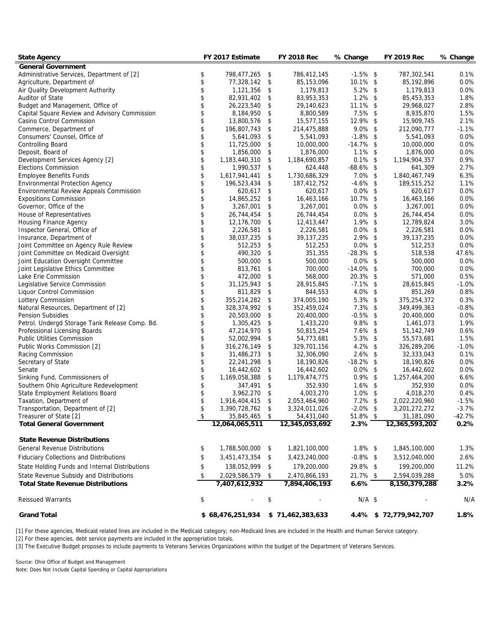| State Agency                                   | FY 2017 Estimate    | FY 2018 Rec         | % Change     | <b>FY 2019 Rec</b>    | % Change |
|------------------------------------------------|---------------------|---------------------|--------------|-----------------------|----------|
| General Government                             |                     |                     |              |                       |          |
| Administrative Services, Department of [2]     | \$<br>798,477,265   | \$<br>786,412,145   | $-1.5\%$ \$  | 787,302,541           | 0.1%     |
| Agriculture, Department of                     | \$<br>77,328,142    | \$<br>85,153,096    | 10.1% \$     | 85,192,896            | 0.0%     |
| Air Quality Development Authority              | \$<br>1,121,356     | \$<br>1,179,813     | $5.2\%$ \$   | 1,179,813             | 0.0%     |
| Auditor of State                               | \$<br>82,931,402    | \$<br>83,953,353    | $1.2\%$ \$   | 85,453,353            | 1.8%     |
| Budget and Management, Office of               | \$<br>26,223,540    | \$<br>29,140,623    | $11.1\%$ \$  | 29,968,027            | 2.8%     |
| Capital Square Review and Advisory Commission  | \$<br>8,184,950     | \$<br>8,800,589     | $7.5\%$ \$   | 8,935,870             | 1.5%     |
| Casino Control Commission                      | \$<br>13,800,576    | \$<br>15,577,155    | 12.9% \$     | 15,909,745            | 2.1%     |
| Commerce, Department of                        | \$<br>196,807,743   | \$<br>214,475,888   | $9.0\%$ \$   | 212,090,777           | $-1.1%$  |
| Consumers' Counsel, Office of                  | \$<br>5,641,093     | \$<br>5,541,093     | $-1.8\%$ \$  | 5,541,093             | 0.0%     |
| Controlling Board                              | \$<br>11,725,000    | \$<br>10,000,000    | $-14.7\%$ \$ | 10,000,000            | 0.0%     |
| Deposit, Board of                              | \$<br>1,856,000     | \$<br>1,876,000     | $1.1\%$ \$   | 1,876,000             | 0.0%     |
| Development Services Agency [2]                | \$<br>1,183,440,310 | \$<br>1,184,690,857 | $0.1\%$ \$   | 1,194,904,357         | 0.9%     |
| <b>Elections Commission</b>                    | \$<br>1,990,537     | \$<br>624,448       | $-68.6\%$ \$ | 641,309               | 2.7%     |
| <b>Employee Benefits Funds</b>                 | \$<br>1,617,941,441 | \$<br>1,730,686,329 | $7.0\%$ \$   | 1,840,467,749         | 6.3%     |
| <b>Environmental Protection Agency</b>         | 196,523,434         | \$<br>187,412,752   | $-4.6\%$ \$  | 189,515,252           | 1.1%     |
| Environmental Review Appeals Commission        | \$<br>620,617       | \$<br>620,617       | $0.0\%$ \$   | 620,617               | 0.0%     |
| <b>Expositions Commission</b>                  | \$<br>14,865,252    | \$<br>16,463,166    | 10.7% \$     | 16,463,166            | 0.0%     |
| Governor, Office of the                        | \$<br>3,267,001     | \$<br>3,267,001     | $0.0\%$ \$   | 3,267,001             | 0.0%     |
| House of Representatives                       | \$<br>26,744,454    | \$<br>26,744,454    | $0.0\%$ \$   | 26,744,454            | 0.0%     |
| Housing Finance Agency                         | \$<br>12,176,700    | \$<br>12,413,447    | $1.9\%$ \$   | 12,789,824            | 3.0%     |
| Inspector General, Office of                   | \$<br>2,226,581     | \$<br>2,226,581     | $0.0\%$ \$   | 2,226,581             | 0.0%     |
| Insurance, Department of                       | \$<br>38,037,235    | \$<br>39, 137, 235  | 2.9% \$      | 39, 137, 235          | 0.0%     |
| Joint Committee on Agency Rule Review          | \$<br>512,253       | \$<br>512,253       | $0.0\%$ \$   | 512,253               | 0.0%     |
| Joint Committee on Medicaid Oversight          | \$<br>490,320       | \$<br>351,355       | $-28.3\%$ \$ | 518,538               | 47.6%    |
| Joint Education Oversight Committee            | 500,000             | \$<br>500,000       | $0.0\%$ \$   | 500,000               | 0.0%     |
| Joint Legislative Ethics Committee             | 813,761             | \$<br>700,000       | $-14.0\%$ \$ | 700,000               | 0.0%     |
| Lake Erie Commission                           | \$<br>472,000       | \$<br>568,000       | 20.3% \$     | 571,000               | 0.5%     |
| Legislative Service Commission                 | \$<br>31,125,943    | \$<br>28,915,845    | $-7.1\%$ \$  | 28,615,845            | $-1.0%$  |
| Liquor Control Commission                      | \$<br>811,829       | \$<br>844,553       | $4.0\%$ \$   | 851,269               | 0.8%     |
| Lottery Commission                             | \$<br>355,214,282   | \$<br>374,005,190   | 5.3% \$      | 375,254,372           | 0.3%     |
| Natural Resources, Department of [2]           | \$<br>328,374,992   | \$<br>352,459,024   | $7.3\%$ \$   | 349,499,363           | $-0.8%$  |
| <b>Pension Subsidies</b>                       | \$<br>20,503,000    | \$<br>20,400,000    | $-0.5\%$ \$  | 20,400,000            | 0.0%     |
| Petrol. Undergd Storage Tank Release Comp. Bd. | \$<br>1,305,425     | \$<br>1,433,220     | $9.8\%$ \$   | 1,461,073             | 1.9%     |
| Professional Licensing Boards                  | \$<br>47,214,970    | \$<br>50,815,254    | $7.6\%$ \$   | 51, 142, 749          | 0.6%     |
| <b>Public Utilities Commission</b>             | \$<br>52,002,994    | \$<br>54,773,681    | 5.3% \$      | 55,573,681            | 1.5%     |
| Public Works Commission [2]                    | \$<br>316,276,149   | \$<br>329,701,156   | $4.2\%$ \$   | 326,289,206           | $-1.0%$  |
| Racing Commission                              | \$<br>31,486,273    | \$<br>32,306,090    | $2.6\%$ \$   | 32,333,043            | 0.1%     |
| Secretary of State                             | \$<br>22,241,298    | \$<br>18,190,826    | $-18.2\%$ \$ | 18,190,826            | 0.0%     |
| Senate                                         | \$<br>16,442,602    | \$<br>16,442,602    | $0.0\%$ \$   | 16,442,602            | 0.0%     |
| Sinking Fund, Commissioners of                 | \$<br>1,169,058,388 | \$<br>1,179,474,775 | $0.9\%$ \$   | 1,257,464,200         | 6.6%     |
| Southern Ohio Agriculture Redevelopment        | \$<br>347,491       | \$<br>352,930       | $1.6\%$ \$   | 352,930               | 0.0%     |
| State Employment Relations Board               | \$<br>3,962,270     | \$<br>4,003,270     | $1.0\%$ \$   | 4,018,270             | 0.4%     |
| Taxation, Department of                        | \$<br>1,916,404,415 | \$<br>2,053,464,960 | $7.2\%$ \$   | 2,022,220,960         | $-1.5%$  |
| Transportation, Department of [2]              | \$<br>3,390,728,762 | \$<br>3,324,011,026 | $-2.0\%$ \$  | 3,201,272,272         | $-3.7%$  |
| Treasurer of State [2]                         | 35,845,465          | \$<br>54,431,040    | $51.8\%$ \$  | 31,181,090            | $-42.7%$ |
| <b>Total General Government</b>                | 12,064,065,511      | 12,345,053,692      | 2.3%         | 12,365,593,202        | 0.2%     |
|                                                |                     |                     |              |                       |          |
| <b>State Revenue Distributions</b>             |                     |                     |              |                       |          |
| <b>General Revenue Distributions</b>           | \$<br>1,788,500,000 | \$<br>1,821,100,000 | $1.8\%$ \$   | 1,845,100,000         | 1.3%     |
| Fiduciary Collections and Distributions        | \$<br>3,451,473,354 | \$<br>3,423,240,000 | $-0.8\%$ \$  | 3,512,040,000         | 2.6%     |
| State Holding Funds and Internal Distributions | \$<br>138,052,999   | \$<br>179,200,000   | 29.8% \$     | 199,200,000           | 11.2%    |
|                                                |                     |                     |              |                       |          |
| State Revenue Subsidy and Distributions        | \$<br>2,029,586,579 | \$<br>2,470,866,193 | 21.7% \$     | 2,594,039,288         | 5.0%     |
| <b>Total State Revenue Distributions</b>       | 7,407,612,932       | 7,894,406,193       | 6.6%         | 8,150,379,288         | 3.2%     |
| <b>Reissued Warrants</b>                       | \$                  | \$                  | $N/A$ \$     |                       | N/A      |
| <b>Grand Total</b>                             | \$68,476,251,934    | \$71,462,383,633    |              | 4.4% \$72,779,942,707 | 1.8%     |

[1] For these agencies, Medicaid related lines are included in the Medicaid category; non-Medicaid lines are included in the Health and Human Service category.

[2] For these agencies, debt service payments are included in the appropriation totals.

[3] The Executive Budget proposes to include payments to Veterans Services Organizations within the budget of the Department of Veterans Services.

Source: Ohio Office of Budget and Management

Note: Does Not Include Capital Spending or Capital Appropriations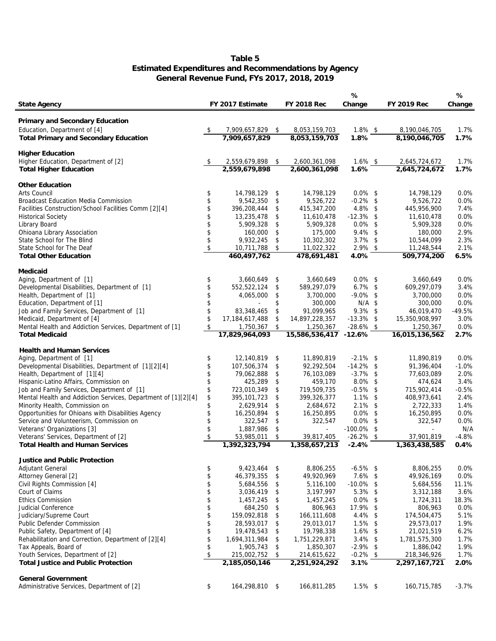## **Estimated Expenditures and Recommendations by Agency General Revenue Fund, FYs 2017, 2018, 2019 Table 5**

|                                                                                      |          |                                |          |                                | %                        |                                | %            |
|--------------------------------------------------------------------------------------|----------|--------------------------------|----------|--------------------------------|--------------------------|--------------------------------|--------------|
| State Agency                                                                         |          | FY 2017 Estimate               |          | FY 2018 Rec                    | Change                   | FY 2019 Rec                    | Change       |
|                                                                                      |          |                                |          |                                |                          |                                |              |
| Primary and Secondary Education                                                      |          |                                |          |                                |                          |                                |              |
| Education, Department of [4]                                                         | \$       | 7,909,657,829<br>7,909,657,829 | -\$      | 8,053,159,703<br>8,053,159,703 | $1.8\%$ \$<br>1.8%       | 8,190,046,705<br>8,190,046,705 | 1.7%<br>1.7% |
| Total Primary and Secondary Education                                                |          |                                |          |                                |                          |                                |              |
| <b>Higher Education</b>                                                              |          |                                |          |                                |                          |                                |              |
| Higher Education, Department of [2]                                                  | \$       | 2,559,679,898                  | -\$      | 2,600,361,098                  | $1.6\%$ \$               | 2,645,724,672                  | 1.7%         |
| <b>Total Higher Education</b>                                                        |          | 2,559,679,898                  |          | 2,600,361,098                  | 1.6%                     | 2,645,724,672                  | 1.7%         |
| Other Education                                                                      |          |                                |          |                                |                          |                                |              |
| Arts Council                                                                         | \$       | 14,798,129                     | \$       | 14,798,129                     | $0.0\%$ \$               | 14,798,129                     | 0.0%         |
| <b>Broadcast Education Media Commission</b>                                          | \$       | 9,542,350                      | \$       | 9,526,722                      | $-0.2\%$ \$              | 9,526,722                      | 0.0%         |
| Facilities Construction/School Facilities Comm [2][4]                                | \$       | 396,208,444                    | \$       | 415,347,200                    | $4.8\%$ \$               | 445,956,900                    | 7.4%         |
| <b>Historical Society</b>                                                            | \$       | 13,235,478                     | \$       | 11,610,478                     | $-12.3\%$ \$             | 11,610,478                     | 0.0%         |
| Library Board                                                                        | \$       | 5,909,328                      | \$       | 5,909,328                      | $0.0\%$ \$               | 5,909,328                      | 0.0%         |
| Ohioana Library Association                                                          | \$       | 160,000                        | \$       | 175,000                        | $9.4\%$ \$               | 180,000                        | 2.9%         |
| State School for The Blind                                                           | \$       | 9,932,245                      | \$       | 10,302,302                     | $3.7\%$ \$               | 10,544,099                     | 2.3%         |
| State School for The Deaf                                                            | \$       | 10,711,788                     | \$       | 11,022,322                     | 2.9% \$                  | 11,248,544                     | 2.1%         |
| <b>Total Other Education</b>                                                         |          | 460,497,762                    |          | 478,691,481                    | 4.0%                     | 509,774,200                    | 6.5%         |
|                                                                                      |          |                                |          |                                |                          |                                |              |
| Medicaid<br>Aging, Department of [1]                                                 | \$       | 3,660,649                      | \$       | 3,660,649                      | $0.0\%$ \$               | 3,660,649                      | 0.0%         |
| Developmental Disabilities, Department of [1]                                        | \$       | 552,522,124                    | \$       | 589,297,079                    | $6.7\%$ \$               | 609,297,079                    | 3.4%         |
| Health, Department of [1]                                                            | \$       | 4,065,000                      | \$       | 3,700,000                      | $-9.0\%$ \$              | 3,700,000                      | 0.0%         |
| Education, Department of [1]                                                         | \$       |                                | \$       | 300,000                        | $N/A$ \$                 | 300,000                        | 0.0%         |
| Job and Family Services, Department of [1]                                           | \$       | 83,348,465                     | \$       | 91,099,965                     | $9.3\%$ \$               | 46,019,470                     | $-49.5%$     |
| Medicaid, Department of [4]                                                          | \$       | 17,184,617,488                 | \$       | 14,897,228,357                 | $-13.3\%$ \$             | 15,350,908,997                 | 3.0%         |
| Mental Health and Addiction Services, Department of [1]                              | \$       | 1,750,367                      | \$       | 1,250,367                      | $-28.6\%$ \$             | 1,250,367                      | 0.0%         |
| <b>Total Medicaid</b>                                                                |          | 17,829,964,093                 |          | 15,586,536,417 -12.6%          |                          | 16,015,136,562                 | 2.7%         |
|                                                                                      |          |                                |          |                                |                          |                                |              |
| <b>Health and Human Services</b>                                                     |          |                                |          |                                |                          |                                |              |
| Aging, Department of [1]                                                             | \$       | 12,140,819                     | \$       | 11,890,819                     | $-2.1\%$ \$              | 11,890,819                     | 0.0%         |
| Developmental Disabilities, Department of [1][2][4]                                  | \$       | 107,506,374                    | \$       | 92,292,504                     | $-14.2\%$ \$             | 91,396,404                     | $-1.0%$      |
| Health, Department of [1][4]                                                         |          | 79,062,888                     | \$       | 76,103,089                     | $-3.7\%$ \$              | 77,603,089                     | 2.0%         |
| Hispanic-Latino Affairs, Commission on                                               | \$       | 425,289                        | \$       | 459,170                        | $8.0\%$ \$               | 474,624                        | 3.4%         |
| Job and Family Services, Department of [1]                                           | \$       | 723,010,349                    | \$       | 719,509,735                    | $-0.5\%$ \$              | 715,902,414                    | $-0.5%$      |
| Mental Health and Addiction Services, Department of [1][2][4]                        | \$<br>\$ | 395, 101, 723<br>2,629,914     | \$<br>\$ | 399,326,377                    | $1.1\%$ \$<br>$2.1\%$ \$ | 408,973,641<br>2,722,333       | 2.4%<br>1.4% |
| Minority Health, Commission on<br>Opportunities for Ohioans with Disabilities Agency | \$       | 16,250,894                     | \$       | 2,684,672<br>16,250,895        | $0.0\%$ \$               | 16,250,895                     | 0.0%         |
| Service and Volunteerism, Commission on                                              | \$       |                                | \$       | 322,547                        | $0.0\%$ \$               | 322,547                        | 0.0%         |
|                                                                                      | \$       | 322,547<br>1,887,986           |          | $\omega$                       | $-100.0\%$               | \$                             | N/A          |
| Veterans' Organizations [3]<br>Veterans' Services, Department of [2]                 | \$       | 53,985,011                     | \$<br>\$ |                                | $-26.2\%$ \$             | 37,901,819                     | $-4.8%$      |
| Total Health and Human Services                                                      |          | 1,392,323,794                  |          | 39,817,405<br>1,358,657,213    | $-2.4%$                  | 1,363,438,585                  | 0.4%         |
|                                                                                      |          |                                |          |                                |                          |                                |              |
| Justice and Public Protection                                                        |          |                                |          |                                |                          |                                |              |
| <b>Adjutant General</b>                                                              | \$       | 9,423,464                      | \$       | 8,806,255                      | $-6.5\%$ \$              | 8,806,255                      | 0.0%         |
| Attorney General [2]                                                                 | \$       | 46,379,355                     | \$       | 49,920,969                     | $7.6\%$ \$               | 49,926,169                     | 0.0%         |
| Civil Rights Commission [4]                                                          | \$       | 5,684,556                      | \$       | 5,116,100                      | $-10.0\%$ \$             | 5,684,556                      | 11.1%        |
| Court of Claims                                                                      | \$       | 3,036,419                      | \$       | 3,197,997                      | $5.3\%$ \$               | 3,312,188                      | 3.6%         |
| <b>Ethics Commission</b>                                                             | \$       | 1,457,245                      | \$       | 1,457,245                      | $0.0\%$ \$               | 1,724,311                      | 18.3%        |
| Judicial Conference                                                                  | \$       | 684,250                        | \$       | 806,963                        | 17.9% \$                 | 806,963                        | 0.0%         |
| Judiciary/Supreme Court                                                              | \$       | 159,092,818                    | \$       | 166,111,608                    | 4.4% \$                  | 174,504,475                    | 5.1%         |
| Public Defender Commission                                                           | \$       | 28,593,017                     | \$       | 29,013,017                     | $1.5\%$ \$               | 29,573,017                     | 1.9%         |
| Public Safety, Department of [4]                                                     | \$       | 19,478,543                     | \$       | 19,798,338                     | $1.6\%$ \$               | 21,021,519                     | 6.2%         |
| Rehabilitation and Correction, Department of [2][4]                                  | \$       | 1,694,311,984                  | \$       | 1,751,229,871                  | $3.4\%$ \$               | 1,781,575,300                  | 1.7%         |
| Tax Appeals, Board of                                                                | \$       | 1,905,743                      | \$       | 1,850,307                      | $-2.9\%$ \$              | 1,886,042                      | 1.9%         |
| Youth Services, Department of [2]                                                    | \$       | 215,002,752                    | \$       | 214,615,622                    | $-0.2\%$ \$              | 218,346,926                    | 1.7%         |
| Total Justice and Public Protection                                                  |          | 2,185,050,146                  |          | 2,251,924,292                  | 3.1%                     | 2,297,167,721                  | 2.0%         |
| General Government                                                                   |          |                                |          |                                |                          |                                |              |
| Administrative Services, Department of [2]                                           | \$       | 164,298,810 \$                 |          | 166,811,285                    | $1.5\%$ \$               | 160,715,785                    | $-3.7%$      |
|                                                                                      |          |                                |          |                                |                          |                                |              |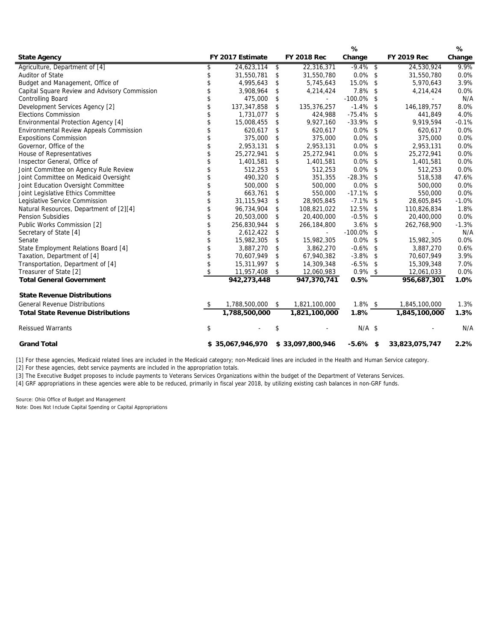|                                               |                     |            |                  | $\cdots$      |                | 70.     |
|-----------------------------------------------|---------------------|------------|------------------|---------------|----------------|---------|
| State Agency                                  | FY 2017 Estimate    |            | FY 2018 Rec      | Change        | FY 2019 Rec    | Change  |
| Agriculture, Department of [4]                | \$<br>24,623,114    | $\sqrt{3}$ | 22,316,371       | $-9.4\%$ \$   | 24,530,924     | 9.9%    |
| Auditor of State                              | \$<br>31,550,781    | \$         | 31,550,780       | $0.0\%$ \$    | 31,550,780     | 0.0%    |
| Budget and Management, Office of              | \$<br>4,995,643     | \$         | 5,745,643        | 15.0% \$      | 5,970,643      | 3.9%    |
| Capital Square Review and Advisory Commission | \$<br>3,908,964     | \$         | 4,214,424        | 7.8% \$       | 4,214,424      | 0.0%    |
| Controlling Board                             | \$<br>475,000       | \$         |                  | $-100.0\%$ \$ |                | N/A     |
| Development Services Agency [2]               | \$<br>137,347,858   | \$         | 135,376,257      | $-1.4\%$ \$   | 146, 189, 757  | 8.0%    |
| <b>Elections Commission</b>                   | \$<br>1,731,077     | \$         | 424,988          | $-75.4\%$ \$  | 441,849        | 4.0%    |
| Environmental Protection Agency [4]           | \$<br>15,008,455    | \$         | 9,927,160        | $-33.9\%$ \$  | 9,919,594      | $-0.1%$ |
| Environmental Review Appeals Commission       | \$<br>620,617       | \$         | 620,617          | $0.0\%$ \$    | 620,617        | 0.0%    |
| <b>Expositions Commission</b>                 | \$<br>375,000       | \$         | 375,000          | $0.0\%$ \$    | 375,000        | 0.0%    |
| Governor, Office of the                       | \$<br>2,953,131     | \$         | 2,953,131        | $0.0\%$ \$    | 2,953,131      | 0.0%    |
| House of Representatives                      | \$<br>25,272,941    | \$         | 25,272,941       | $0.0\%$ \$    | 25,272,941     | 0.0%    |
| Inspector General, Office of                  | \$<br>1,401,581     | \$         | 1,401,581        | $0.0\%$ \$    | 1,401,581      | 0.0%    |
| Joint Committee on Agency Rule Review         | 512,253             | \$         | 512,253          | $0.0\%$ \$    | 512,253        | 0.0%    |
| Joint Committee on Medicaid Oversight         | \$<br>490,320       | \$         | 351,355          | $-28.3\%$ \$  | 518,538        | 47.6%   |
| Joint Education Oversight Committee           | \$<br>500,000       | \$         | 500,000          | $0.0\%$ \$    | 500,000        | 0.0%    |
| Joint Legislative Ethics Committee            | \$<br>663,761       | \$         | 550,000          | $-17.1\%$ \$  | 550,000        | 0.0%    |
| Legislative Service Commission                | \$<br>31,115,943    | \$         | 28,905,845       | $-7.1\%$ \$   | 28,605,845     | $-1.0%$ |
| Natural Resources, Department of [2][4]       | \$<br>96,734,904    | \$         | 108,821,022      | 12.5% \$      | 110,826,834    | 1.8%    |
| <b>Pension Subsidies</b>                      | \$<br>20,503,000    | \$         | 20,400,000       | $-0.5\%$ \$   | 20,400,000     | 0.0%    |
| Public Works Commission [2]                   | \$<br>256,830,944   | \$         | 266,184,800      | $3.6\%$ \$    | 262,768,900    | $-1.3%$ |
| Secretary of State [4]                        | \$<br>2,612,422     | \$         |                  | $-100.0\%$ \$ |                | N/A     |
| Senate                                        | \$<br>15,982,305    | \$         | 15,982,305       | $0.0\%$ \$    | 15,982,305     | 0.0%    |
| State Employment Relations Board [4]          | 3,887,270           | \$         | 3,862,270        | $-0.6\%$ \$   | 3,887,270      | 0.6%    |
| Taxation, Department of [4]                   | \$<br>70,607,949    | \$         | 67,940,382       | $-3.8\%$ \$   | 70,607,949     | 3.9%    |
| Transportation, Department of [4]             | \$<br>15,311,997    | \$         | 14,309,348       | $-6.5\%$ \$   | 15,309,348     | 7.0%    |
| Treasurer of State [2]                        | \$<br>11,957,408    | \$         | 12,060,983       | $0.9\%$ \$    | 12,061,033     | 0.0%    |
| <b>Total General Government</b>               | 942,273,448         |            | 947,370,741      | 0.5%          | 956,687,301    | 1.0%    |
| <b>State Revenue Distributions</b>            |                     |            |                  |               |                |         |
| <b>General Revenue Distributions</b>          | \$<br>1,788,500,000 | $\sqrt{2}$ | 1,821,100,000    | $1.8\%$ \$    | 1,845,100,000  | 1.3%    |
| <b>Total State Revenue Distributions</b>      | 1,788,500,000       |            | 1,821,100,000    | 1.8%          | 1,845,100,000  | 1.3%    |
|                                               |                     |            |                  |               |                |         |
| <b>Reissued Warrants</b>                      | \$                  | \$         |                  | $N/A$ \$      |                | N/A     |
| <b>Grand Total</b>                            | \$35,067,946,970    |            | \$33,097,800,946 | $-5.6\%$ \$   | 33,823,075,747 | 2.2%    |

**%**

**%**

[1] For these agencies, Medicaid related lines are included in the Medicaid category; non-Medicaid lines are included in the Health and Human Service category.

[2] For these agencies, debt service payments are included in the appropriation totals.

[3] The Executive Budget proposes to include payments to Veterans Services Organizations within the budget of the Department of Veterans Services.

[4] GRF appropriations in these agencies were able to be reduced, primarily in fiscal year 2018, by utilizing existing cash balances in non-GRF funds.

Source: Ohio Office of Budget and Management

Note: Does Not Include Capital Spending or Capital Appropriations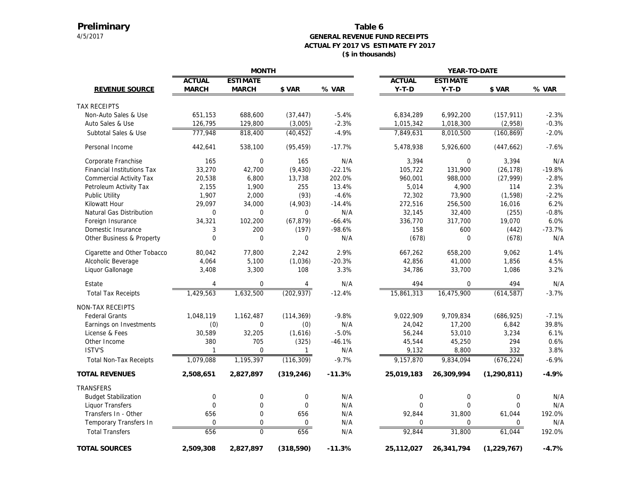# **Preliminary**

#### 4/5/2017 **GENERAL REVENUE FUND RECEIPTS ACTUAL FY 2017 VS ESTIMATE FY 2017 (\$ in thousands) Table 6**

|                               |               | <b>MONTH</b>     |                  |          | YEAR-TO-DATE     |                  |               |          |  |
|-------------------------------|---------------|------------------|------------------|----------|------------------|------------------|---------------|----------|--|
|                               | <b>ACTUAL</b> | <b>ESTIMATE</b>  |                  |          | <b>ACTUAL</b>    | <b>ESTIMATE</b>  |               |          |  |
| REVENUE SOURCE                | <b>MARCH</b>  | <b>MARCH</b>     | \$ VAR           | % VAR    | $Y-T-D$          | $Y-T-D$          | \$ VAR        | % VAR    |  |
| <b>TAX RECEIPTS</b>           |               |                  |                  |          |                  |                  |               |          |  |
| Non-Auto Sales & Use          | 651,153       | 688,600          | (37, 447)        | $-5.4%$  | 6,834,289        | 6,992,200        | (157, 911)    | $-2.3%$  |  |
| Auto Sales & Use              | 126,795       | 129,800          | (3,005)          | $-2.3%$  | 1,015,342        | 1,018,300        | (2,958)       | $-0.3%$  |  |
| Subtotal Sales & Use          | 777,948       | 818,400          | (40, 452)        | $-4.9%$  | 7,849,631        | 8,010,500        | (160, 869)    | $-2.0%$  |  |
| Personal Income               | 442,641       | 538,100          | (95, 459)        | $-17.7%$ | 5,478,938        | 5,926,600        | (447, 662)    | $-7.6%$  |  |
| Corporate Franchise           | 165           | $\mathbf 0$      | 165              | N/A      | 3,394            | $\mathbf 0$      | 3,394         | N/A      |  |
| Financial Institutions Tax    | 33,270        | 42,700           | (9, 430)         | $-22.1%$ | 105,722          | 131,900          | (26, 178)     | $-19.8%$ |  |
| Commercial Activity Tax       | 20,538        | 6,800            | 13,738           | 202.0%   | 960,001          | 988,000          | (27, 999)     | $-2.8%$  |  |
| Petroleum Activity Tax        | 2,155         | 1,900            | 255              | 13.4%    | 5,014            | 4,900            | 114           | 2.3%     |  |
| Public Utility                | 1,907         | 2,000            | (93)             | $-4.6%$  | 72,302           | 73,900           | (1, 598)      | $-2.2%$  |  |
| Kilowatt Hour                 | 29,097        | 34,000           | (4,903)          | $-14.4%$ | 272,516          | 256,500          | 16,016        | 6.2%     |  |
| Natural Gas Distribution      | 0             | 0                | 0                | N/A      | 32,145           | 32,400           | (255)         | $-0.8%$  |  |
| Foreign Insurance             | 34,321        | 102,200          | (67, 879)        | $-66.4%$ | 336,770          | 317,700          | 19,070        | 6.0%     |  |
| Domestic Insurance            | 3             | 200              | (197)            | $-98.6%$ | 158              | 600              | (442)         | $-73.7%$ |  |
| Other Business & Property     | 0             | $\mathbf 0$      | 0                | N/A      | (678)            | $\Omega$         | (678)         | N/A      |  |
| Cigarette and Other Tobacco   | 80,042        | 77,800           | 2,242            | 2.9%     | 667,262          | 658,200          | 9,062         | 1.4%     |  |
| Alcoholic Beverage            | 4,064         | 5,100            | (1,036)          | $-20.3%$ | 42,856           | 41,000           | 1,856         | 4.5%     |  |
| Liquor Gallonage              | 3,408         | 3,300            | 108              | 3.3%     | 34,786           | 33,700           | 1,086         | 3.2%     |  |
| Estate                        | 4             | 0                | 4                | N/A      | 494              | 0                | 494           | N/A      |  |
| <b>Total Tax Receipts</b>     | 1,429,563     | 1,632,500        | (202, 937)       | $-12.4%$ | 15,861,313       | 16,475,900       | (614, 587)    | $-3.7%$  |  |
| <b>NON-TAX RECEIPTS</b>       |               |                  |                  |          |                  |                  |               |          |  |
| <b>Federal Grants</b>         | 1,048,119     | 1,162,487        | (114, 369)       | $-9.8%$  | 9,022,909        | 9,709,834        | (686, 925)    | $-7.1%$  |  |
| Earnings on Investments       | (0)           | $\mathbf 0$      | (0)              | N/A      | 24,042           | 17,200           | 6,842         | 39.8%    |  |
| License & Fees                | 30,589        | 32,205           | (1,616)          | $-5.0%$  | 56,244           | 53,010           | 3,234         | 6.1%     |  |
| Other Income                  | 380           | 705              | (325)            | $-46.1%$ | 45,544           | 45,250           | 294           | 0.6%     |  |
| ISTV'S                        | $\mathbf{1}$  | $\mathbf 0$      | $\mathbf{1}$     | N/A      | 9,132            | 8,800            | 332           | 3.8%     |  |
| <b>Total Non-Tax Receipts</b> | 1,079,088     | 1,195,397        | (116, 309)       | $-9.7%$  | 9,157,870        | 9,834,094        | (676, 224)    | $-6.9%$  |  |
| <b>TOTAL REVENUES</b>         | 2,508,651     | 2,827,897        | (319, 246)       | $-11.3%$ | 25,019,183       | 26,309,994       | (1, 290, 811) | $-4.9%$  |  |
| TRANSFERS                     |               |                  |                  |          |                  |                  |               |          |  |
| <b>Budget Stabilization</b>   | 0             | $\boldsymbol{0}$ | $\boldsymbol{0}$ | N/A      | $\boldsymbol{0}$ | $\boldsymbol{0}$ | 0             | N/A      |  |
| Liquor Transfers              | $\Omega$      | $\overline{0}$   | $\overline{0}$   | N/A      | $\Omega$         | $\Omega$         | $\Omega$      | N/A      |  |
| Transfers In - Other          | 656           | 0                | 656              | N/A      | 92,844           | 31,800           | 61,044        | 192.0%   |  |
| Temporary Transfers In        | 0             | 0                | 0                | N/A      | 0                | $\mathbf 0$      | 0             | N/A      |  |
| <b>Total Transfers</b>        | 656           | $\overline{0}$   | 656              | N/A      | 92,844           | 31,800           | 61,044        | 192.0%   |  |
| <b>TOTAL SOURCES</b>          | 2,509,308     | 2,827,897        | (318,590)        | $-11.3%$ | 25,112,027       | 26,341,794       | (1, 229, 767) | $-4.7%$  |  |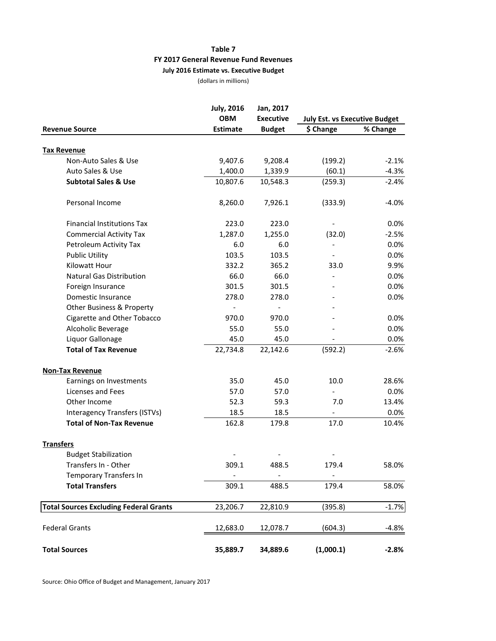## **Table 7 FY 2017 General Revenue Fund Revenues July 2016 Estimate vs. Executive Budget**

(dollars in millions)

|                                               | <b>July, 2016</b>   | Jan, 2017                |                                      |                    |  |  |  |
|-----------------------------------------------|---------------------|--------------------------|--------------------------------------|--------------------|--|--|--|
|                                               | <b>OBM</b>          | <b>Executive</b>         | <b>July Est. vs Executive Budget</b> |                    |  |  |  |
| <b>Revenue Source</b>                         | <b>Estimate</b>     | <b>Budget</b>            | \$ Change                            | % Change           |  |  |  |
|                                               |                     |                          |                                      |                    |  |  |  |
| <b>Tax Revenue</b><br>Non-Auto Sales & Use    |                     |                          |                                      |                    |  |  |  |
| Auto Sales & Use                              | 9,407.6             | 9,208.4                  | (199.2)                              | $-2.1%$            |  |  |  |
| <b>Subtotal Sales &amp; Use</b>               | 1,400.0<br>10,807.6 | 1,339.9                  | (60.1)<br>(259.3)                    | $-4.3%$<br>$-2.4%$ |  |  |  |
|                                               |                     | 10,548.3                 |                                      |                    |  |  |  |
| Personal Income                               | 8,260.0             | 7,926.1                  | (333.9)                              | $-4.0%$            |  |  |  |
| <b>Financial Institutions Tax</b>             | 223.0               | 223.0                    |                                      | 0.0%               |  |  |  |
| <b>Commercial Activity Tax</b>                | 1,287.0             | 1,255.0                  | (32.0)                               | $-2.5%$            |  |  |  |
| Petroleum Activity Tax                        | 6.0                 | 6.0                      |                                      | 0.0%               |  |  |  |
| <b>Public Utility</b>                         | 103.5               | 103.5                    |                                      | 0.0%               |  |  |  |
| Kilowatt Hour                                 | 332.2               | 365.2                    | 33.0                                 | 9.9%               |  |  |  |
| <b>Natural Gas Distribution</b>               | 66.0                | 66.0                     |                                      | 0.0%               |  |  |  |
| Foreign Insurance                             | 301.5               | 301.5                    |                                      | 0.0%               |  |  |  |
| Domestic Insurance                            | 278.0               | 278.0                    |                                      | 0.0%               |  |  |  |
| <b>Other Business &amp; Property</b>          |                     | $\overline{\phantom{0}}$ |                                      |                    |  |  |  |
| Cigarette and Other Tobacco                   | 970.0               | 970.0                    |                                      | 0.0%               |  |  |  |
| Alcoholic Beverage                            | 55.0                | 55.0                     |                                      | 0.0%               |  |  |  |
| Liquor Gallonage                              | 45.0                | 45.0                     |                                      | 0.0%               |  |  |  |
| <b>Total of Tax Revenue</b>                   | 22,734.8            | 22,142.6                 | (592.2)                              | $-2.6%$            |  |  |  |
| <b>Non-Tax Revenue</b>                        |                     |                          |                                      |                    |  |  |  |
| Earnings on Investments                       | 35.0                | 45.0                     | 10.0                                 | 28.6%              |  |  |  |
| Licenses and Fees                             | 57.0                | 57.0                     |                                      | 0.0%               |  |  |  |
| Other Income                                  | 52.3                | 59.3                     | 7.0                                  | 13.4%              |  |  |  |
| <b>Interagency Transfers (ISTVs)</b>          | 18.5                | 18.5                     |                                      | 0.0%               |  |  |  |
| <b>Total of Non-Tax Revenue</b>               | 162.8               | 179.8                    | 17.0                                 | 10.4%              |  |  |  |
| <b>Transfers</b>                              |                     |                          |                                      |                    |  |  |  |
| <b>Budget Stabilization</b>                   |                     |                          |                                      |                    |  |  |  |
| Transfers In - Other                          | 309.1               | 488.5                    | 179.4                                | 58.0%              |  |  |  |
| <b>Temporary Transfers In</b>                 |                     |                          |                                      |                    |  |  |  |
| <b>Total Transfers</b>                        | 309.1               | 488.5                    | 179.4                                | 58.0%              |  |  |  |
| <b>Total Sources Excluding Federal Grants</b> | 23,206.7            | 22,810.9                 | (395.8)                              | $-1.7%$            |  |  |  |
| <b>Federal Grants</b>                         | 12,683.0            | 12,078.7                 | (604.3)                              | $-4.8%$            |  |  |  |
| <b>Total Sources</b>                          | 35,889.7            | 34,889.6                 | (1,000.1)                            | $-2.8%$            |  |  |  |

Source: Ohio Office of Budget and Management, January 2017